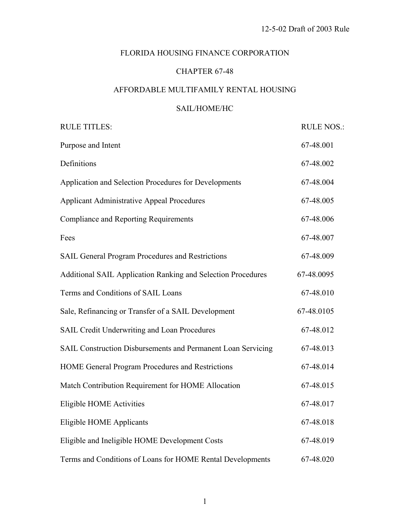## FLORIDA HOUSING FINANCE CORPORATION

## CHAPTER 67-48

## AFFORDABLE MULTIFAMILY RENTAL HOUSING

## SAIL/HOME/HC

| <b>RULE TITLES:</b>                                          | <b>RULE NOS.:</b> |
|--------------------------------------------------------------|-------------------|
| Purpose and Intent                                           | 67-48.001         |
| Definitions                                                  | 67-48.002         |
| Application and Selection Procedures for Developments        | 67-48.004         |
| <b>Applicant Administrative Appeal Procedures</b>            | 67-48.005         |
| <b>Compliance and Reporting Requirements</b>                 | 67-48.006         |
| Fees                                                         | 67-48.007         |
| SAIL General Program Procedures and Restrictions             | 67-48.009         |
| Additional SAIL Application Ranking and Selection Procedures | 67-48.0095        |
| Terms and Conditions of SAIL Loans                           | 67-48.010         |
| Sale, Refinancing or Transfer of a SAIL Development          | 67-48.0105        |
| SAIL Credit Underwriting and Loan Procedures                 | 67-48.012         |
| SAIL Construction Disbursements and Permanent Loan Servicing | 67-48.013         |
| HOME General Program Procedures and Restrictions             | 67-48.014         |
| Match Contribution Requirement for HOME Allocation           | 67-48.015         |
| <b>Eligible HOME Activities</b>                              | 67-48.017         |
| <b>Eligible HOME Applicants</b>                              | 67-48.018         |
| Eligible and Ineligible HOME Development Costs               | 67-48.019         |
| Terms and Conditions of Loans for HOME Rental Developments   | 67-48.020         |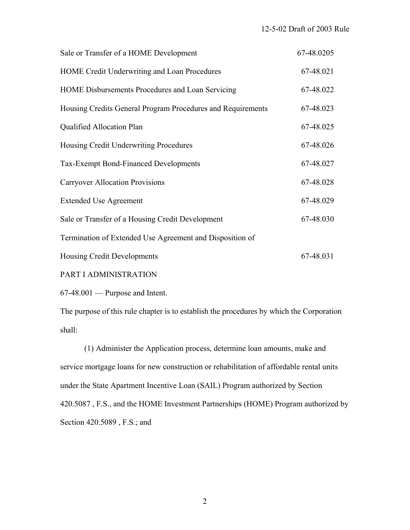| Sale or Transfer of a HOME Development                      | 67-48.0205 |
|-------------------------------------------------------------|------------|
| HOME Credit Underwriting and Loan Procedures                | 67-48.021  |
| HOME Disbursements Procedures and Loan Servicing            | 67-48.022  |
| Housing Credits General Program Procedures and Requirements | 67-48.023  |
| Qualified Allocation Plan                                   | 67-48.025  |
| Housing Credit Underwriting Procedures                      | 67-48.026  |
| <b>Tax-Exempt Bond-Financed Developments</b>                | 67-48.027  |
| <b>Carryover Allocation Provisions</b>                      | 67-48.028  |
| <b>Extended Use Agreement</b>                               | 67-48.029  |
| Sale or Transfer of a Housing Credit Development            | 67-48.030  |
| Termination of Extended Use Agreement and Disposition of    |            |
| Housing Credit Developments                                 | 67-48.031  |
| PART I ADMINISTRATION                                       |            |

67-48.001 — Purpose and Intent.

The purpose of this rule chapter is to establish the procedures by which the Corporation shall:

 (1) Administer the Application process, determine loan amounts, make and service mortgage loans for new construction or rehabilitation of affordable rental units under the State Apartment Incentive Loan (SAIL) Program authorized by Section 420.5087 , F.S., and the HOME Investment Partnerships (HOME) Program authorized by Section 420.5089 , F.S.; and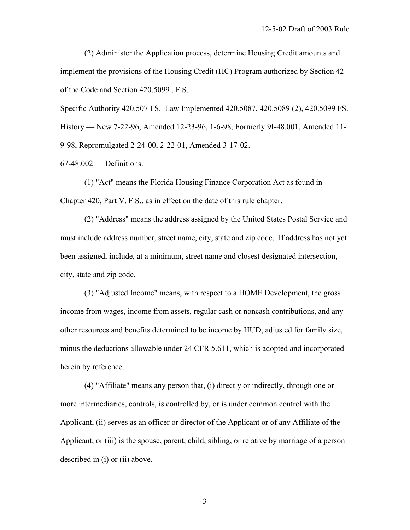(2) Administer the Application process, determine Housing Credit amounts and implement the provisions of the Housing Credit (HC) Program authorized by Section 42 of the Code and Section 420.5099 , F.S.

Specific Authority 420.507 FS. Law Implemented 420.5087, 420.5089 (2), 420.5099 FS. History — New 7-22-96, Amended 12-23-96, 1-6-98, Formerly 9I-48.001, Amended 11- 9-98, Repromulgated 2-24-00, 2-22-01, Amended 3-17-02.

67-48.002 — Definitions.

 (1) "Act" means the Florida Housing Finance Corporation Act as found in Chapter 420, Part V, F.S., as in effect on the date of this rule chapter.

 (2) "Address" means the address assigned by the United States Postal Service and must include address number, street name, city, state and zip code. If address has not yet been assigned, include, at a minimum, street name and closest designated intersection, city, state and zip code.

 (3) "Adjusted Income" means, with respect to a HOME Development, the gross income from wages, income from assets, regular cash or noncash contributions, and any other resources and benefits determined to be income by HUD, adjusted for family size, minus the deductions allowable under 24 CFR 5.611, which is adopted and incorporated herein by reference.

 (4) "Affiliate" means any person that, (i) directly or indirectly, through one or more intermediaries, controls, is controlled by, or is under common control with the Applicant, (ii) serves as an officer or director of the Applicant or of any Affiliate of the Applicant, or (iii) is the spouse, parent, child, sibling, or relative by marriage of a person described in (i) or (ii) above.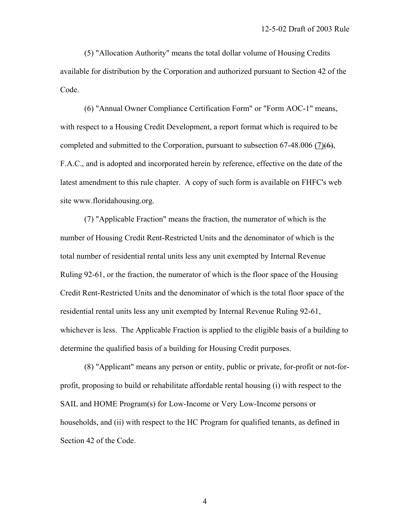(5) "Allocation Authority" means the total dollar volume of Housing Credits available for distribution by the Corporation and authorized pursuant to Section 42 of the Code.

 (6) "Annual Owner Compliance Certification Form" or "Form AOC-1" means, with respect to a Housing Credit Development, a report format which is required to be completed and submitted to the Corporation, pursuant to subsection 67-48.006 (7) $(6)$ , F.A.C., and is adopted and incorporated herein by reference, effective on the date of the latest amendment to this rule chapter. A copy of such form is available on FHFC's web site www.floridahousing.org.

 (7) "Applicable Fraction" means the fraction, the numerator of which is the number of Housing Credit Rent-Restricted Units and the denominator of which is the total number of residential rental units less any unit exempted by Internal Revenue Ruling 92-61, or the fraction, the numerator of which is the floor space of the Housing Credit Rent-Restricted Units and the denominator of which is the total floor space of the residential rental units less any unit exempted by Internal Revenue Ruling 92-61, whichever is less. The Applicable Fraction is applied to the eligible basis of a building to determine the qualified basis of a building for Housing Credit purposes.

 (8) "Applicant" means any person or entity, public or private, for-profit or not-forprofit, proposing to build or rehabilitate affordable rental housing (i) with respect to the SAIL and HOME Program(s) for Low-Income or Very Low-Income persons or households, and (ii) with respect to the HC Program for qualified tenants, as defined in Section 42 of the Code.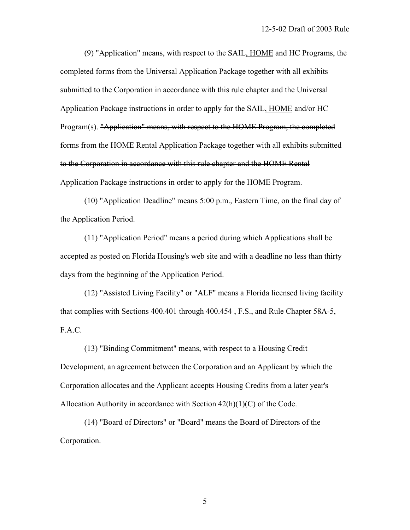(9) "Application" means, with respect to the SAIL, HOME and HC Programs, the completed forms from the Universal Application Package together with all exhibits submitted to the Corporation in accordance with this rule chapter and the Universal Application Package instructions in order to apply for the SAIL, HOME and/or HC Program(s). "Application" means, with respect to the HOME Program, the completed forms from the HOME Rental Application Package together with all exhibits submitted to the Corporation in accordance with this rule chapter and the HOME Rental Application Package instructions in order to apply for the HOME Program.

 (10) "Application Deadline" means 5:00 p.m., Eastern Time, on the final day of the Application Period.

 (11) "Application Period" means a period during which Applications shall be accepted as posted on Florida Housing's web site and with a deadline no less than thirty days from the beginning of the Application Period.

 (12) "Assisted Living Facility" or "ALF" means a Florida licensed living facility that complies with Sections 400.401 through 400.454 , F.S., and Rule Chapter 58A-5, F.A.C.

 (13) "Binding Commitment" means, with respect to a Housing Credit Development, an agreement between the Corporation and an Applicant by which the Corporation allocates and the Applicant accepts Housing Credits from a later year's Allocation Authority in accordance with Section 42(h)(1)(C) of the Code.

 (14) "Board of Directors" or "Board" means the Board of Directors of the Corporation.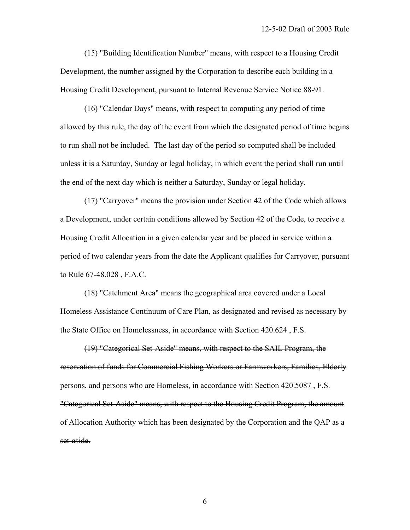(15) "Building Identification Number" means, with respect to a Housing Credit Development, the number assigned by the Corporation to describe each building in a Housing Credit Development, pursuant to Internal Revenue Service Notice 88-91.

 (16) "Calendar Days" means, with respect to computing any period of time allowed by this rule, the day of the event from which the designated period of time begins to run shall not be included. The last day of the period so computed shall be included unless it is a Saturday, Sunday or legal holiday, in which event the period shall run until the end of the next day which is neither a Saturday, Sunday or legal holiday.

 (17) "Carryover" means the provision under Section 42 of the Code which allows a Development, under certain conditions allowed by Section 42 of the Code, to receive a Housing Credit Allocation in a given calendar year and be placed in service within a period of two calendar years from the date the Applicant qualifies for Carryover, pursuant to Rule 67-48.028 , F.A.C.

 (18) "Catchment Area" means the geographical area covered under a Local Homeless Assistance Continuum of Care Plan, as designated and revised as necessary by the State Office on Homelessness, in accordance with Section 420.624 , F.S.

 (19) "Categorical Set-Aside" means, with respect to the SAIL Program, the reservation of funds for Commercial Fishing Workers or Farmworkers, Families, Elderly persons, and persons who are Homeless, in accordance with Section 420.5087 , F.S. "Categorical Set-Aside" means, with respect to the Housing Credit Program, the amount of Allocation Authority which has been designated by the Corporation and the QAP as a set-aside.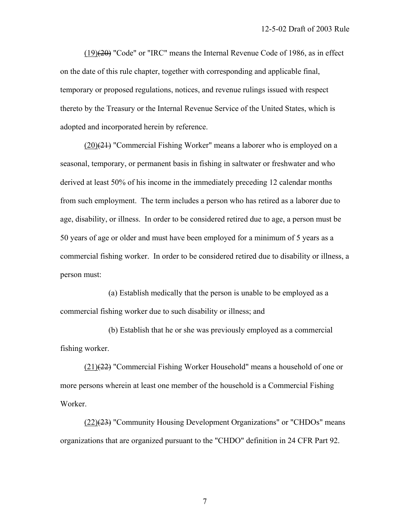$(19)(20)$  "Code" or "IRC" means the Internal Revenue Code of 1986, as in effect on the date of this rule chapter, together with corresponding and applicable final, temporary or proposed regulations, notices, and revenue rulings issued with respect thereto by the Treasury or the Internal Revenue Service of the United States, which is adopted and incorporated herein by reference.

 $(20)(21)$  "Commercial Fishing Worker" means a laborer who is employed on a seasonal, temporary, or permanent basis in fishing in saltwater or freshwater and who derived at least 50% of his income in the immediately preceding 12 calendar months from such employment. The term includes a person who has retired as a laborer due to age, disability, or illness. In order to be considered retired due to age, a person must be 50 years of age or older and must have been employed for a minimum of 5 years as a commercial fishing worker. In order to be considered retired due to disability or illness, a person must:

 (a) Establish medically that the person is unable to be employed as a commercial fishing worker due to such disability or illness; and

 (b) Establish that he or she was previously employed as a commercial fishing worker.

 (21)(22) "Commercial Fishing Worker Household" means a household of one or more persons wherein at least one member of the household is a Commercial Fishing Worker.

 $(22)(23)$  "Community Housing Development Organizations" or "CHDOs" means organizations that are organized pursuant to the "CHDO" definition in 24 CFR Part 92.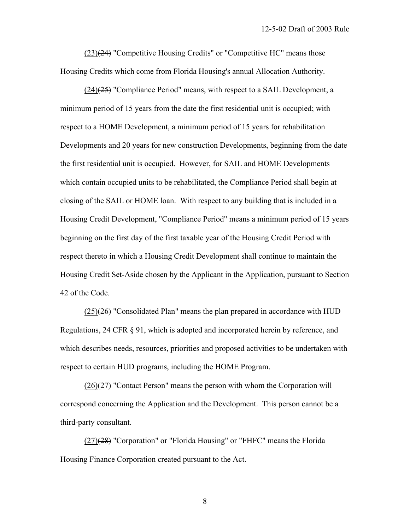$(23)(24)$  "Competitive Housing Credits" or "Competitive HC" means those Housing Credits which come from Florida Housing's annual Allocation Authority.

 $(24)$ ( $(25)$ ) "Compliance Period" means, with respect to a SAIL Development, a minimum period of 15 years from the date the first residential unit is occupied; with respect to a HOME Development, a minimum period of 15 years for rehabilitation Developments and 20 years for new construction Developments, beginning from the date the first residential unit is occupied. However, for SAIL and HOME Developments which contain occupied units to be rehabilitated, the Compliance Period shall begin at closing of the SAIL or HOME loan. With respect to any building that is included in a Housing Credit Development, "Compliance Period" means a minimum period of 15 years beginning on the first day of the first taxable year of the Housing Credit Period with respect thereto in which a Housing Credit Development shall continue to maintain the Housing Credit Set-Aside chosen by the Applicant in the Application, pursuant to Section 42 of the Code.

 $(25)(26)$  "Consolidated Plan" means the plan prepared in accordance with HUD Regulations, 24 CFR § 91, which is adopted and incorporated herein by reference, and which describes needs, resources, priorities and proposed activities to be undertaken with respect to certain HUD programs, including the HOME Program.

 $(26)(27)$  "Contact Person" means the person with whom the Corporation will correspond concerning the Application and the Development. This person cannot be a third-party consultant.

 (27)(28) "Corporation" or "Florida Housing" or "FHFC" means the Florida Housing Finance Corporation created pursuant to the Act.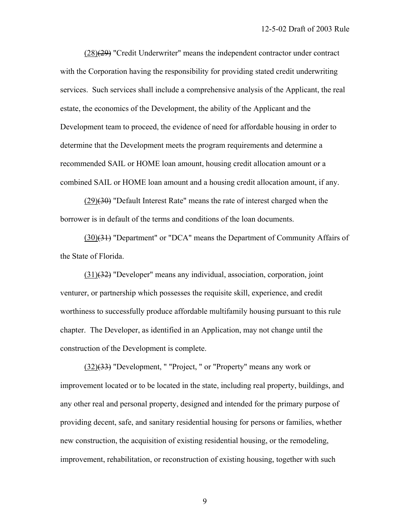$(28)(29)$  "Credit Underwriter" means the independent contractor under contract with the Corporation having the responsibility for providing stated credit underwriting services. Such services shall include a comprehensive analysis of the Applicant, the real estate, the economics of the Development, the ability of the Applicant and the Development team to proceed, the evidence of need for affordable housing in order to determine that the Development meets the program requirements and determine a recommended SAIL or HOME loan amount, housing credit allocation amount or a combined SAIL or HOME loan amount and a housing credit allocation amount, if any.

 (29)(30) "Default Interest Rate" means the rate of interest charged when the borrower is in default of the terms and conditions of the loan documents.

 (30)(31) "Department" or "DCA" means the Department of Community Affairs of the State of Florida.

 (31)(32) "Developer" means any individual, association, corporation, joint venturer, or partnership which possesses the requisite skill, experience, and credit worthiness to successfully produce affordable multifamily housing pursuant to this rule chapter. The Developer, as identified in an Application, may not change until the construction of the Development is complete.

 (32)(33) "Development, " "Project, " or "Property" means any work or improvement located or to be located in the state, including real property, buildings, and any other real and personal property, designed and intended for the primary purpose of providing decent, safe, and sanitary residential housing for persons or families, whether new construction, the acquisition of existing residential housing, or the remodeling, improvement, rehabilitation, or reconstruction of existing housing, together with such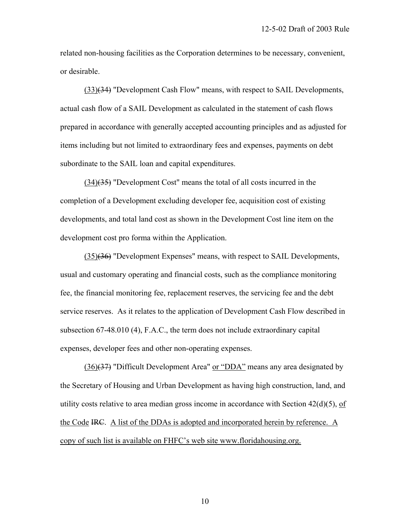related non-housing facilities as the Corporation determines to be necessary, convenient, or desirable.

 (33)(34) "Development Cash Flow" means, with respect to SAIL Developments, actual cash flow of a SAIL Development as calculated in the statement of cash flows prepared in accordance with generally accepted accounting principles and as adjusted for items including but not limited to extraordinary fees and expenses, payments on debt subordinate to the SAIL loan and capital expenditures.

 (34)(35) "Development Cost" means the total of all costs incurred in the completion of a Development excluding developer fee, acquisition cost of existing developments, and total land cost as shown in the Development Cost line item on the development cost pro forma within the Application.

 (35)(36) "Development Expenses" means, with respect to SAIL Developments, usual and customary operating and financial costs, such as the compliance monitoring fee, the financial monitoring fee, replacement reserves, the servicing fee and the debt service reserves. As it relates to the application of Development Cash Flow described in subsection 67-48.010 (4), F.A.C., the term does not include extraordinary capital expenses, developer fees and other non-operating expenses.

 (36)(37) "Difficult Development Area" or "DDA" means any area designated by the Secretary of Housing and Urban Development as having high construction, land, and utility costs relative to area median gross income in accordance with Section  $42(d)(5)$ , of the Code IRC. A list of the DDAs is adopted and incorporated herein by reference. A copy of such list is available on FHFC's web site www.floridahousing.org.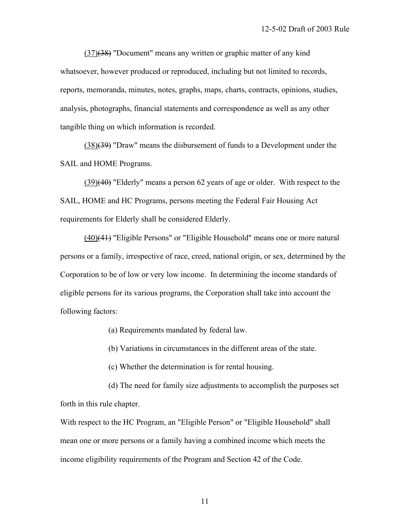(37)(38) "Document" means any written or graphic matter of any kind whatsoever, however produced or reproduced, including but not limited to records, reports, memoranda, minutes, notes, graphs, maps, charts, contracts, opinions, studies, analysis, photographs, financial statements and correspondence as well as any other tangible thing on which information is recorded.

 $(38)$ (39) "Draw" means the disbursement of funds to a Development under the SAIL and HOME Programs.

 (39)(40) "Elderly" means a person 62 years of age or older. With respect to the SAIL, HOME and HC Programs, persons meeting the Federal Fair Housing Act requirements for Elderly shall be considered Elderly.

 (40)(41) "Eligible Persons" or "Eligible Household" means one or more natural persons or a family, irrespective of race, creed, national origin, or sex, determined by the Corporation to be of low or very low income. In determining the income standards of eligible persons for its various programs, the Corporation shall take into account the following factors:

(a) Requirements mandated by federal law.

(b) Variations in circumstances in the different areas of the state.

(c) Whether the determination is for rental housing.

 (d) The need for family size adjustments to accomplish the purposes set forth in this rule chapter.

With respect to the HC Program, an "Eligible Person" or "Eligible Household" shall mean one or more persons or a family having a combined income which meets the income eligibility requirements of the Program and Section 42 of the Code.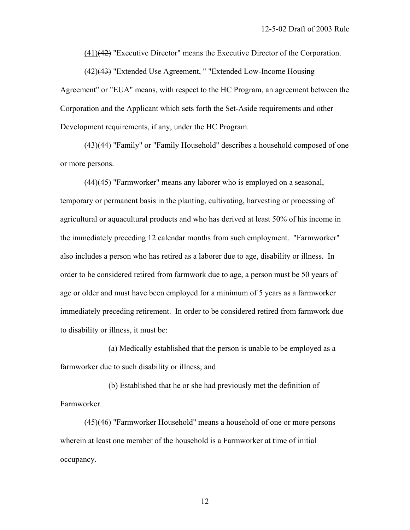(41)(42) "Executive Director" means the Executive Director of the Corporation.

 (42)(43) "Extended Use Agreement, " "Extended Low-Income Housing Agreement" or "EUA" means, with respect to the HC Program, an agreement between the Corporation and the Applicant which sets forth the Set-Aside requirements and other Development requirements, if any, under the HC Program.

 (43)(44) "Family" or "Family Household" describes a household composed of one or more persons.

 (44)(45) "Farmworker" means any laborer who is employed on a seasonal, temporary or permanent basis in the planting, cultivating, harvesting or processing of agricultural or aquacultural products and who has derived at least 50% of his income in the immediately preceding 12 calendar months from such employment. "Farmworker" also includes a person who has retired as a laborer due to age, disability or illness. In order to be considered retired from farmwork due to age, a person must be 50 years of age or older and must have been employed for a minimum of 5 years as a farmworker immediately preceding retirement. In order to be considered retired from farmwork due to disability or illness, it must be:

 (a) Medically established that the person is unable to be employed as a farmworker due to such disability or illness; and

 (b) Established that he or she had previously met the definition of Farmworker.

 (45)(46) "Farmworker Household" means a household of one or more persons wherein at least one member of the household is a Farmworker at time of initial occupancy.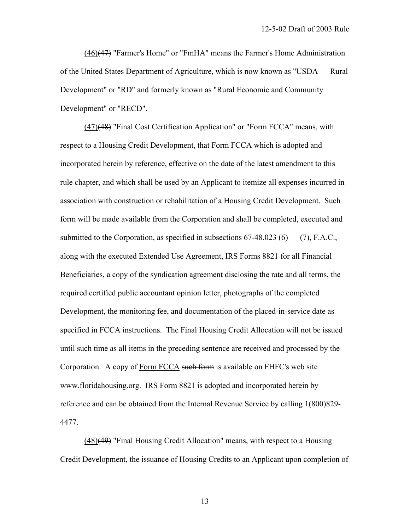(46)(47) "Farmer's Home" or "FmHA" means the Farmer's Home Administration of the United States Department of Agriculture, which is now known as "USDA — Rural Development" or "RD" and formerly known as "Rural Economic and Community Development" or "RECD".

 (47)(48) "Final Cost Certification Application" or "Form FCCA" means, with respect to a Housing Credit Development, that Form FCCA which is adopted and incorporated herein by reference, effective on the date of the latest amendment to this rule chapter, and which shall be used by an Applicant to itemize all expenses incurred in association with construction or rehabilitation of a Housing Credit Development. Such form will be made available from the Corporation and shall be completed, executed and submitted to the Corporation, as specified in subsections  $67-48.023$  (6) — (7), F.A.C., along with the executed Extended Use Agreement, IRS Forms 8821 for all Financial Beneficiaries, a copy of the syndication agreement disclosing the rate and all terms, the required certified public accountant opinion letter, photographs of the completed Development, the monitoring fee, and documentation of the placed-in-service date as specified in FCCA instructions. The Final Housing Credit Allocation will not be issued until such time as all items in the preceding sentence are received and processed by the Corporation. A copy of Form FCCA such form is available on FHFC's web site www.floridahousing.org. IRS Form 8821 is adopted and incorporated herein by reference and can be obtained from the Internal Revenue Service by calling 1(800)829- 4477.

 (48)(49) "Final Housing Credit Allocation" means, with respect to a Housing Credit Development, the issuance of Housing Credits to an Applicant upon completion of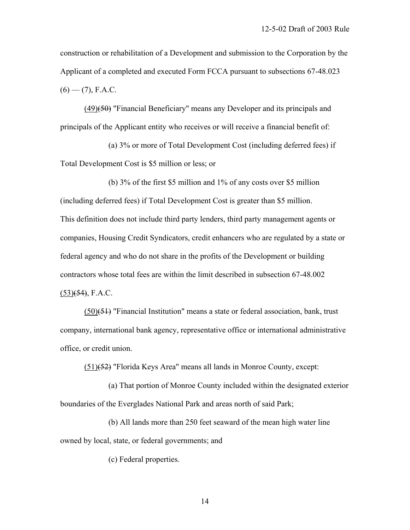construction or rehabilitation of a Development and submission to the Corporation by the Applicant of a completed and executed Form FCCA pursuant to subsections 67-48.023  $(6)$  — (7), F.A.C.

 (49)(50) "Financial Beneficiary" means any Developer and its principals and principals of the Applicant entity who receives or will receive a financial benefit of:

 (a) 3% or more of Total Development Cost (including deferred fees) if Total Development Cost is \$5 million or less; or

 (b) 3% of the first \$5 million and 1% of any costs over \$5 million (including deferred fees) if Total Development Cost is greater than \$5 million. This definition does not include third party lenders, third party management agents or companies, Housing Credit Syndicators, credit enhancers who are regulated by a state or federal agency and who do not share in the profits of the Development or building contractors whose total fees are within the limit described in subsection 67-48.002  $(53)(54)$ , F.A.C.

 (50)(51) "Financial Institution" means a state or federal association, bank, trust company, international bank agency, representative office or international administrative office, or credit union.

(51)(52) "Florida Keys Area" means all lands in Monroe County, except:

 (a) That portion of Monroe County included within the designated exterior boundaries of the Everglades National Park and areas north of said Park;

 (b) All lands more than 250 feet seaward of the mean high water line owned by local, state, or federal governments; and

(c) Federal properties.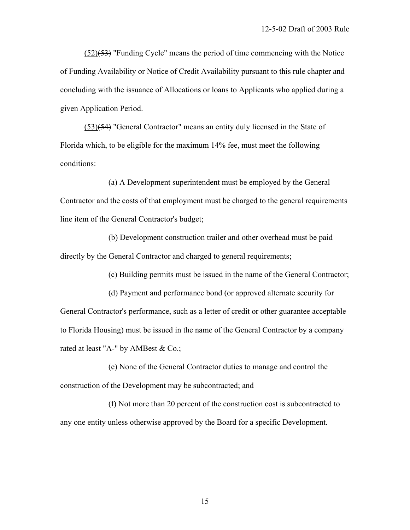$(52)(53)$  "Funding Cycle" means the period of time commencing with the Notice of Funding Availability or Notice of Credit Availability pursuant to this rule chapter and concluding with the issuance of Allocations or loans to Applicants who applied during a given Application Period.

 (53)(54) "General Contractor" means an entity duly licensed in the State of Florida which, to be eligible for the maximum 14% fee, must meet the following conditions:

 (a) A Development superintendent must be employed by the General Contractor and the costs of that employment must be charged to the general requirements line item of the General Contractor's budget;

 (b) Development construction trailer and other overhead must be paid directly by the General Contractor and charged to general requirements;

(c) Building permits must be issued in the name of the General Contractor;

 (d) Payment and performance bond (or approved alternate security for General Contractor's performance, such as a letter of credit or other guarantee acceptable to Florida Housing) must be issued in the name of the General Contractor by a company rated at least "A-" by AMBest & Co.;

 (e) None of the General Contractor duties to manage and control the construction of the Development may be subcontracted; and

 (f) Not more than 20 percent of the construction cost is subcontracted to any one entity unless otherwise approved by the Board for a specific Development.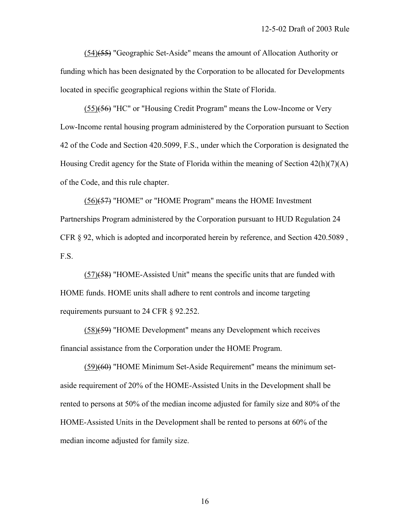(54)(55) "Geographic Set-Aside" means the amount of Allocation Authority or funding which has been designated by the Corporation to be allocated for Developments located in specific geographical regions within the State of Florida.

 (55)(56) "HC" or "Housing Credit Program" means the Low-Income or Very Low-Income rental housing program administered by the Corporation pursuant to Section 42 of the Code and Section 420.5099, F.S., under which the Corporation is designated the Housing Credit agency for the State of Florida within the meaning of Section 42(h)(7)(A) of the Code, and this rule chapter.

 (56)(57) "HOME" or "HOME Program" means the HOME Investment Partnerships Program administered by the Corporation pursuant to HUD Regulation 24 CFR § 92, which is adopted and incorporated herein by reference, and Section 420.5089 , F.S.

 (57)(58) "HOME-Assisted Unit" means the specific units that are funded with HOME funds. HOME units shall adhere to rent controls and income targeting requirements pursuant to 24 CFR § 92.252.

 (58)(59) "HOME Development" means any Development which receives financial assistance from the Corporation under the HOME Program.

 (59)(60) "HOME Minimum Set-Aside Requirement" means the minimum setaside requirement of 20% of the HOME-Assisted Units in the Development shall be rented to persons at 50% of the median income adjusted for family size and 80% of the HOME-Assisted Units in the Development shall be rented to persons at 60% of the median income adjusted for family size.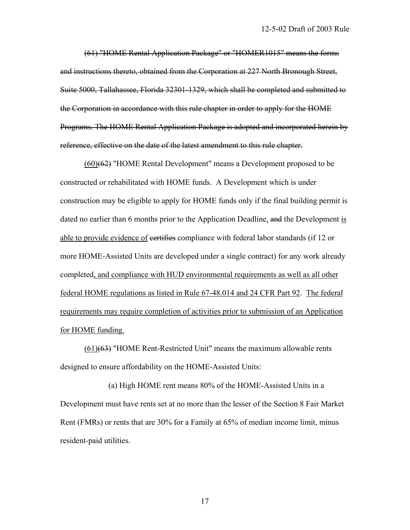(61) "HOME Rental Application Package" or "HOMER1015" means the forms and instructions thereto, obtained from the Corporation at 227 North Bronough Street, Suite 5000, Tallahassee, Florida 32301-1329, which shall be completed and submitted to the Corporation in accordance with this rule chapter in order to apply for the HOME Programs. The HOME Rental Application Package is adopted and incorporated herein by reference, effective on the date of the latest amendment to this rule chapter.

 (60)(62) "HOME Rental Development" means a Development proposed to be constructed or rehabilitated with HOME funds. A Development which is under construction may be eligible to apply for HOME funds only if the final building permit is dated no earlier than 6 months prior to the Application Deadline, and the Development is able to provide evidence of eertifies compliance with federal labor standards (if 12 or more HOME-Assisted Units are developed under a single contract) for any work already completed, and compliance with HUD environmental requirements as well as all other federal HOME regulations as listed in Rule 67-48.014 and 24 CFR Part 92. The federal requirements may require completion of activities prior to submission of an Application for HOME funding.

 $(61)$ ( $63$ ) "HOME Rent-Restricted Unit" means the maximum allowable rents designed to ensure affordability on the HOME-Assisted Units:

 (a) High HOME rent means 80% of the HOME-Assisted Units in a Development must have rents set at no more than the lesser of the Section 8 Fair Market Rent (FMRs) or rents that are 30% for a Family at 65% of median income limit, minus resident-paid utilities.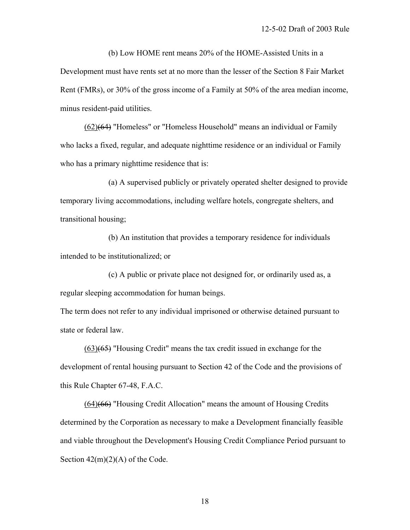(b) Low HOME rent means 20% of the HOME-Assisted Units in a Development must have rents set at no more than the lesser of the Section 8 Fair Market Rent (FMRs), or 30% of the gross income of a Family at 50% of the area median income, minus resident-paid utilities.

 (62)(64) "Homeless" or "Homeless Household" means an individual or Family who lacks a fixed, regular, and adequate nighttime residence or an individual or Family who has a primary nighttime residence that is:

 (a) A supervised publicly or privately operated shelter designed to provide temporary living accommodations, including welfare hotels, congregate shelters, and transitional housing;

 (b) An institution that provides a temporary residence for individuals intended to be institutionalized; or

 (c) A public or private place not designed for, or ordinarily used as, a regular sleeping accommodation for human beings.

The term does not refer to any individual imprisoned or otherwise detained pursuant to state or federal law.

 $(63)(65)$  "Housing Credit" means the tax credit issued in exchange for the development of rental housing pursuant to Section 42 of the Code and the provisions of this Rule Chapter 67-48, F.A.C.

 (64)(66) "Housing Credit Allocation" means the amount of Housing Credits determined by the Corporation as necessary to make a Development financially feasible and viable throughout the Development's Housing Credit Compliance Period pursuant to Section  $42(m)(2)(A)$  of the Code.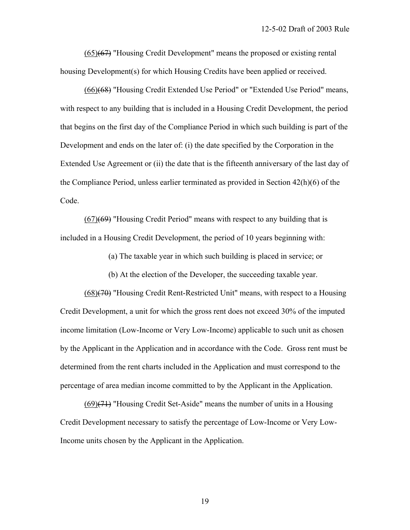$(65)$  $(67)$  "Housing Credit Development" means the proposed or existing rental housing Development(s) for which Housing Credits have been applied or received.

 (66)(68) "Housing Credit Extended Use Period" or "Extended Use Period" means, with respect to any building that is included in a Housing Credit Development, the period that begins on the first day of the Compliance Period in which such building is part of the Development and ends on the later of: (i) the date specified by the Corporation in the Extended Use Agreement or (ii) the date that is the fifteenth anniversary of the last day of the Compliance Period, unless earlier terminated as provided in Section 42(h)(6) of the Code.

 $(67)(69)$  "Housing Credit Period" means with respect to any building that is included in a Housing Credit Development, the period of 10 years beginning with:

(a) The taxable year in which such building is placed in service; or

(b) At the election of the Developer, the succeeding taxable year.

 (68)(70) "Housing Credit Rent-Restricted Unit" means, with respect to a Housing Credit Development, a unit for which the gross rent does not exceed 30% of the imputed income limitation (Low-Income or Very Low-Income) applicable to such unit as chosen by the Applicant in the Application and in accordance with the Code. Gross rent must be determined from the rent charts included in the Application and must correspond to the percentage of area median income committed to by the Applicant in the Application.

 $(69)(71)$  "Housing Credit Set-Aside" means the number of units in a Housing Credit Development necessary to satisfy the percentage of Low-Income or Very Low-Income units chosen by the Applicant in the Application.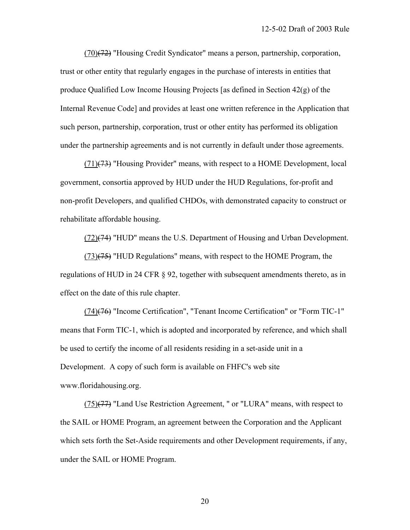(70)(72) "Housing Credit Syndicator" means a person, partnership, corporation, trust or other entity that regularly engages in the purchase of interests in entities that produce Qualified Low Income Housing Projects [as defined in Section 42(g) of the Internal Revenue Code] and provides at least one written reference in the Application that such person, partnership, corporation, trust or other entity has performed its obligation under the partnership agreements and is not currently in default under those agreements.

 $(71)(73)$  "Housing Provider" means, with respect to a HOME Development, local government, consortia approved by HUD under the HUD Regulations, for-profit and non-profit Developers, and qualified CHDOs, with demonstrated capacity to construct or rehabilitate affordable housing.

 $(72)(74)$  "HUD" means the U.S. Department of Housing and Urban Development.

 $(73)(75)$  "HUD Regulations" means, with respect to the HOME Program, the regulations of HUD in 24 CFR § 92, together with subsequent amendments thereto, as in effect on the date of this rule chapter.

 (74)(76) "Income Certification", "Tenant Income Certification" or "Form TIC-1" means that Form TIC-1, which is adopted and incorporated by reference, and which shall be used to certify the income of all residents residing in a set-aside unit in a Development. A copy of such form is available on FHFC's web site www.floridahousing.org.

 $(75)(77)$  "Land Use Restriction Agreement, " or "LURA" means, with respect to the SAIL or HOME Program, an agreement between the Corporation and the Applicant which sets forth the Set-Aside requirements and other Development requirements, if any, under the SAIL or HOME Program.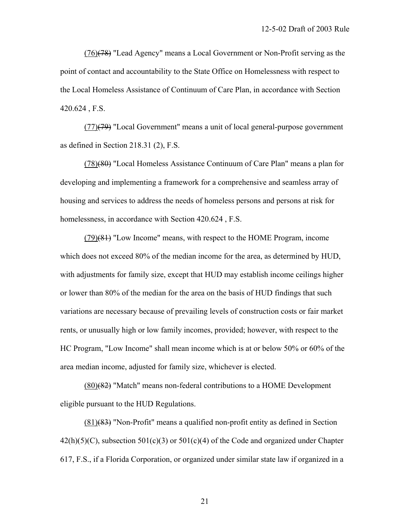$(76)(78)$  "Lead Agency" means a Local Government or Non-Profit serving as the point of contact and accountability to the State Office on Homelessness with respect to the Local Homeless Assistance of Continuum of Care Plan, in accordance with Section 420.624 , F.S.

 (77)(79) "Local Government" means a unit of local general-purpose government as defined in Section 218.31 (2), F.S.

 (78)(80) "Local Homeless Assistance Continuum of Care Plan" means a plan for developing and implementing a framework for a comprehensive and seamless array of housing and services to address the needs of homeless persons and persons at risk for homelessness, in accordance with Section 420.624 , F.S.

 $(79)(81)$  "Low Income" means, with respect to the HOME Program, income which does not exceed 80% of the median income for the area, as determined by HUD, with adjustments for family size, except that HUD may establish income ceilings higher or lower than 80% of the median for the area on the basis of HUD findings that such variations are necessary because of prevailing levels of construction costs or fair market rents, or unusually high or low family incomes, provided; however, with respect to the HC Program, "Low Income" shall mean income which is at or below 50% or 60% of the area median income, adjusted for family size, whichever is elected.

 (80)(82) "Match" means non-federal contributions to a HOME Development eligible pursuant to the HUD Regulations.

 $(81)$ (83) "Non-Profit" means a qualified non-profit entity as defined in Section  $42(h)(5)(C)$ , subsection  $501(c)(3)$  or  $501(c)(4)$  of the Code and organized under Chapter 617, F.S., if a Florida Corporation, or organized under similar state law if organized in a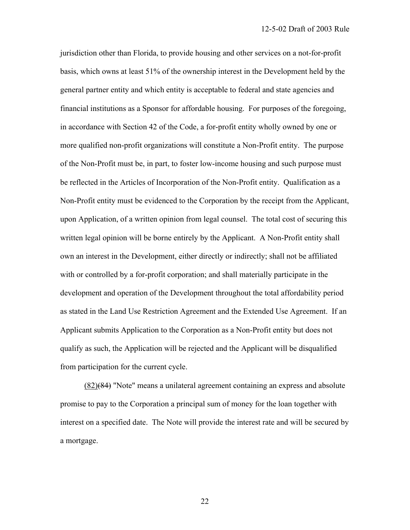jurisdiction other than Florida, to provide housing and other services on a not-for-profit basis, which owns at least 51% of the ownership interest in the Development held by the general partner entity and which entity is acceptable to federal and state agencies and financial institutions as a Sponsor for affordable housing. For purposes of the foregoing, in accordance with Section 42 of the Code, a for-profit entity wholly owned by one or more qualified non-profit organizations will constitute a Non-Profit entity. The purpose of the Non-Profit must be, in part, to foster low-income housing and such purpose must be reflected in the Articles of Incorporation of the Non-Profit entity. Qualification as a Non-Profit entity must be evidenced to the Corporation by the receipt from the Applicant, upon Application, of a written opinion from legal counsel. The total cost of securing this written legal opinion will be borne entirely by the Applicant. A Non-Profit entity shall own an interest in the Development, either directly or indirectly; shall not be affiliated with or controlled by a for-profit corporation; and shall materially participate in the development and operation of the Development throughout the total affordability period as stated in the Land Use Restriction Agreement and the Extended Use Agreement. If an Applicant submits Application to the Corporation as a Non-Profit entity but does not qualify as such, the Application will be rejected and the Applicant will be disqualified from participation for the current cycle.

 (82)(84) "Note" means a unilateral agreement containing an express and absolute promise to pay to the Corporation a principal sum of money for the loan together with interest on a specified date. The Note will provide the interest rate and will be secured by a mortgage.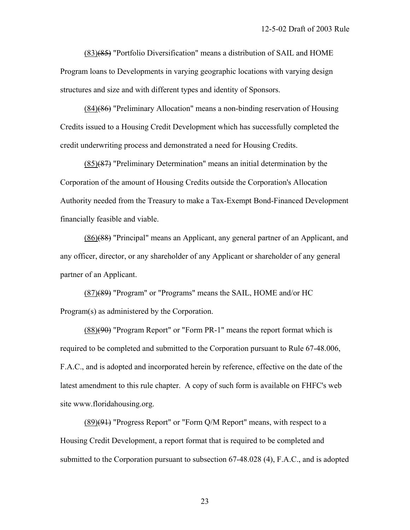$(83)(85)$  "Portfolio Diversification" means a distribution of SAIL and HOME Program loans to Developments in varying geographic locations with varying design structures and size and with different types and identity of Sponsors.

 (84)(86) "Preliminary Allocation" means a non-binding reservation of Housing Credits issued to a Housing Credit Development which has successfully completed the credit underwriting process and demonstrated a need for Housing Credits.

 (85)(87) "Preliminary Determination" means an initial determination by the Corporation of the amount of Housing Credits outside the Corporation's Allocation Authority needed from the Treasury to make a Tax-Exempt Bond-Financed Development financially feasible and viable.

 (86)(88) "Principal" means an Applicant, any general partner of an Applicant, and any officer, director, or any shareholder of any Applicant or shareholder of any general partner of an Applicant.

 (87)(89) "Program" or "Programs" means the SAIL, HOME and/or HC Program(s) as administered by the Corporation.

 (88)(90) "Program Report" or "Form PR-1" means the report format which is required to be completed and submitted to the Corporation pursuant to Rule 67-48.006, F.A.C., and is adopted and incorporated herein by reference, effective on the date of the latest amendment to this rule chapter. A copy of such form is available on FHFC's web site www.floridahousing.org.

 $(89)(91)$  "Progress Report" or "Form Q/M Report" means, with respect to a Housing Credit Development, a report format that is required to be completed and submitted to the Corporation pursuant to subsection 67-48.028 (4), F.A.C., and is adopted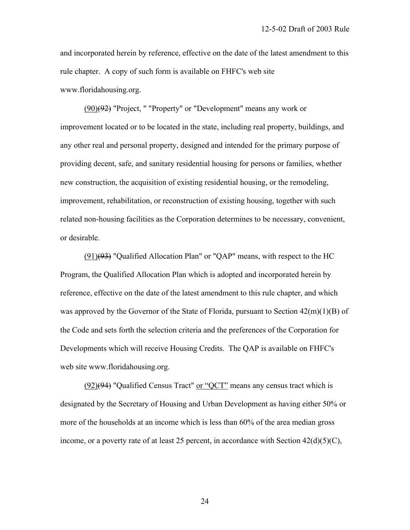and incorporated herein by reference, effective on the date of the latest amendment to this rule chapter. A copy of such form is available on FHFC's web site www.floridahousing.org.

 $(90)(92)$  "Project, " "Property" or "Development" means any work or improvement located or to be located in the state, including real property, buildings, and any other real and personal property, designed and intended for the primary purpose of providing decent, safe, and sanitary residential housing for persons or families, whether new construction, the acquisition of existing residential housing, or the remodeling, improvement, rehabilitation, or reconstruction of existing housing, together with such related non-housing facilities as the Corporation determines to be necessary, convenient, or desirable.

 $(91)(93)$  "Qualified Allocation Plan" or "QAP" means, with respect to the HC Program, the Qualified Allocation Plan which is adopted and incorporated herein by reference, effective on the date of the latest amendment to this rule chapter, and which was approved by the Governor of the State of Florida, pursuant to Section  $42(m)(1)(B)$  of the Code and sets forth the selection criteria and the preferences of the Corporation for Developments which will receive Housing Credits. The QAP is available on FHFC's web site www.floridahousing.org.

 $(92)(94)$  "Qualified Census Tract" or "QCT" means any census tract which is designated by the Secretary of Housing and Urban Development as having either 50% or more of the households at an income which is less than 60% of the area median gross income, or a poverty rate of at least 25 percent, in accordance with Section  $42(d)(5)(C)$ ,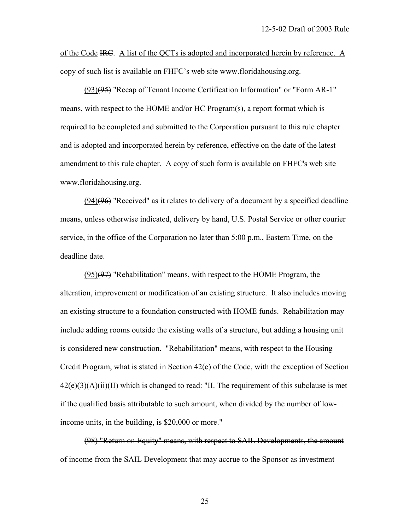of the Code IRC. A list of the QCTs is adopted and incorporated herein by reference. A copy of such list is available on FHFC's web site www.floridahousing.org.

 (93)(95) "Recap of Tenant Income Certification Information" or "Form AR-1" means, with respect to the HOME and/or HC Program(s), a report format which is required to be completed and submitted to the Corporation pursuant to this rule chapter and is adopted and incorporated herein by reference, effective on the date of the latest amendment to this rule chapter. A copy of such form is available on FHFC's web site www.floridahousing.org.

 (94)(96) "Received" as it relates to delivery of a document by a specified deadline means, unless otherwise indicated, delivery by hand, U.S. Postal Service or other courier service, in the office of the Corporation no later than 5:00 p.m., Eastern Time, on the deadline date.

 $(95)(97)$  "Rehabilitation" means, with respect to the HOME Program, the alteration, improvement or modification of an existing structure. It also includes moving an existing structure to a foundation constructed with HOME funds. Rehabilitation may include adding rooms outside the existing walls of a structure, but adding a housing unit is considered new construction. "Rehabilitation" means, with respect to the Housing Credit Program, what is stated in Section 42(e) of the Code, with the exception of Section  $42(e)(3)(A)(ii)(II)$  which is changed to read: "II. The requirement of this subclause is met if the qualified basis attributable to such amount, when divided by the number of lowincome units, in the building, is \$20,000 or more."

 (98) "Return on Equity" means, with respect to SAIL Developments, the amount of income from the SAIL Development that may accrue to the Sponsor as investment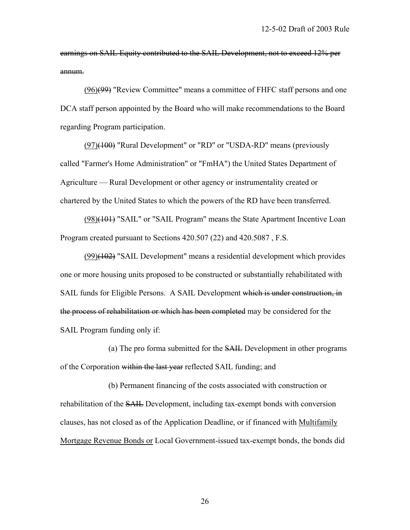earnings on SAIL Equity contributed to the SAIL Development, not to exceed 12% per annum.

 (96)(99) "Review Committee" means a committee of FHFC staff persons and one DCA staff person appointed by the Board who will make recommendations to the Board regarding Program participation.

 (97)(100) "Rural Development" or "RD" or "USDA-RD" means (previously called "Farmer's Home Administration" or "FmHA") the United States Department of Agriculture — Rural Development or other agency or instrumentality created or chartered by the United States to which the powers of the RD have been transferred.

 (98)(101) "SAIL" or "SAIL Program" means the State Apartment Incentive Loan Program created pursuant to Sections 420.507 (22) and 420.5087 , F.S.

 $(99)$  $(102)$  "SAIL Development" means a residential development which provides one or more housing units proposed to be constructed or substantially rehabilitated with SAIL funds for Eligible Persons. A SAIL Development which is under construction, in the process of rehabilitation or which has been completed may be considered for the SAIL Program funding only if:

 (a) The pro forma submitted for the SAIL Development in other programs of the Corporation within the last year reflected SAIL funding; and

 (b) Permanent financing of the costs associated with construction or rehabilitation of the SAIL Development, including tax-exempt bonds with conversion clauses, has not closed as of the Application Deadline, or if financed with Multifamily Mortgage Revenue Bonds or Local Government-issued tax-exempt bonds, the bonds did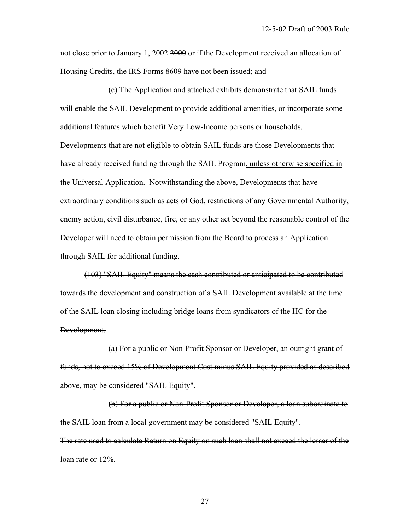not close prior to January 1, 2002 2000 or if the Development received an allocation of Housing Credits, the IRS Forms 8609 have not been issued; and

 (c) The Application and attached exhibits demonstrate that SAIL funds will enable the SAIL Development to provide additional amenities, or incorporate some additional features which benefit Very Low-Income persons or households. Developments that are not eligible to obtain SAIL funds are those Developments that have already received funding through the SAIL Program, unless otherwise specified in the Universal Application. Notwithstanding the above, Developments that have extraordinary conditions such as acts of God, restrictions of any Governmental Authority, enemy action, civil disturbance, fire, or any other act beyond the reasonable control of the Developer will need to obtain permission from the Board to process an Application through SAIL for additional funding.

 (103) "SAIL Equity" means the cash contributed or anticipated to be contributed towards the development and construction of a SAIL Development available at the time of the SAIL loan closing including bridge loans from syndicators of the HC for the Development.

 (a) For a public or Non-Profit Sponsor or Developer, an outright grant of funds, not to exceed 15% of Development Cost minus SAIL Equity provided as described above, may be considered "SAIL Equity".

 (b) For a public or Non-Profit Sponsor or Developer, a loan subordinate to the SAIL loan from a local government may be considered "SAIL Equity". The rate used to calculate Return on Equity on such loan shall not exceed the lesser of the loan rate or 12%.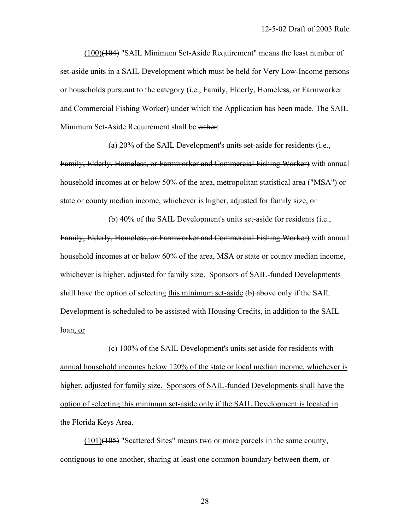(100)(104) "SAIL Minimum Set-Aside Requirement" means the least number of set-aside units in a SAIL Development which must be held for Very Low-Income persons or households pursuant to the category (i.e., Family, Elderly, Homeless, or Farmworker and Commercial Fishing Worker) under which the Application has been made. The SAIL Minimum Set-Aside Requirement shall be either:

(a) 20% of the SAIL Development's units set-aside for residents  $(i.e.,$ Family, Elderly, Homeless, or Farmworker and Commercial Fishing Worker) with annual household incomes at or below 50% of the area, metropolitan statistical area ("MSA") or

state or county median income, whichever is higher, adjusted for family size, or

(b) 40% of the SAIL Development's units set-aside for residents  $\ddot{\theta}$ . Family, Elderly, Homeless, or Farmworker and Commercial Fishing Worker) with annual household incomes at or below 60% of the area, MSA or state or county median income, whichever is higher, adjusted for family size. Sponsors of SAIL-funded Developments shall have the option of selecting this minimum set-aside (b) above only if the SAIL Development is scheduled to be assisted with Housing Credits, in addition to the SAIL loan, or

 (c) 100% of the SAIL Development's units set aside for residents with annual household incomes below 120% of the state or local median income, whichever is higher, adjusted for family size. Sponsors of SAIL-funded Developments shall have the option of selecting this minimum set-aside only if the SAIL Development is located in the Florida Keys Area.

 (101)(105) "Scattered Sites" means two or more parcels in the same county, contiguous to one another, sharing at least one common boundary between them, or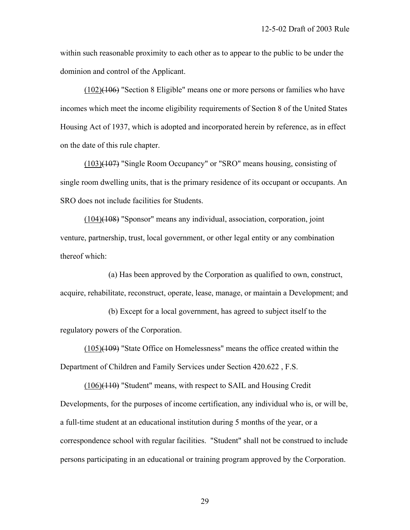within such reasonable proximity to each other as to appear to the public to be under the dominion and control of the Applicant.

 (102)(106) "Section 8 Eligible" means one or more persons or families who have incomes which meet the income eligibility requirements of Section 8 of the United States Housing Act of 1937, which is adopted and incorporated herein by reference, as in effect on the date of this rule chapter.

 (103)(107) "Single Room Occupancy" or "SRO" means housing, consisting of single room dwelling units, that is the primary residence of its occupant or occupants. An SRO does not include facilities for Students.

 (104)(108) "Sponsor" means any individual, association, corporation, joint venture, partnership, trust, local government, or other legal entity or any combination thereof which:

 (a) Has been approved by the Corporation as qualified to own, construct, acquire, rehabilitate, reconstruct, operate, lease, manage, or maintain a Development; and

 (b) Except for a local government, has agreed to subject itself to the regulatory powers of the Corporation.

 (105)(109) "State Office on Homelessness" means the office created within the Department of Children and Family Services under Section 420.622 , F.S.

 (106)(110) "Student" means, with respect to SAIL and Housing Credit Developments, for the purposes of income certification, any individual who is, or will be, a full-time student at an educational institution during 5 months of the year, or a correspondence school with regular facilities. "Student" shall not be construed to include persons participating in an educational or training program approved by the Corporation.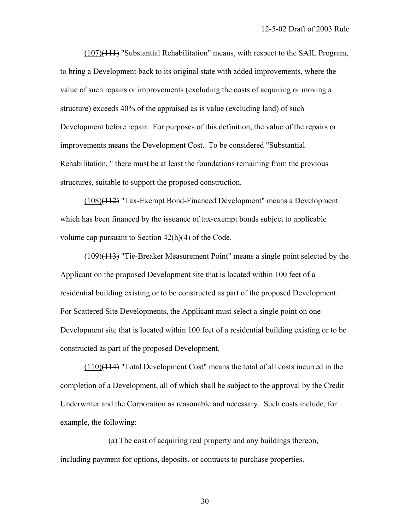(107)(111) "Substantial Rehabilitation" means, with respect to the SAIL Program, to bring a Development back to its original state with added improvements, where the value of such repairs or improvements (excluding the costs of acquiring or moving a structure) exceeds 40% of the appraised as is value (excluding land) of such Development before repair. For purposes of this definition, the value of the repairs or improvements means the Development Cost. To be considered "Substantial Rehabilitation, " there must be at least the foundations remaining from the previous structures, suitable to support the proposed construction.

 (108)(112) "Tax-Exempt Bond-Financed Development" means a Development which has been financed by the issuance of tax-exempt bonds subject to applicable volume cap pursuant to Section 42(h)(4) of the Code.

 (109)(113) "Tie-Breaker Measurement Point" means a single point selected by the Applicant on the proposed Development site that is located within 100 feet of a residential building existing or to be constructed as part of the proposed Development. For Scattered Site Developments, the Applicant must select a single point on one Development site that is located within 100 feet of a residential building existing or to be constructed as part of the proposed Development.

 (110)(114) "Total Development Cost" means the total of all costs incurred in the completion of a Development, all of which shall be subject to the approval by the Credit Underwriter and the Corporation as reasonable and necessary. Such costs include, for example, the following:

 (a) The cost of acquiring real property and any buildings thereon, including payment for options, deposits, or contracts to purchase properties.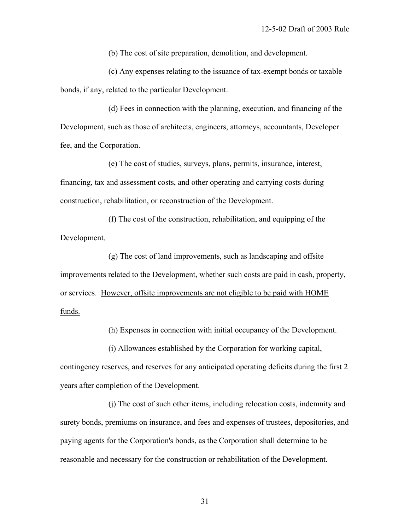(b) The cost of site preparation, demolition, and development.

 (c) Any expenses relating to the issuance of tax-exempt bonds or taxable bonds, if any, related to the particular Development.

 (d) Fees in connection with the planning, execution, and financing of the Development, such as those of architects, engineers, attorneys, accountants, Developer fee, and the Corporation.

 (e) The cost of studies, surveys, plans, permits, insurance, interest, financing, tax and assessment costs, and other operating and carrying costs during construction, rehabilitation, or reconstruction of the Development.

 (f) The cost of the construction, rehabilitation, and equipping of the Development.

 (g) The cost of land improvements, such as landscaping and offsite improvements related to the Development, whether such costs are paid in cash, property, or services. However, offsite improvements are not eligible to be paid with HOME funds.

(h) Expenses in connection with initial occupancy of the Development.

(i) Allowances established by the Corporation for working capital,

contingency reserves, and reserves for any anticipated operating deficits during the first 2 years after completion of the Development.

 (j) The cost of such other items, including relocation costs, indemnity and surety bonds, premiums on insurance, and fees and expenses of trustees, depositories, and paying agents for the Corporation's bonds, as the Corporation shall determine to be reasonable and necessary for the construction or rehabilitation of the Development.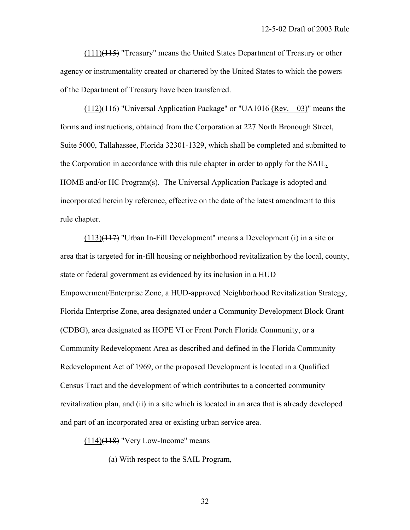$(111)$ ( $115$ ) "Treasury" means the United States Department of Treasury or other agency or instrumentality created or chartered by the United States to which the powers of the Department of Treasury have been transferred.

 $(112)(116)$  "Universal Application Package" or "UA1016 (Rev. 03)" means the forms and instructions, obtained from the Corporation at 227 North Bronough Street, Suite 5000, Tallahassee, Florida 32301-1329, which shall be completed and submitted to the Corporation in accordance with this rule chapter in order to apply for the SAIL, HOME and/or HC Program(s). The Universal Application Package is adopted and incorporated herein by reference, effective on the date of the latest amendment to this rule chapter.

 (113)(117) "Urban In-Fill Development" means a Development (i) in a site or area that is targeted for in-fill housing or neighborhood revitalization by the local, county, state or federal government as evidenced by its inclusion in a HUD Empowerment/Enterprise Zone, a HUD-approved Neighborhood Revitalization Strategy, Florida Enterprise Zone, area designated under a Community Development Block Grant (CDBG), area designated as HOPE VI or Front Porch Florida Community, or a Community Redevelopment Area as described and defined in the Florida Community Redevelopment Act of 1969, or the proposed Development is located in a Qualified Census Tract and the development of which contributes to a concerted community revitalization plan, and (ii) in a site which is located in an area that is already developed and part of an incorporated area or existing urban service area.

 $(114)$ (118) "Very Low-Income" means

(a) With respect to the SAIL Program,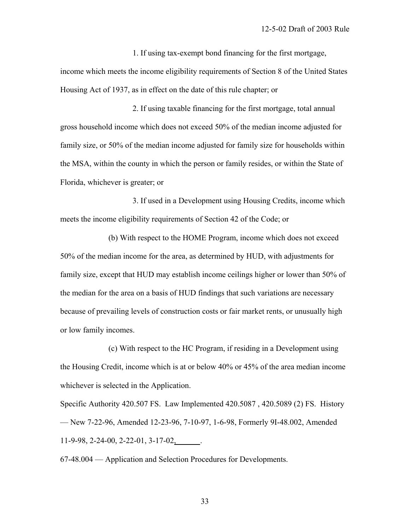1. If using tax-exempt bond financing for the first mortgage, income which meets the income eligibility requirements of Section 8 of the United States Housing Act of 1937, as in effect on the date of this rule chapter; or

 2. If using taxable financing for the first mortgage, total annual gross household income which does not exceed 50% of the median income adjusted for family size, or 50% of the median income adjusted for family size for households within the MSA, within the county in which the person or family resides, or within the State of Florida, whichever is greater; or

 3. If used in a Development using Housing Credits, income which meets the income eligibility requirements of Section 42 of the Code; or

 (b) With respect to the HOME Program, income which does not exceed 50% of the median income for the area, as determined by HUD, with adjustments for family size, except that HUD may establish income ceilings higher or lower than 50% of the median for the area on a basis of HUD findings that such variations are necessary because of prevailing levels of construction costs or fair market rents, or unusually high or low family incomes.

 (c) With respect to the HC Program, if residing in a Development using the Housing Credit, income which is at or below 40% or 45% of the area median income whichever is selected in the Application.

Specific Authority 420.507 FS. Law Implemented 420.5087 , 420.5089 (2) FS. History — New 7-22-96, Amended 12-23-96, 7-10-97, 1-6-98, Formerly 9I-48.002, Amended 11-9-98, 2-24-00, 2-22-01, 3-17-02,\_\_\_\_\_\_.

67-48.004 — Application and Selection Procedures for Developments.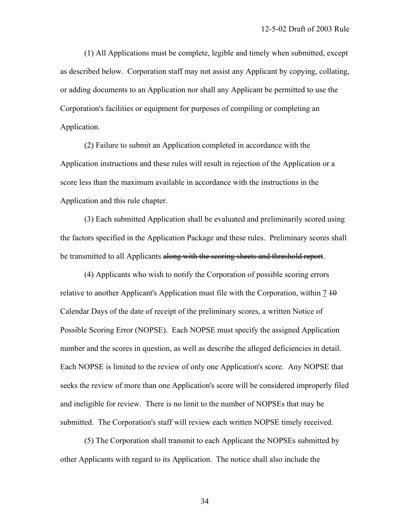(1) All Applications must be complete, legible and timely when submitted, except as described below. Corporation staff may not assist any Applicant by copying, collating, or adding documents to an Application nor shall any Applicant be permitted to use the Corporation's facilities or equipment for purposes of compiling or completing an Application.

 (2) Failure to submit an Application completed in accordance with the Application instructions and these rules will result in rejection of the Application or a score less than the maximum available in accordance with the instructions in the Application and this rule chapter.

 (3) Each submitted Application shall be evaluated and preliminarily scored using the factors specified in the Application Package and these rules. Preliminary scores shall be transmitted to all Applicants along with the scoring sheets and threshold report.

 (4) Applicants who wish to notify the Corporation of possible scoring errors relative to another Applicant's Application must file with the Corporation, within  $\frac{7}{10}$ Calendar Days of the date of receipt of the preliminary scores, a written Notice of Possible Scoring Error (NOPSE). Each NOPSE must specify the assigned Application number and the scores in question, as well as describe the alleged deficiencies in detail. Each NOPSE is limited to the review of only one Application's score. Any NOPSE that seeks the review of more than one Application's score will be considered improperly filed and ineligible for review. There is no limit to the number of NOPSEs that may be submitted. The Corporation's staff will review each written NOPSE timely received.

 (5) The Corporation shall transmit to each Applicant the NOPSEs submitted by other Applicants with regard to its Application. The notice shall also include the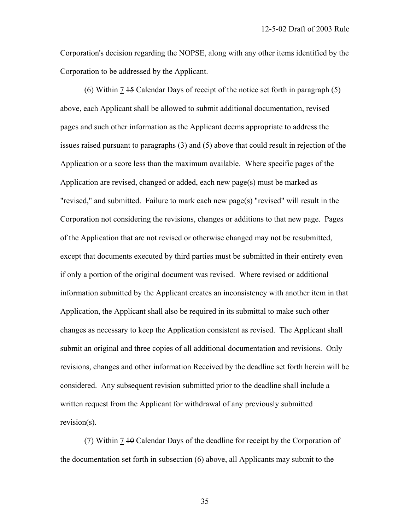Corporation's decision regarding the NOPSE, along with any other items identified by the Corporation to be addressed by the Applicant.

(6) Within  $7 + 5$  Calendar Days of receipt of the notice set forth in paragraph (5) above, each Applicant shall be allowed to submit additional documentation, revised pages and such other information as the Applicant deems appropriate to address the issues raised pursuant to paragraphs (3) and (5) above that could result in rejection of the Application or a score less than the maximum available. Where specific pages of the Application are revised, changed or added, each new page(s) must be marked as "revised," and submitted. Failure to mark each new page(s) "revised" will result in the Corporation not considering the revisions, changes or additions to that new page. Pages of the Application that are not revised or otherwise changed may not be resubmitted, except that documents executed by third parties must be submitted in their entirety even if only a portion of the original document was revised. Where revised or additional information submitted by the Applicant creates an inconsistency with another item in that Application, the Applicant shall also be required in its submittal to make such other changes as necessary to keep the Application consistent as revised. The Applicant shall submit an original and three copies of all additional documentation and revisions. Only revisions, changes and other information Received by the deadline set forth herein will be considered. Any subsequent revision submitted prior to the deadline shall include a written request from the Applicant for withdrawal of any previously submitted revision(s).

 (7) Within 7 10 Calendar Days of the deadline for receipt by the Corporation of the documentation set forth in subsection (6) above, all Applicants may submit to the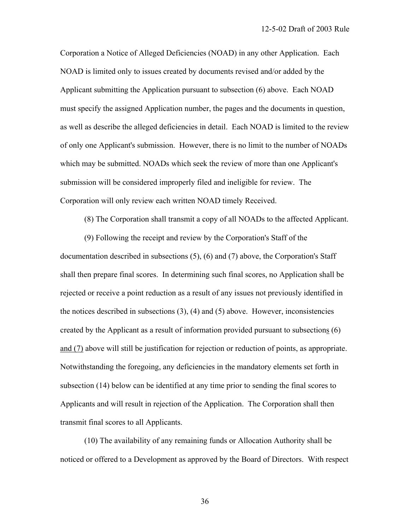Corporation a Notice of Alleged Deficiencies (NOAD) in any other Application. Each NOAD is limited only to issues created by documents revised and/or added by the Applicant submitting the Application pursuant to subsection (6) above. Each NOAD must specify the assigned Application number, the pages and the documents in question, as well as describe the alleged deficiencies in detail. Each NOAD is limited to the review of only one Applicant's submission. However, there is no limit to the number of NOADs which may be submitted. NOADs which seek the review of more than one Applicant's submission will be considered improperly filed and ineligible for review. The Corporation will only review each written NOAD timely Received.

(8) The Corporation shall transmit a copy of all NOADs to the affected Applicant.

 (9) Following the receipt and review by the Corporation's Staff of the documentation described in subsections (5), (6) and (7) above, the Corporation's Staff shall then prepare final scores. In determining such final scores, no Application shall be rejected or receive a point reduction as a result of any issues not previously identified in the notices described in subsections (3), (4) and (5) above. However, inconsistencies created by the Applicant as a result of information provided pursuant to subsections (6) and (7) above will still be justification for rejection or reduction of points, as appropriate. Notwithstanding the foregoing, any deficiencies in the mandatory elements set forth in subsection (14) below can be identified at any time prior to sending the final scores to Applicants and will result in rejection of the Application. The Corporation shall then transmit final scores to all Applicants.

 (10) The availability of any remaining funds or Allocation Authority shall be noticed or offered to a Development as approved by the Board of Directors. With respect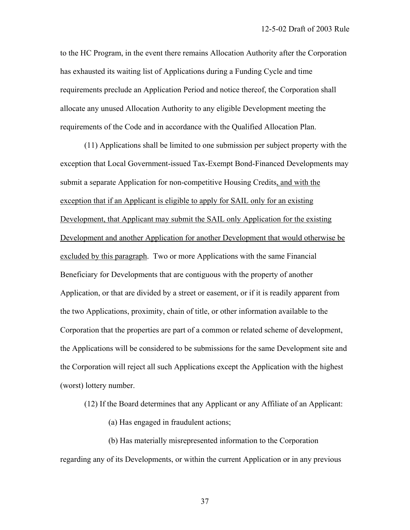to the HC Program, in the event there remains Allocation Authority after the Corporation has exhausted its waiting list of Applications during a Funding Cycle and time requirements preclude an Application Period and notice thereof, the Corporation shall allocate any unused Allocation Authority to any eligible Development meeting the requirements of the Code and in accordance with the Qualified Allocation Plan.

 (11) Applications shall be limited to one submission per subject property with the exception that Local Government-issued Tax-Exempt Bond-Financed Developments may submit a separate Application for non-competitive Housing Credits, and with the exception that if an Applicant is eligible to apply for SAIL only for an existing Development, that Applicant may submit the SAIL only Application for the existing Development and another Application for another Development that would otherwise be excluded by this paragraph. Two or more Applications with the same Financial Beneficiary for Developments that are contiguous with the property of another Application, or that are divided by a street or easement, or if it is readily apparent from the two Applications, proximity, chain of title, or other information available to the Corporation that the properties are part of a common or related scheme of development, the Applications will be considered to be submissions for the same Development site and the Corporation will reject all such Applications except the Application with the highest (worst) lottery number.

(12) If the Board determines that any Applicant or any Affiliate of an Applicant:

(a) Has engaged in fraudulent actions;

 (b) Has materially misrepresented information to the Corporation regarding any of its Developments, or within the current Application or in any previous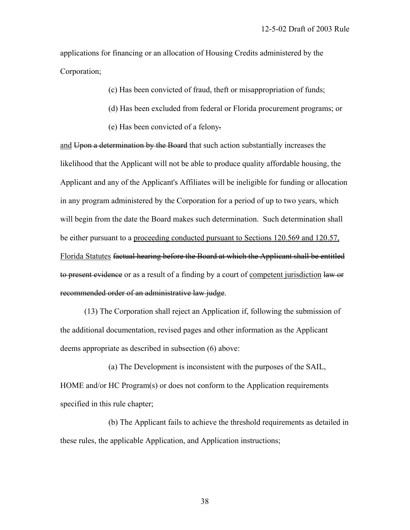applications for financing or an allocation of Housing Credits administered by the Corporation;

(c) Has been convicted of fraud, theft or misappropriation of funds;

- (d) Has been excluded from federal or Florida procurement programs; or
- (e) Has been convicted of a felony.

and Upon a determination by the Board that such action substantially increases the likelihood that the Applicant will not be able to produce quality affordable housing, the Applicant and any of the Applicant's Affiliates will be ineligible for funding or allocation in any program administered by the Corporation for a period of up to two years, which will begin from the date the Board makes such determination. Such determination shall be either pursuant to a proceeding conducted pursuant to Sections 120.569 and 120.57, Florida Statutes factual hearing before the Board at which the Applicant shall be entitled to present evidence or as a result of a finding by a court of competent jurisdiction law or recommended order of an administrative law judge.

 (13) The Corporation shall reject an Application if, following the submission of the additional documentation, revised pages and other information as the Applicant deems appropriate as described in subsection (6) above:

 (a) The Development is inconsistent with the purposes of the SAIL, HOME and/or HC Program(s) or does not conform to the Application requirements specified in this rule chapter;

 (b) The Applicant fails to achieve the threshold requirements as detailed in these rules, the applicable Application, and Application instructions;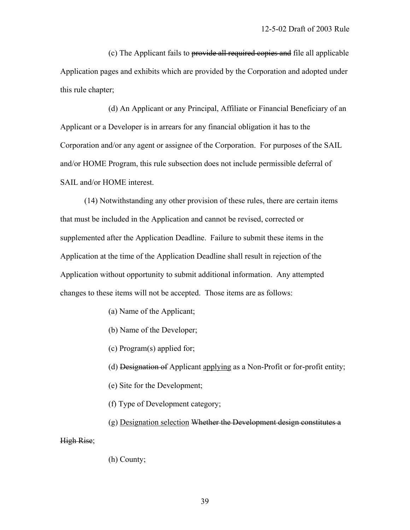(c) The Applicant fails to provide all required copies and file all applicable Application pages and exhibits which are provided by the Corporation and adopted under this rule chapter;

 (d) An Applicant or any Principal, Affiliate or Financial Beneficiary of an Applicant or a Developer is in arrears for any financial obligation it has to the Corporation and/or any agent or assignee of the Corporation. For purposes of the SAIL and/or HOME Program, this rule subsection does not include permissible deferral of SAIL and/or HOME interest.

 (14) Notwithstanding any other provision of these rules, there are certain items that must be included in the Application and cannot be revised, corrected or supplemented after the Application Deadline. Failure to submit these items in the Application at the time of the Application Deadline shall result in rejection of the Application without opportunity to submit additional information. Any attempted changes to these items will not be accepted. Those items are as follows:

- (a) Name of the Applicant;
- (b) Name of the Developer;
- (c) Program(s) applied for;
- (d) Designation of Applicant applying as a Non-Profit or for-profit entity;
- (e) Site for the Development;
- (f) Type of Development category;
- (g) Designation selection Whether the Development design constitutes a

High Rise;

(h) County;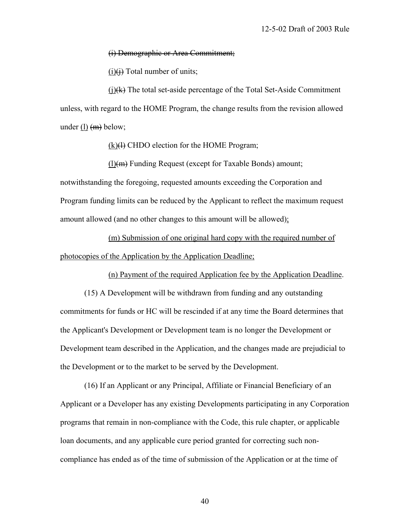## (i) Demographic or Area Commitment;

 $(i)$ (i) Total number of units;

 $(i)$ ( $(k)$ ) The total set-aside percentage of the Total Set-Aside Commitment unless, with regard to the HOME Program, the change results from the revision allowed under (l)  $(m)$  below;

 $(k)(4)$  CHDO election for the HOME Program;

 $(l)(m)$  Funding Request (except for Taxable Bonds) amount; notwithstanding the foregoing, requested amounts exceeding the Corporation and Program funding limits can be reduced by the Applicant to reflect the maximum request amount allowed (and no other changes to this amount will be allowed);

 (m) Submission of one original hard copy with the required number of photocopies of the Application by the Application Deadline;

(n) Payment of the required Application fee by the Application Deadline.

 (15) A Development will be withdrawn from funding and any outstanding commitments for funds or HC will be rescinded if at any time the Board determines that the Applicant's Development or Development team is no longer the Development or Development team described in the Application, and the changes made are prejudicial to the Development or to the market to be served by the Development.

 (16) If an Applicant or any Principal, Affiliate or Financial Beneficiary of an Applicant or a Developer has any existing Developments participating in any Corporation programs that remain in non-compliance with the Code, this rule chapter, or applicable loan documents, and any applicable cure period granted for correcting such noncompliance has ended as of the time of submission of the Application or at the time of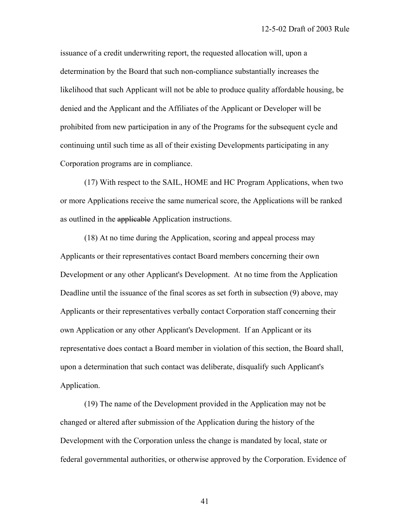issuance of a credit underwriting report, the requested allocation will, upon a determination by the Board that such non-compliance substantially increases the likelihood that such Applicant will not be able to produce quality affordable housing, be denied and the Applicant and the Affiliates of the Applicant or Developer will be prohibited from new participation in any of the Programs for the subsequent cycle and continuing until such time as all of their existing Developments participating in any Corporation programs are in compliance.

 (17) With respect to the SAIL, HOME and HC Program Applications, when two or more Applications receive the same numerical score, the Applications will be ranked as outlined in the applicable Application instructions.

 (18) At no time during the Application, scoring and appeal process may Applicants or their representatives contact Board members concerning their own Development or any other Applicant's Development. At no time from the Application Deadline until the issuance of the final scores as set forth in subsection (9) above, may Applicants or their representatives verbally contact Corporation staff concerning their own Application or any other Applicant's Development. If an Applicant or its representative does contact a Board member in violation of this section, the Board shall, upon a determination that such contact was deliberate, disqualify such Applicant's Application.

 (19) The name of the Development provided in the Application may not be changed or altered after submission of the Application during the history of the Development with the Corporation unless the change is mandated by local, state or federal governmental authorities, or otherwise approved by the Corporation. Evidence of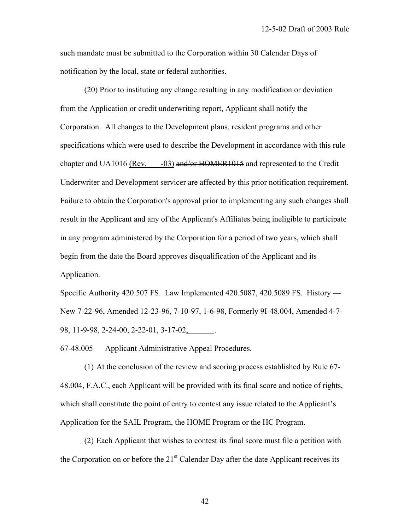such mandate must be submitted to the Corporation within 30 Calendar Days of notification by the local, state or federal authorities.

 (20) Prior to instituting any change resulting in any modification or deviation from the Application or credit underwriting report, Applicant shall notify the Corporation. All changes to the Development plans, resident programs and other specifications which were used to describe the Development in accordance with this rule chapter and UA1016 (Rev. -03) and/or HOMER1015 and represented to the Credit Underwriter and Development servicer are affected by this prior notification requirement. Failure to obtain the Corporation's approval prior to implementing any such changes shall result in the Applicant and any of the Applicant's Affiliates being ineligible to participate in any program administered by the Corporation for a period of two years, which shall begin from the date the Board approves disqualification of the Applicant and its Application.

Specific Authority 420.507 FS. Law Implemented 420.5087, 420.5089 FS. History — New 7-22-96, Amended 12-23-96, 7-10-97, 1-6-98, Formerly 9I-48.004, Amended 4-7- 98, 11-9-98, 2-24-00, 2-22-01, 3-17-02, \_\_\_\_\_\_.

67-48.005 — Applicant Administrative Appeal Procedures.

 (1) At the conclusion of the review and scoring process established by Rule 67- 48.004, F.A.C., each Applicant will be provided with its final score and notice of rights, which shall constitute the point of entry to contest any issue related to the Applicant's Application for the SAIL Program, the HOME Program or the HC Program.

 (2) Each Applicant that wishes to contest its final score must file a petition with the Corporation on or before the 21<sup>st</sup> Calendar Day after the date Applicant receives its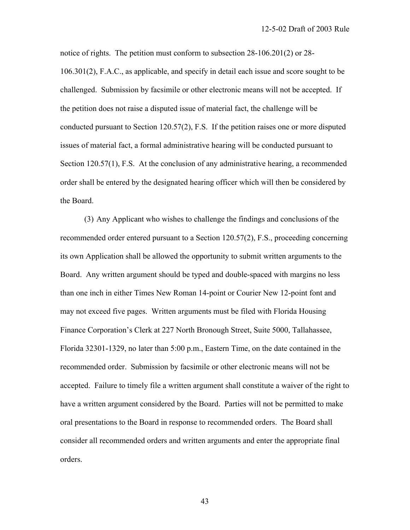notice of rights. The petition must conform to subsection 28-106.201(2) or 28- 106.301(2), F.A.C., as applicable, and specify in detail each issue and score sought to be challenged. Submission by facsimile or other electronic means will not be accepted. If the petition does not raise a disputed issue of material fact, the challenge will be conducted pursuant to Section 120.57(2), F.S. If the petition raises one or more disputed issues of material fact, a formal administrative hearing will be conducted pursuant to Section 120.57(1), F.S. At the conclusion of any administrative hearing, a recommended order shall be entered by the designated hearing officer which will then be considered by the Board.

 (3) Any Applicant who wishes to challenge the findings and conclusions of the recommended order entered pursuant to a Section 120.57(2), F.S., proceeding concerning its own Application shall be allowed the opportunity to submit written arguments to the Board. Any written argument should be typed and double-spaced with margins no less than one inch in either Times New Roman 14-point or Courier New 12-point font and may not exceed five pages. Written arguments must be filed with Florida Housing Finance Corporation's Clerk at 227 North Bronough Street, Suite 5000, Tallahassee, Florida 32301-1329, no later than 5:00 p.m., Eastern Time, on the date contained in the recommended order. Submission by facsimile or other electronic means will not be accepted. Failure to timely file a written argument shall constitute a waiver of the right to have a written argument considered by the Board. Parties will not be permitted to make oral presentations to the Board in response to recommended orders. The Board shall consider all recommended orders and written arguments and enter the appropriate final orders.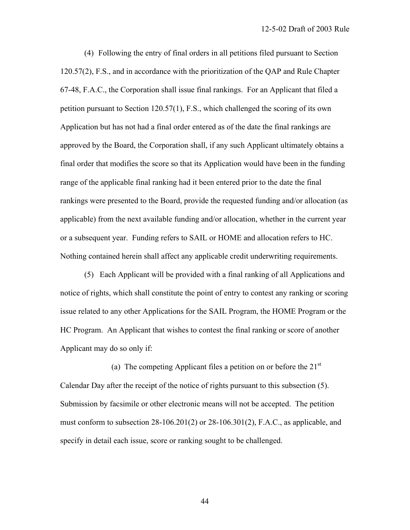(4) Following the entry of final orders in all petitions filed pursuant to Section 120.57(2), F.S., and in accordance with the prioritization of the QAP and Rule Chapter 67-48, F.A.C., the Corporation shall issue final rankings. For an Applicant that filed a petition pursuant to Section 120.57(1), F.S., which challenged the scoring of its own Application but has not had a final order entered as of the date the final rankings are approved by the Board, the Corporation shall, if any such Applicant ultimately obtains a final order that modifies the score so that its Application would have been in the funding range of the applicable final ranking had it been entered prior to the date the final rankings were presented to the Board, provide the requested funding and/or allocation (as applicable) from the next available funding and/or allocation, whether in the current year or a subsequent year. Funding refers to SAIL or HOME and allocation refers to HC. Nothing contained herein shall affect any applicable credit underwriting requirements.

 (5) Each Applicant will be provided with a final ranking of all Applications and notice of rights, which shall constitute the point of entry to contest any ranking or scoring issue related to any other Applications for the SAIL Program, the HOME Program or the HC Program. An Applicant that wishes to contest the final ranking or score of another Applicant may do so only if:

(a) The competing Applicant files a petition on or before the  $21<sup>st</sup>$ Calendar Day after the receipt of the notice of rights pursuant to this subsection (5). Submission by facsimile or other electronic means will not be accepted. The petition must conform to subsection  $28-106.201(2)$  or  $28-106.301(2)$ , F.A.C., as applicable, and specify in detail each issue, score or ranking sought to be challenged.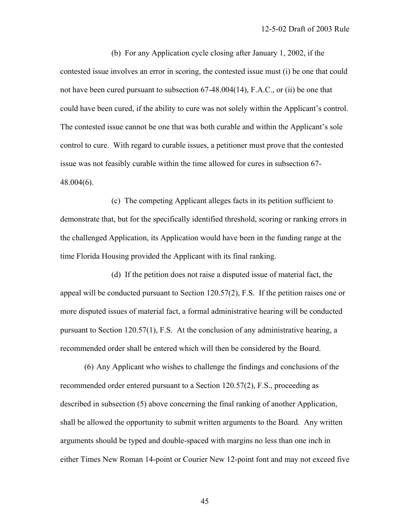(b) For any Application cycle closing after January 1, 2002, if the contested issue involves an error in scoring, the contested issue must (i) be one that could not have been cured pursuant to subsection 67-48.004(14), F.A.C., or (ii) be one that could have been cured, if the ability to cure was not solely within the Applicant's control. The contested issue cannot be one that was both curable and within the Applicant's sole control to cure. With regard to curable issues, a petitioner must prove that the contested issue was not feasibly curable within the time allowed for cures in subsection 67- 48.004(6).

 (c) The competing Applicant alleges facts in its petition sufficient to demonstrate that, but for the specifically identified threshold, scoring or ranking errors in the challenged Application, its Application would have been in the funding range at the time Florida Housing provided the Applicant with its final ranking.

 (d) If the petition does not raise a disputed issue of material fact, the appeal will be conducted pursuant to Section 120.57(2), F.S. If the petition raises one or more disputed issues of material fact, a formal administrative hearing will be conducted pursuant to Section 120.57(1), F.S. At the conclusion of any administrative hearing, a recommended order shall be entered which will then be considered by the Board.

 (6) Any Applicant who wishes to challenge the findings and conclusions of the recommended order entered pursuant to a Section 120.57(2), F.S., proceeding as described in subsection (5) above concerning the final ranking of another Application, shall be allowed the opportunity to submit written arguments to the Board. Any written arguments should be typed and double-spaced with margins no less than one inch in either Times New Roman 14-point or Courier New 12-point font and may not exceed five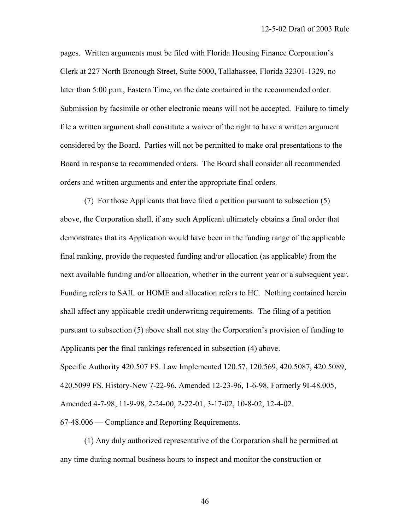pages. Written arguments must be filed with Florida Housing Finance Corporation's Clerk at 227 North Bronough Street, Suite 5000, Tallahassee, Florida 32301-1329, no later than 5:00 p.m., Eastern Time, on the date contained in the recommended order. Submission by facsimile or other electronic means will not be accepted. Failure to timely file a written argument shall constitute a waiver of the right to have a written argument considered by the Board. Parties will not be permitted to make oral presentations to the Board in response to recommended orders. The Board shall consider all recommended orders and written arguments and enter the appropriate final orders.

 (7) For those Applicants that have filed a petition pursuant to subsection (5) above, the Corporation shall, if any such Applicant ultimately obtains a final order that demonstrates that its Application would have been in the funding range of the applicable final ranking, provide the requested funding and/or allocation (as applicable) from the next available funding and/or allocation, whether in the current year or a subsequent year. Funding refers to SAIL or HOME and allocation refers to HC. Nothing contained herein shall affect any applicable credit underwriting requirements. The filing of a petition pursuant to subsection (5) above shall not stay the Corporation's provision of funding to Applicants per the final rankings referenced in subsection (4) above. Specific Authority 420.507 FS. Law Implemented 120.57, 120.569, 420.5087, 420.5089, 420.5099 FS. History-New 7-22-96, Amended 12-23-96, 1-6-98, Formerly 9I-48.005, Amended 4-7-98, 11-9-98, 2-24-00, 2-22-01, 3-17-02, 10-8-02, 12-4-02. 67-48.006 — Compliance and Reporting Requirements.

 (1) Any duly authorized representative of the Corporation shall be permitted at any time during normal business hours to inspect and monitor the construction or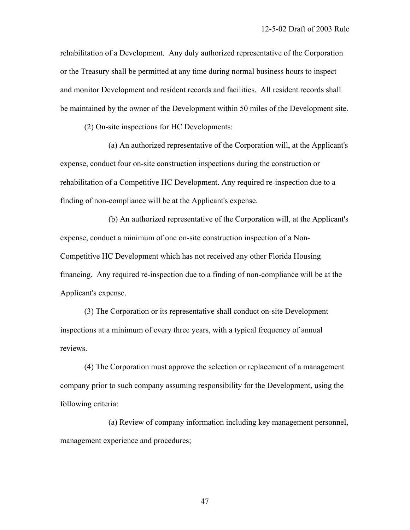rehabilitation of a Development. Any duly authorized representative of the Corporation or the Treasury shall be permitted at any time during normal business hours to inspect and monitor Development and resident records and facilities. All resident records shall be maintained by the owner of the Development within 50 miles of the Development site.

(2) On-site inspections for HC Developments:

 (a) An authorized representative of the Corporation will, at the Applicant's expense, conduct four on-site construction inspections during the construction or rehabilitation of a Competitive HC Development. Any required re-inspection due to a finding of non-compliance will be at the Applicant's expense.

 (b) An authorized representative of the Corporation will, at the Applicant's expense, conduct a minimum of one on-site construction inspection of a Non-Competitive HC Development which has not received any other Florida Housing financing. Any required re-inspection due to a finding of non-compliance will be at the Applicant's expense.

 (3) The Corporation or its representative shall conduct on-site Development inspections at a minimum of every three years, with a typical frequency of annual reviews.

 (4) The Corporation must approve the selection or replacement of a management company prior to such company assuming responsibility for the Development, using the following criteria:

 (a) Review of company information including key management personnel, management experience and procedures;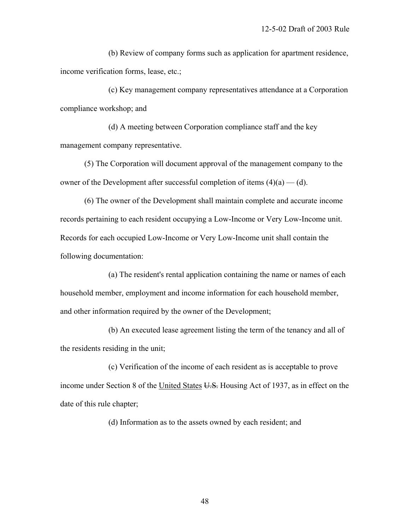(b) Review of company forms such as application for apartment residence, income verification forms, lease, etc.;

 (c) Key management company representatives attendance at a Corporation compliance workshop; and

 (d) A meeting between Corporation compliance staff and the key management company representative.

 (5) The Corporation will document approval of the management company to the owner of the Development after successful completion of items  $(4)(a)$  — (d).

 (6) The owner of the Development shall maintain complete and accurate income records pertaining to each resident occupying a Low-Income or Very Low-Income unit. Records for each occupied Low-Income or Very Low-Income unit shall contain the following documentation:

 (a) The resident's rental application containing the name or names of each household member, employment and income information for each household member, and other information required by the owner of the Development;

 (b) An executed lease agreement listing the term of the tenancy and all of the residents residing in the unit;

 (c) Verification of the income of each resident as is acceptable to prove income under Section 8 of the United States U.S. Housing Act of 1937, as in effect on the date of this rule chapter;

(d) Information as to the assets owned by each resident; and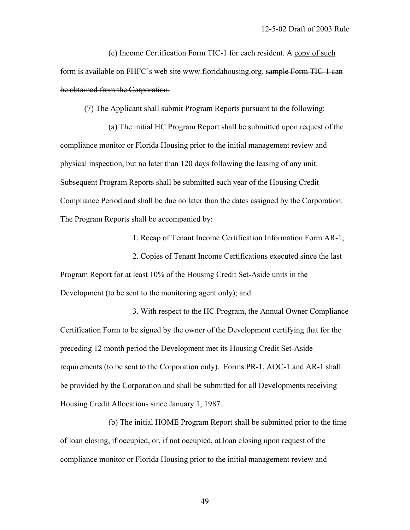(e) Income Certification Form TIC-1 for each resident. A copy of such form is available on FHFC's web site www.floridahousing.org. sample Form TIC-1 can be obtained from the Corporation.

(7) The Applicant shall submit Program Reports pursuant to the following:

 (a) The initial HC Program Report shall be submitted upon request of the compliance monitor or Florida Housing prior to the initial management review and physical inspection, but no later than 120 days following the leasing of any unit. Subsequent Program Reports shall be submitted each year of the Housing Credit Compliance Period and shall be due no later than the dates assigned by the Corporation. The Program Reports shall be accompanied by:

1. Recap of Tenant Income Certification Information Form AR-1;

 2. Copies of Tenant Income Certifications executed since the last Program Report for at least 10% of the Housing Credit Set-Aside units in the Development (to be sent to the monitoring agent only); and

 3. With respect to the HC Program, the Annual Owner Compliance Certification Form to be signed by the owner of the Development certifying that for the preceding 12 month period the Development met its Housing Credit Set-Aside requirements (to be sent to the Corporation only). Forms PR-1, AOC-1 and AR-1 shall be provided by the Corporation and shall be submitted for all Developments receiving Housing Credit Allocations since January 1, 1987.

 (b) The initial HOME Program Report shall be submitted prior to the time of loan closing, if occupied, or, if not occupied, at loan closing upon request of the compliance monitor or Florida Housing prior to the initial management review and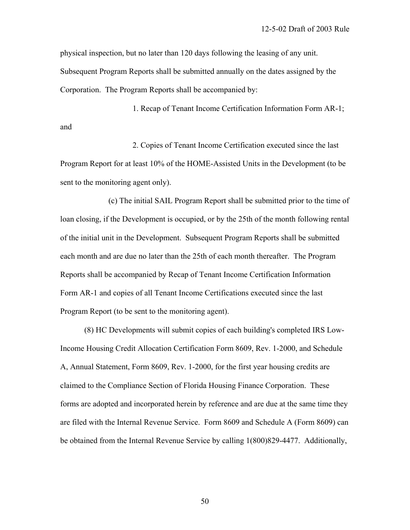physical inspection, but no later than 120 days following the leasing of any unit. Subsequent Program Reports shall be submitted annually on the dates assigned by the Corporation. The Program Reports shall be accompanied by:

 1. Recap of Tenant Income Certification Information Form AR-1; and

 2. Copies of Tenant Income Certification executed since the last Program Report for at least 10% of the HOME-Assisted Units in the Development (to be sent to the monitoring agent only).

 (c) The initial SAIL Program Report shall be submitted prior to the time of loan closing, if the Development is occupied, or by the 25th of the month following rental of the initial unit in the Development. Subsequent Program Reports shall be submitted each month and are due no later than the 25th of each month thereafter. The Program Reports shall be accompanied by Recap of Tenant Income Certification Information Form AR-1 and copies of all Tenant Income Certifications executed since the last Program Report (to be sent to the monitoring agent).

 (8) HC Developments will submit copies of each building's completed IRS Low-Income Housing Credit Allocation Certification Form 8609, Rev. 1-2000, and Schedule A, Annual Statement, Form 8609, Rev. 1-2000, for the first year housing credits are claimed to the Compliance Section of Florida Housing Finance Corporation. These forms are adopted and incorporated herein by reference and are due at the same time they are filed with the Internal Revenue Service. Form 8609 and Schedule A (Form 8609) can be obtained from the Internal Revenue Service by calling 1(800)829-4477. Additionally,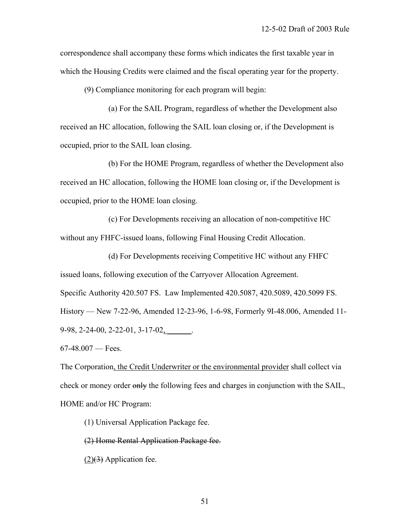correspondence shall accompany these forms which indicates the first taxable year in which the Housing Credits were claimed and the fiscal operating year for the property.

(9) Compliance monitoring for each program will begin:

 (a) For the SAIL Program, regardless of whether the Development also received an HC allocation, following the SAIL loan closing or, if the Development is occupied, prior to the SAIL loan closing.

 (b) For the HOME Program, regardless of whether the Development also received an HC allocation, following the HOME loan closing or, if the Development is occupied, prior to the HOME loan closing.

 (c) For Developments receiving an allocation of non-competitive HC without any FHFC-issued loans, following Final Housing Credit Allocation.

 (d) For Developments receiving Competitive HC without any FHFC issued loans, following execution of the Carryover Allocation Agreement. Specific Authority 420.507 FS. Law Implemented 420.5087, 420.5089, 420.5099 FS. History — New 7-22-96, Amended 12-23-96, 1-6-98, Formerly 9I-48.006, Amended 11- 9-98, 2-24-00, 2-22-01, 3-17-02, \_\_\_\_\_.

 $67-48.007$  — Fees.

The Corporation, the Credit Underwriter or the environmental provider shall collect via check or money order only the following fees and charges in conjunction with the SAIL, HOME and/or HC Program:

(1) Universal Application Package fee.

(2) Home Rental Application Package fee.

 $(2)(3)$  Application fee.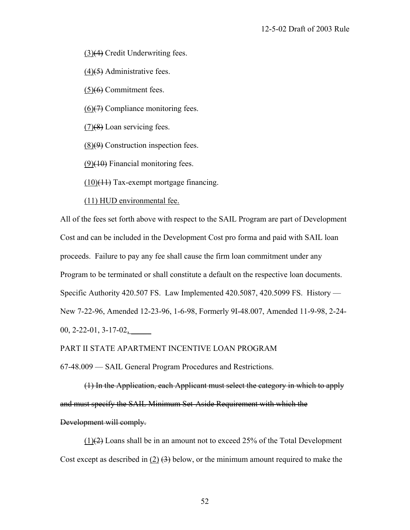(3)(4) Credit Underwriting fees.

(4)(5) Administrative fees.

 $(5)(6)$  Commitment fees.

 $(6)$ (7) Compliance monitoring fees.

(7)(8) Loan servicing fees.

 $(8)(9)$  Construction inspection fees.

 $(9)(10)$  Financial monitoring fees.

 $(10)(11)$  Tax-exempt mortgage financing.

(11) HUD environmental fee.

All of the fees set forth above with respect to the SAIL Program are part of Development Cost and can be included in the Development Cost pro forma and paid with SAIL loan proceeds. Failure to pay any fee shall cause the firm loan commitment under any Program to be terminated or shall constitute a default on the respective loan documents. Specific Authority 420.507 FS. Law Implemented 420.5087, 420.5099 FS. History — New 7-22-96, Amended 12-23-96, 1-6-98, Formerly 9I-48.007, Amended 11-9-98, 2-24-  $00, 2-22-01, 3-17-02,$ 

## PART II STATE APARTMENT INCENTIVE LOAN PROGRAM

67-48.009 — SAIL General Program Procedures and Restrictions.

 (1) In the Application, each Applicant must select the category in which to apply and must specify the SAIL Minimum Set-Aside Requirement with which the Development will comply.

 $(1)(2)$  Loans shall be in an amount not to exceed 25% of the Total Development Cost except as described in (2)  $(3)$  below, or the minimum amount required to make the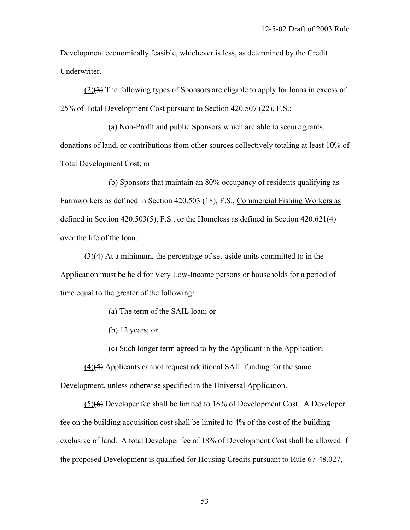Development economically feasible, whichever is less, as determined by the Credit Underwriter.

 (2)(3) The following types of Sponsors are eligible to apply for loans in excess of 25% of Total Development Cost pursuant to Section 420.507 (22), F.S.:

 (a) Non-Profit and public Sponsors which are able to secure grants, donations of land, or contributions from other sources collectively totaling at least 10% of Total Development Cost; or

 (b) Sponsors that maintain an 80% occupancy of residents qualifying as Farmworkers as defined in Section 420.503 (18), F.S., Commercial Fishing Workers as defined in Section 420.503(5), F.S., or the Homeless as defined in Section 420.621(4) over the life of the loan.

 (3)(4) At a minimum, the percentage of set-aside units committed to in the Application must be held for Very Low-Income persons or households for a period of time equal to the greater of the following:

- (a) The term of the SAIL loan; or
- (b) 12 years; or
- (c) Such longer term agreed to by the Applicant in the Application.

 $(4)$ (5) Applicants cannot request additional SAIL funding for the same Development, unless otherwise specified in the Universal Application.

 (5)(6) Developer fee shall be limited to 16% of Development Cost. A Developer fee on the building acquisition cost shall be limited to 4% of the cost of the building exclusive of land. A total Developer fee of 18% of Development Cost shall be allowed if the proposed Development is qualified for Housing Credits pursuant to Rule 67-48.027,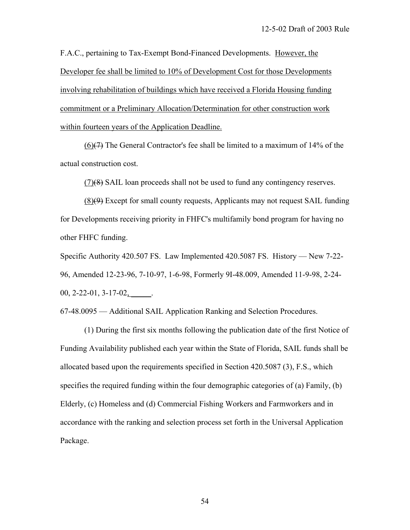F.A.C., pertaining to Tax-Exempt Bond-Financed Developments. However, the Developer fee shall be limited to 10% of Development Cost for those Developments involving rehabilitation of buildings which have received a Florida Housing funding commitment or a Preliminary Allocation/Determination for other construction work within fourteen years of the Application Deadline.

 (6)(7) The General Contractor's fee shall be limited to a maximum of 14% of the actual construction cost.

(7)(8) SAIL loan proceeds shall not be used to fund any contingency reserves.

 (8)(9) Except for small county requests, Applicants may not request SAIL funding for Developments receiving priority in FHFC's multifamily bond program for having no other FHFC funding.

Specific Authority 420.507 FS. Law Implemented 420.5087 FS. History — New 7-22- 96, Amended 12-23-96, 7-10-97, 1-6-98, Formerly 9I-48.009, Amended 11-9-98, 2-24-  $00, 2 - 22 - 01, 3 - 17 - 02,$ 

67-48.0095 — Additional SAIL Application Ranking and Selection Procedures.

 (1) During the first six months following the publication date of the first Notice of Funding Availability published each year within the State of Florida, SAIL funds shall be allocated based upon the requirements specified in Section 420.5087 (3), F.S., which specifies the required funding within the four demographic categories of (a) Family, (b) Elderly, (c) Homeless and (d) Commercial Fishing Workers and Farmworkers and in accordance with the ranking and selection process set forth in the Universal Application Package.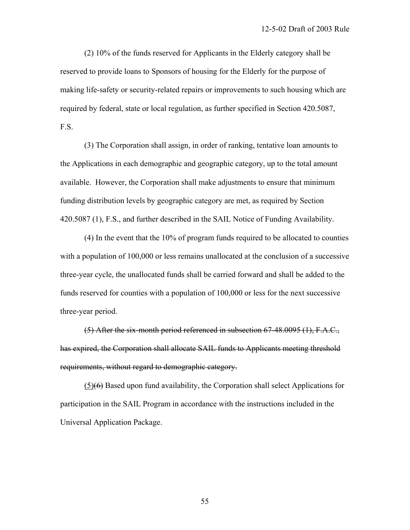(2) 10% of the funds reserved for Applicants in the Elderly category shall be reserved to provide loans to Sponsors of housing for the Elderly for the purpose of making life-safety or security-related repairs or improvements to such housing which are required by federal, state or local regulation, as further specified in Section 420.5087, F.S.

 (3) The Corporation shall assign, in order of ranking, tentative loan amounts to the Applications in each demographic and geographic category, up to the total amount available. However, the Corporation shall make adjustments to ensure that minimum funding distribution levels by geographic category are met, as required by Section 420.5087 (1), F.S., and further described in the SAIL Notice of Funding Availability.

 (4) In the event that the 10% of program funds required to be allocated to counties with a population of 100,000 or less remains unallocated at the conclusion of a successive three-year cycle, the unallocated funds shall be carried forward and shall be added to the funds reserved for counties with a population of 100,000 or less for the next successive three-year period.

 (5) After the six-month period referenced in subsection 67-48.0095 (1), F.A.C., has expired, the Corporation shall allocate SAIL funds to Applicants meeting threshold requirements, without regard to demographic category.

 (5)(6) Based upon fund availability, the Corporation shall select Applications for participation in the SAIL Program in accordance with the instructions included in the Universal Application Package.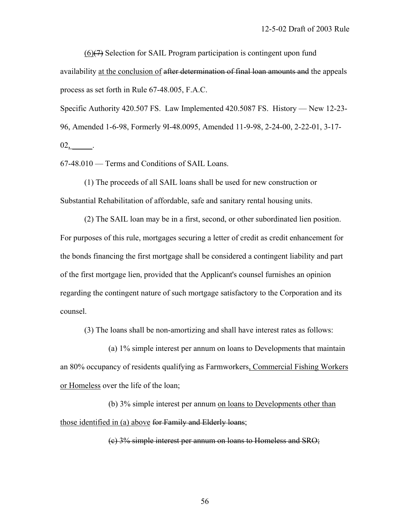(6)(7) Selection for SAIL Program participation is contingent upon fund availability at the conclusion of after determination of final loan amounts and the appeals process as set forth in Rule 67-48.005, F.A.C.

Specific Authority 420.507 FS. Law Implemented 420.5087 FS. History — New 12-23- 96, Amended 1-6-98, Formerly 9I-48.0095, Amended 11-9-98, 2-24-00, 2-22-01, 3-17- 02, \_\_\_\_\_.

67-48.010 — Terms and Conditions of SAIL Loans.

 (1) The proceeds of all SAIL loans shall be used for new construction or Substantial Rehabilitation of affordable, safe and sanitary rental housing units.

 (2) The SAIL loan may be in a first, second, or other subordinated lien position. For purposes of this rule, mortgages securing a letter of credit as credit enhancement for the bonds financing the first mortgage shall be considered a contingent liability and part of the first mortgage lien, provided that the Applicant's counsel furnishes an opinion regarding the contingent nature of such mortgage satisfactory to the Corporation and its counsel.

(3) The loans shall be non-amortizing and shall have interest rates as follows:

 (a) 1% simple interest per annum on loans to Developments that maintain an 80% occupancy of residents qualifying as Farmworkers, Commercial Fishing Workers or Homeless over the life of the loan;

 (b) 3% simple interest per annum on loans to Developments other than those identified in (a) above for Family and Elderly loans;

(c) 3% simple interest per annum on loans to Homeless and SRO;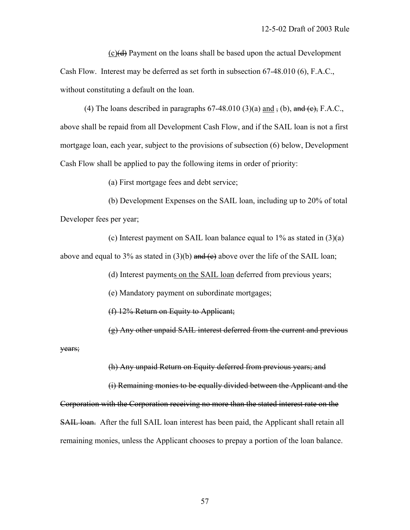$(c)(d)$  Payment on the loans shall be based upon the actual Development Cash Flow. Interest may be deferred as set forth in subsection 67-48.010 (6), F.A.C., without constituting a default on the loan.

(4) The loans described in paragraphs  $67-48.010$  (3)(a) and  $\overline{1}$ , (b), and  $\overline{1}$ , F.A.C., above shall be repaid from all Development Cash Flow, and if the SAIL loan is not a first mortgage loan, each year, subject to the provisions of subsection (6) below, Development Cash Flow shall be applied to pay the following items in order of priority:

(a) First mortgage fees and debt service;

 (b) Development Expenses on the SAIL loan, including up to 20% of total Developer fees per year;

(c) Interest payment on SAIL loan balance equal to  $1\%$  as stated in  $(3)(a)$ above and equal to 3% as stated in (3)(b) and (e) above over the life of the SAIL loan;

(d) Interest payments on the SAIL loan deferred from previous years;

(e) Mandatory payment on subordinate mortgages;

(f) 12% Return on Equity to Applicant;

(g) Any other unpaid SAIL interest deferred from the current and previous

years;

(h) Any unpaid Return on Equity deferred from previous years; and

 (i) Remaining monies to be equally divided between the Applicant and the Corporation with the Corporation receiving no more than the stated interest rate on the SAIL loan. After the full SAIL loan interest has been paid, the Applicant shall retain all remaining monies, unless the Applicant chooses to prepay a portion of the loan balance.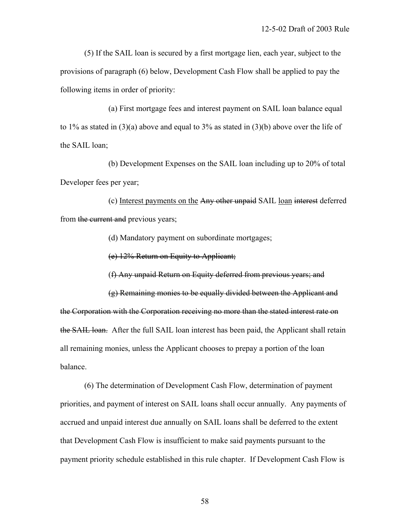(5) If the SAIL loan is secured by a first mortgage lien, each year, subject to the provisions of paragraph (6) below, Development Cash Flow shall be applied to pay the following items in order of priority:

 (a) First mortgage fees and interest payment on SAIL loan balance equal to 1% as stated in (3)(a) above and equal to 3% as stated in (3)(b) above over the life of the SAIL loan;

 (b) Development Expenses on the SAIL loan including up to 20% of total Developer fees per year;

 (c) Interest payments on the Any other unpaid SAIL loan interest deferred from the current and previous years;

(d) Mandatory payment on subordinate mortgages;

(e) 12% Return on Equity to Applicant;

(f) Any unpaid Return on Equity deferred from previous years; and

 (g) Remaining monies to be equally divided between the Applicant and the Corporation with the Corporation receiving no more than the stated interest rate on the SAIL loan. After the full SAIL loan interest has been paid, the Applicant shall retain all remaining monies, unless the Applicant chooses to prepay a portion of the loan balance.

 (6) The determination of Development Cash Flow, determination of payment priorities, and payment of interest on SAIL loans shall occur annually. Any payments of accrued and unpaid interest due annually on SAIL loans shall be deferred to the extent that Development Cash Flow is insufficient to make said payments pursuant to the payment priority schedule established in this rule chapter. If Development Cash Flow is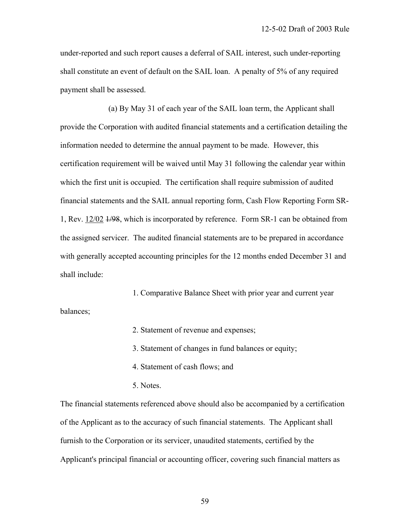under-reported and such report causes a deferral of SAIL interest, such under-reporting shall constitute an event of default on the SAIL loan. A penalty of 5% of any required payment shall be assessed.

 (a) By May 31 of each year of the SAIL loan term, the Applicant shall provide the Corporation with audited financial statements and a certification detailing the information needed to determine the annual payment to be made. However, this certification requirement will be waived until May 31 following the calendar year within which the first unit is occupied. The certification shall require submission of audited financial statements and the SAIL annual reporting form, Cash Flow Reporting Form SR-1, Rev. 12/02 1/98, which is incorporated by reference. Form SR-1 can be obtained from the assigned servicer. The audited financial statements are to be prepared in accordance with generally accepted accounting principles for the 12 months ended December 31 and shall include:

 1. Comparative Balance Sheet with prior year and current year balances;

2. Statement of revenue and expenses;

3. Statement of changes in fund balances or equity;

4. Statement of cash flows; and

5. Notes.

The financial statements referenced above should also be accompanied by a certification of the Applicant as to the accuracy of such financial statements. The Applicant shall furnish to the Corporation or its servicer, unaudited statements, certified by the Applicant's principal financial or accounting officer, covering such financial matters as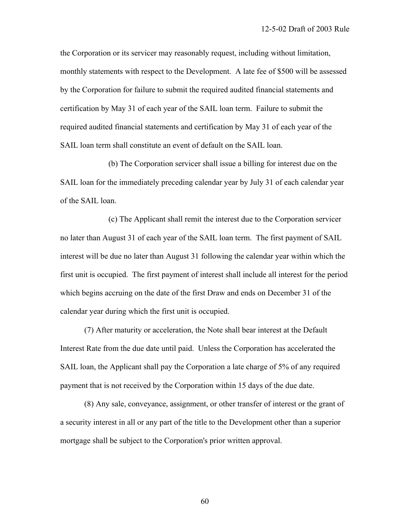the Corporation or its servicer may reasonably request, including without limitation, monthly statements with respect to the Development. A late fee of \$500 will be assessed by the Corporation for failure to submit the required audited financial statements and certification by May 31 of each year of the SAIL loan term. Failure to submit the required audited financial statements and certification by May 31 of each year of the SAIL loan term shall constitute an event of default on the SAIL loan.

 (b) The Corporation servicer shall issue a billing for interest due on the SAIL loan for the immediately preceding calendar year by July 31 of each calendar year of the SAIL loan.

 (c) The Applicant shall remit the interest due to the Corporation servicer no later than August 31 of each year of the SAIL loan term. The first payment of SAIL interest will be due no later than August 31 following the calendar year within which the first unit is occupied. The first payment of interest shall include all interest for the period which begins accruing on the date of the first Draw and ends on December 31 of the calendar year during which the first unit is occupied.

 (7) After maturity or acceleration, the Note shall bear interest at the Default Interest Rate from the due date until paid. Unless the Corporation has accelerated the SAIL loan, the Applicant shall pay the Corporation a late charge of 5% of any required payment that is not received by the Corporation within 15 days of the due date.

 (8) Any sale, conveyance, assignment, or other transfer of interest or the grant of a security interest in all or any part of the title to the Development other than a superior mortgage shall be subject to the Corporation's prior written approval.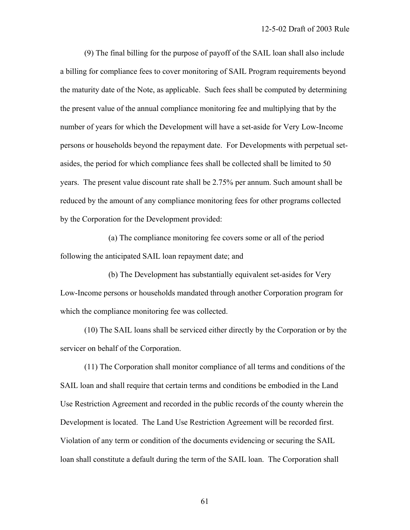(9) The final billing for the purpose of payoff of the SAIL loan shall also include a billing for compliance fees to cover monitoring of SAIL Program requirements beyond the maturity date of the Note, as applicable. Such fees shall be computed by determining the present value of the annual compliance monitoring fee and multiplying that by the number of years for which the Development will have a set-aside for Very Low-Income persons or households beyond the repayment date. For Developments with perpetual setasides, the period for which compliance fees shall be collected shall be limited to 50 years. The present value discount rate shall be 2.75% per annum. Such amount shall be reduced by the amount of any compliance monitoring fees for other programs collected by the Corporation for the Development provided:

 (a) The compliance monitoring fee covers some or all of the period following the anticipated SAIL loan repayment date; and

 (b) The Development has substantially equivalent set-asides for Very Low-Income persons or households mandated through another Corporation program for which the compliance monitoring fee was collected.

 (10) The SAIL loans shall be serviced either directly by the Corporation or by the servicer on behalf of the Corporation.

 (11) The Corporation shall monitor compliance of all terms and conditions of the SAIL loan and shall require that certain terms and conditions be embodied in the Land Use Restriction Agreement and recorded in the public records of the county wherein the Development is located. The Land Use Restriction Agreement will be recorded first. Violation of any term or condition of the documents evidencing or securing the SAIL loan shall constitute a default during the term of the SAIL loan. The Corporation shall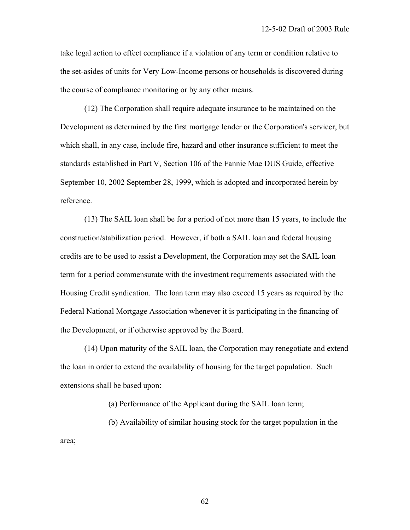take legal action to effect compliance if a violation of any term or condition relative to the set-asides of units for Very Low-Income persons or households is discovered during the course of compliance monitoring or by any other means.

 (12) The Corporation shall require adequate insurance to be maintained on the Development as determined by the first mortgage lender or the Corporation's servicer, but which shall, in any case, include fire, hazard and other insurance sufficient to meet the standards established in Part V, Section 106 of the Fannie Mae DUS Guide, effective September 10, 2002 September 28, 1999, which is adopted and incorporated herein by reference.

 (13) The SAIL loan shall be for a period of not more than 15 years, to include the construction/stabilization period. However, if both a SAIL loan and federal housing credits are to be used to assist a Development, the Corporation may set the SAIL loan term for a period commensurate with the investment requirements associated with the Housing Credit syndication. The loan term may also exceed 15 years as required by the Federal National Mortgage Association whenever it is participating in the financing of the Development, or if otherwise approved by the Board.

 (14) Upon maturity of the SAIL loan, the Corporation may renegotiate and extend the loan in order to extend the availability of housing for the target population. Such extensions shall be based upon:

(a) Performance of the Applicant during the SAIL loan term;

 (b) Availability of similar housing stock for the target population in the area;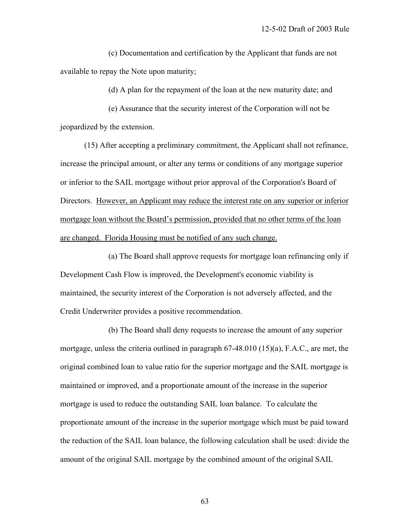(c) Documentation and certification by the Applicant that funds are not available to repay the Note upon maturity;

(d) A plan for the repayment of the loan at the new maturity date; and

 (e) Assurance that the security interest of the Corporation will not be jeopardized by the extension.

 (15) After accepting a preliminary commitment, the Applicant shall not refinance, increase the principal amount, or alter any terms or conditions of any mortgage superior or inferior to the SAIL mortgage without prior approval of the Corporation's Board of Directors. However, an Applicant may reduce the interest rate on any superior or inferior mortgage loan without the Board's permission, provided that no other terms of the loan are changed. Florida Housing must be notified of any such change.

 (a) The Board shall approve requests for mortgage loan refinancing only if Development Cash Flow is improved, the Development's economic viability is maintained, the security interest of the Corporation is not adversely affected, and the Credit Underwriter provides a positive recommendation.

 (b) The Board shall deny requests to increase the amount of any superior mortgage, unless the criteria outlined in paragraph 67-48.010 (15)(a), F.A.C., are met, the original combined loan to value ratio for the superior mortgage and the SAIL mortgage is maintained or improved, and a proportionate amount of the increase in the superior mortgage is used to reduce the outstanding SAIL loan balance. To calculate the proportionate amount of the increase in the superior mortgage which must be paid toward the reduction of the SAIL loan balance, the following calculation shall be used: divide the amount of the original SAIL mortgage by the combined amount of the original SAIL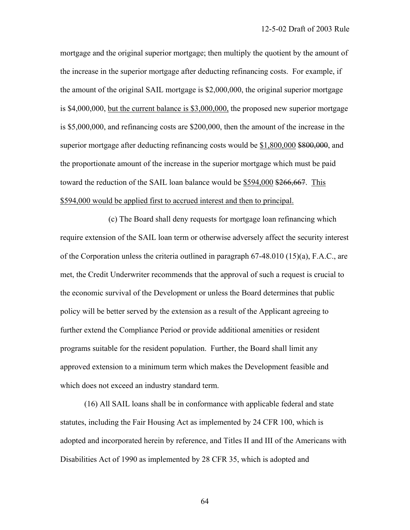mortgage and the original superior mortgage; then multiply the quotient by the amount of the increase in the superior mortgage after deducting refinancing costs. For example, if the amount of the original SAIL mortgage is \$2,000,000, the original superior mortgage is \$4,000,000, but the current balance is \$3,000,000, the proposed new superior mortgage is \$5,000,000, and refinancing costs are \$200,000, then the amount of the increase in the superior mortgage after deducting refinancing costs would be \$1,800,000 \$800,000, and the proportionate amount of the increase in the superior mortgage which must be paid toward the reduction of the SAIL loan balance would be \$594,000 \$266,667. This \$594,000 would be applied first to accrued interest and then to principal.

 (c) The Board shall deny requests for mortgage loan refinancing which require extension of the SAIL loan term or otherwise adversely affect the security interest of the Corporation unless the criteria outlined in paragraph  $67-48.010$  (15)(a), F.A.C., are met, the Credit Underwriter recommends that the approval of such a request is crucial to the economic survival of the Development or unless the Board determines that public policy will be better served by the extension as a result of the Applicant agreeing to further extend the Compliance Period or provide additional amenities or resident programs suitable for the resident population. Further, the Board shall limit any approved extension to a minimum term which makes the Development feasible and which does not exceed an industry standard term.

 (16) All SAIL loans shall be in conformance with applicable federal and state statutes, including the Fair Housing Act as implemented by 24 CFR 100, which is adopted and incorporated herein by reference, and Titles II and III of the Americans with Disabilities Act of 1990 as implemented by 28 CFR 35, which is adopted and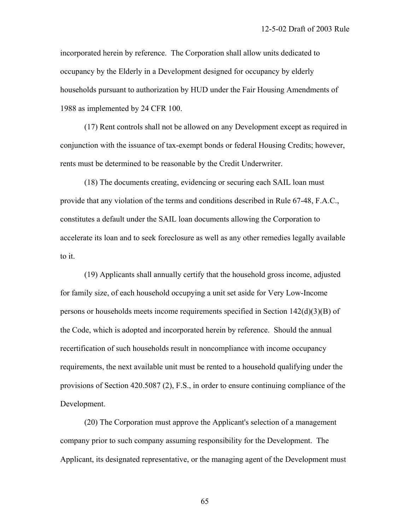incorporated herein by reference. The Corporation shall allow units dedicated to occupancy by the Elderly in a Development designed for occupancy by elderly households pursuant to authorization by HUD under the Fair Housing Amendments of 1988 as implemented by 24 CFR 100.

 (17) Rent controls shall not be allowed on any Development except as required in conjunction with the issuance of tax-exempt bonds or federal Housing Credits; however, rents must be determined to be reasonable by the Credit Underwriter.

 (18) The documents creating, evidencing or securing each SAIL loan must provide that any violation of the terms and conditions described in Rule 67-48, F.A.C., constitutes a default under the SAIL loan documents allowing the Corporation to accelerate its loan and to seek foreclosure as well as any other remedies legally available to it.

 (19) Applicants shall annually certify that the household gross income, adjusted for family size, of each household occupying a unit set aside for Very Low-Income persons or households meets income requirements specified in Section 142(d)(3)(B) of the Code, which is adopted and incorporated herein by reference. Should the annual recertification of such households result in noncompliance with income occupancy requirements, the next available unit must be rented to a household qualifying under the provisions of Section 420.5087 (2), F.S., in order to ensure continuing compliance of the Development.

 (20) The Corporation must approve the Applicant's selection of a management company prior to such company assuming responsibility for the Development. The Applicant, its designated representative, or the managing agent of the Development must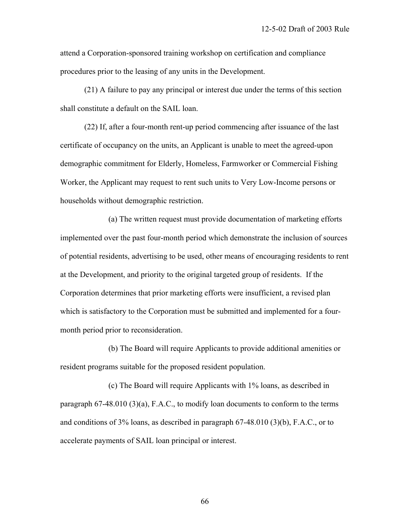attend a Corporation-sponsored training workshop on certification and compliance procedures prior to the leasing of any units in the Development.

 (21) A failure to pay any principal or interest due under the terms of this section shall constitute a default on the SAIL loan.

 (22) If, after a four-month rent-up period commencing after issuance of the last certificate of occupancy on the units, an Applicant is unable to meet the agreed-upon demographic commitment for Elderly, Homeless, Farmworker or Commercial Fishing Worker, the Applicant may request to rent such units to Very Low-Income persons or households without demographic restriction.

 (a) The written request must provide documentation of marketing efforts implemented over the past four-month period which demonstrate the inclusion of sources of potential residents, advertising to be used, other means of encouraging residents to rent at the Development, and priority to the original targeted group of residents. If the Corporation determines that prior marketing efforts were insufficient, a revised plan which is satisfactory to the Corporation must be submitted and implemented for a fourmonth period prior to reconsideration.

 (b) The Board will require Applicants to provide additional amenities or resident programs suitable for the proposed resident population.

 (c) The Board will require Applicants with 1% loans, as described in paragraph  $67-48.010$   $(3)(a)$ , F.A.C., to modify loan documents to conform to the terms and conditions of 3% loans, as described in paragraph 67-48.010 (3)(b), F.A.C., or to accelerate payments of SAIL loan principal or interest.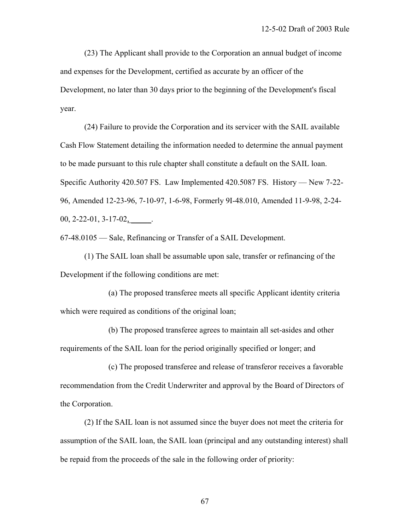(23) The Applicant shall provide to the Corporation an annual budget of income and expenses for the Development, certified as accurate by an officer of the Development, no later than 30 days prior to the beginning of the Development's fiscal year.

 (24) Failure to provide the Corporation and its servicer with the SAIL available Cash Flow Statement detailing the information needed to determine the annual payment to be made pursuant to this rule chapter shall constitute a default on the SAIL loan. Specific Authority 420.507 FS. Law Implemented 420.5087 FS. History — New 7-22- 96, Amended 12-23-96, 7-10-97, 1-6-98, Formerly 9I-48.010, Amended 11-9-98, 2-24-  $00, 2 - 22 - 01, 3 - 17 - 02,$ 

67-48.0105 — Sale, Refinancing or Transfer of a SAIL Development.

 (1) The SAIL loan shall be assumable upon sale, transfer or refinancing of the Development if the following conditions are met:

 (a) The proposed transferee meets all specific Applicant identity criteria which were required as conditions of the original loan;

 (b) The proposed transferee agrees to maintain all set-asides and other requirements of the SAIL loan for the period originally specified or longer; and

 (c) The proposed transferee and release of transferor receives a favorable recommendation from the Credit Underwriter and approval by the Board of Directors of the Corporation.

 (2) If the SAIL loan is not assumed since the buyer does not meet the criteria for assumption of the SAIL loan, the SAIL loan (principal and any outstanding interest) shall be repaid from the proceeds of the sale in the following order of priority: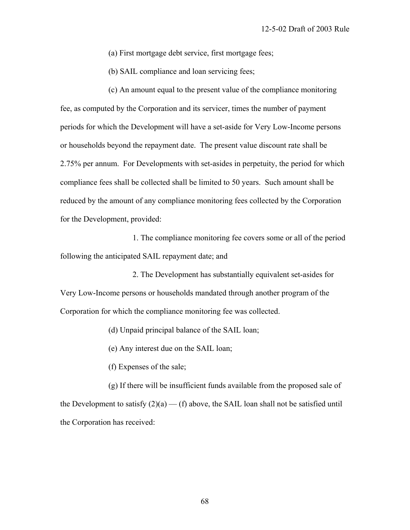(a) First mortgage debt service, first mortgage fees;

(b) SAIL compliance and loan servicing fees;

 (c) An amount equal to the present value of the compliance monitoring fee, as computed by the Corporation and its servicer, times the number of payment periods for which the Development will have a set-aside for Very Low-Income persons or households beyond the repayment date. The present value discount rate shall be 2.75% per annum. For Developments with set-asides in perpetuity, the period for which compliance fees shall be collected shall be limited to 50 years. Such amount shall be reduced by the amount of any compliance monitoring fees collected by the Corporation for the Development, provided:

 1. The compliance monitoring fee covers some or all of the period following the anticipated SAIL repayment date; and

 2. The Development has substantially equivalent set-asides for Very Low-Income persons or households mandated through another program of the Corporation for which the compliance monitoring fee was collected.

(d) Unpaid principal balance of the SAIL loan;

(e) Any interest due on the SAIL loan;

(f) Expenses of the sale;

 (g) If there will be insufficient funds available from the proposed sale of the Development to satisfy  $(2)(a)$  — (f) above, the SAIL loan shall not be satisfied until the Corporation has received: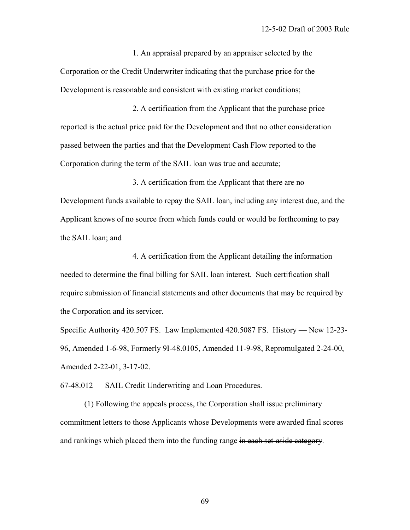1. An appraisal prepared by an appraiser selected by the Corporation or the Credit Underwriter indicating that the purchase price for the Development is reasonable and consistent with existing market conditions;

 2. A certification from the Applicant that the purchase price reported is the actual price paid for the Development and that no other consideration passed between the parties and that the Development Cash Flow reported to the Corporation during the term of the SAIL loan was true and accurate;

 3. A certification from the Applicant that there are no Development funds available to repay the SAIL loan, including any interest due, and the Applicant knows of no source from which funds could or would be forthcoming to pay the SAIL loan; and

 4. A certification from the Applicant detailing the information needed to determine the final billing for SAIL loan interest. Such certification shall require submission of financial statements and other documents that may be required by the Corporation and its servicer.

Specific Authority 420.507 FS. Law Implemented 420.5087 FS. History — New 12-23- 96, Amended 1-6-98, Formerly 9I-48.0105, Amended 11-9-98, Repromulgated 2-24-00, Amended 2-22-01, 3-17-02.

67-48.012 — SAIL Credit Underwriting and Loan Procedures.

 (1) Following the appeals process, the Corporation shall issue preliminary commitment letters to those Applicants whose Developments were awarded final scores and rankings which placed them into the funding range in each set-aside category.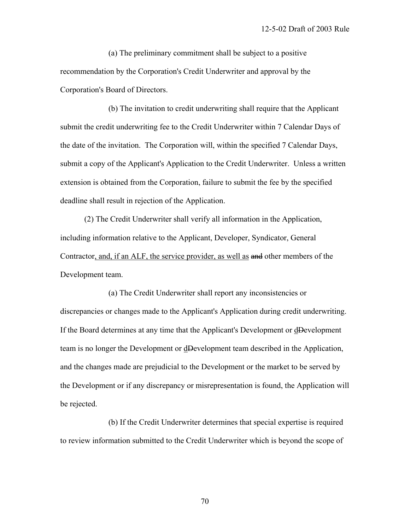(a) The preliminary commitment shall be subject to a positive recommendation by the Corporation's Credit Underwriter and approval by the Corporation's Board of Directors.

 (b) The invitation to credit underwriting shall require that the Applicant submit the credit underwriting fee to the Credit Underwriter within 7 Calendar Days of the date of the invitation. The Corporation will, within the specified 7 Calendar Days, submit a copy of the Applicant's Application to the Credit Underwriter. Unless a written extension is obtained from the Corporation, failure to submit the fee by the specified deadline shall result in rejection of the Application.

 (2) The Credit Underwriter shall verify all information in the Application, including information relative to the Applicant, Developer, Syndicator, General Contractor, and, if an ALF, the service provider, as well as and other members of the Development team.

 (a) The Credit Underwriter shall report any inconsistencies or discrepancies or changes made to the Applicant's Application during credit underwriting. If the Board determines at any time that the Applicant's Development or dDevelopment team is no longer the Development or dDevelopment team described in the Application, and the changes made are prejudicial to the Development or the market to be served by the Development or if any discrepancy or misrepresentation is found, the Application will be rejected.

 (b) If the Credit Underwriter determines that special expertise is required to review information submitted to the Credit Underwriter which is beyond the scope of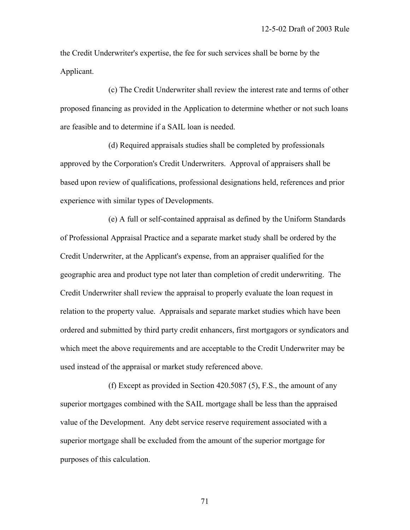the Credit Underwriter's expertise, the fee for such services shall be borne by the Applicant.

 (c) The Credit Underwriter shall review the interest rate and terms of other proposed financing as provided in the Application to determine whether or not such loans are feasible and to determine if a SAIL loan is needed.

 (d) Required appraisals studies shall be completed by professionals approved by the Corporation's Credit Underwriters. Approval of appraisers shall be based upon review of qualifications, professional designations held, references and prior experience with similar types of Developments.

 (e) A full or self-contained appraisal as defined by the Uniform Standards of Professional Appraisal Practice and a separate market study shall be ordered by the Credit Underwriter, at the Applicant's expense, from an appraiser qualified for the geographic area and product type not later than completion of credit underwriting. The Credit Underwriter shall review the appraisal to properly evaluate the loan request in relation to the property value. Appraisals and separate market studies which have been ordered and submitted by third party credit enhancers, first mortgagors or syndicators and which meet the above requirements and are acceptable to the Credit Underwriter may be used instead of the appraisal or market study referenced above.

 (f) Except as provided in Section 420.5087 (5), F.S., the amount of any superior mortgages combined with the SAIL mortgage shall be less than the appraised value of the Development. Any debt service reserve requirement associated with a superior mortgage shall be excluded from the amount of the superior mortgage for purposes of this calculation.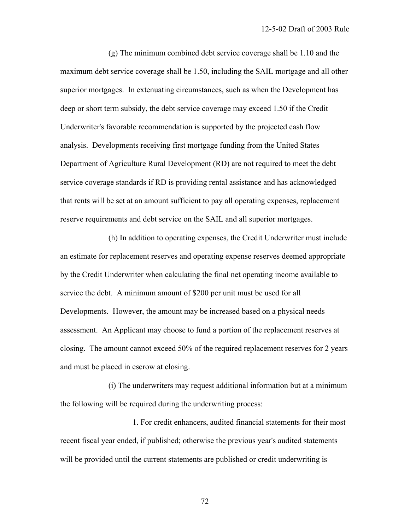(g) The minimum combined debt service coverage shall be 1.10 and the maximum debt service coverage shall be 1.50, including the SAIL mortgage and all other superior mortgages. In extenuating circumstances, such as when the Development has deep or short term subsidy, the debt service coverage may exceed 1.50 if the Credit Underwriter's favorable recommendation is supported by the projected cash flow analysis. Developments receiving first mortgage funding from the United States Department of Agriculture Rural Development (RD) are not required to meet the debt service coverage standards if RD is providing rental assistance and has acknowledged that rents will be set at an amount sufficient to pay all operating expenses, replacement reserve requirements and debt service on the SAIL and all superior mortgages.

 (h) In addition to operating expenses, the Credit Underwriter must include an estimate for replacement reserves and operating expense reserves deemed appropriate by the Credit Underwriter when calculating the final net operating income available to service the debt. A minimum amount of \$200 per unit must be used for all Developments. However, the amount may be increased based on a physical needs assessment. An Applicant may choose to fund a portion of the replacement reserves at closing. The amount cannot exceed 50% of the required replacement reserves for 2 years and must be placed in escrow at closing.

 (i) The underwriters may request additional information but at a minimum the following will be required during the underwriting process:

 1. For credit enhancers, audited financial statements for their most recent fiscal year ended, if published; otherwise the previous year's audited statements will be provided until the current statements are published or credit underwriting is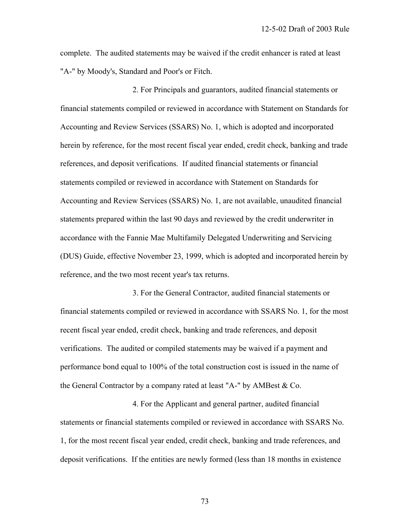complete. The audited statements may be waived if the credit enhancer is rated at least "A-" by Moody's, Standard and Poor's or Fitch.

 2. For Principals and guarantors, audited financial statements or financial statements compiled or reviewed in accordance with Statement on Standards for Accounting and Review Services (SSARS) No. 1, which is adopted and incorporated herein by reference, for the most recent fiscal year ended, credit check, banking and trade references, and deposit verifications. If audited financial statements or financial statements compiled or reviewed in accordance with Statement on Standards for Accounting and Review Services (SSARS) No. 1, are not available, unaudited financial statements prepared within the last 90 days and reviewed by the credit underwriter in accordance with the Fannie Mae Multifamily Delegated Underwriting and Servicing (DUS) Guide, effective November 23, 1999, which is adopted and incorporated herein by reference, and the two most recent year's tax returns.

 3. For the General Contractor, audited financial statements or financial statements compiled or reviewed in accordance with SSARS No. 1, for the most recent fiscal year ended, credit check, banking and trade references, and deposit verifications. The audited or compiled statements may be waived if a payment and performance bond equal to 100% of the total construction cost is issued in the name of the General Contractor by a company rated at least "A-" by AMBest & Co.

 4. For the Applicant and general partner, audited financial statements or financial statements compiled or reviewed in accordance with SSARS No. 1, for the most recent fiscal year ended, credit check, banking and trade references, and deposit verifications. If the entities are newly formed (less than 18 months in existence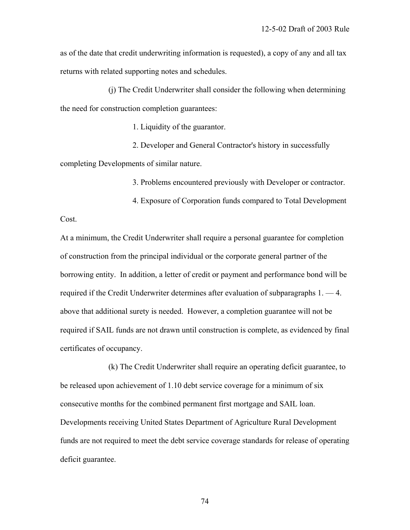as of the date that credit underwriting information is requested), a copy of any and all tax returns with related supporting notes and schedules.

 (j) The Credit Underwriter shall consider the following when determining the need for construction completion guarantees:

1. Liquidity of the guarantor.

 2. Developer and General Contractor's history in successfully completing Developments of similar nature.

3. Problems encountered previously with Developer or contractor.

4. Exposure of Corporation funds compared to Total Development

Cost.

At a minimum, the Credit Underwriter shall require a personal guarantee for completion of construction from the principal individual or the corporate general partner of the borrowing entity. In addition, a letter of credit or payment and performance bond will be required if the Credit Underwriter determines after evaluation of subparagraphs 1. — 4. above that additional surety is needed. However, a completion guarantee will not be required if SAIL funds are not drawn until construction is complete, as evidenced by final certificates of occupancy.

 (k) The Credit Underwriter shall require an operating deficit guarantee, to be released upon achievement of 1.10 debt service coverage for a minimum of six consecutive months for the combined permanent first mortgage and SAIL loan. Developments receiving United States Department of Agriculture Rural Development funds are not required to meet the debt service coverage standards for release of operating deficit guarantee.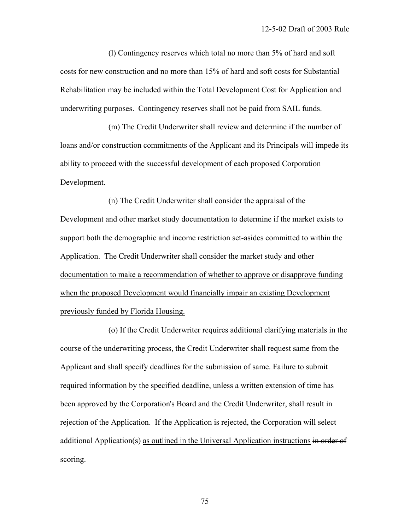(l) Contingency reserves which total no more than 5% of hard and soft costs for new construction and no more than 15% of hard and soft costs for Substantial Rehabilitation may be included within the Total Development Cost for Application and underwriting purposes. Contingency reserves shall not be paid from SAIL funds.

 (m) The Credit Underwriter shall review and determine if the number of loans and/or construction commitments of the Applicant and its Principals will impede its ability to proceed with the successful development of each proposed Corporation Development.

 (n) The Credit Underwriter shall consider the appraisal of the Development and other market study documentation to determine if the market exists to support both the demographic and income restriction set-asides committed to within the Application. The Credit Underwriter shall consider the market study and other documentation to make a recommendation of whether to approve or disapprove funding when the proposed Development would financially impair an existing Development previously funded by Florida Housing.

 (o) If the Credit Underwriter requires additional clarifying materials in the course of the underwriting process, the Credit Underwriter shall request same from the Applicant and shall specify deadlines for the submission of same. Failure to submit required information by the specified deadline, unless a written extension of time has been approved by the Corporation's Board and the Credit Underwriter, shall result in rejection of the Application. If the Application is rejected, the Corporation will select additional Application(s) as outlined in the Universal Application instructions in order of scoring.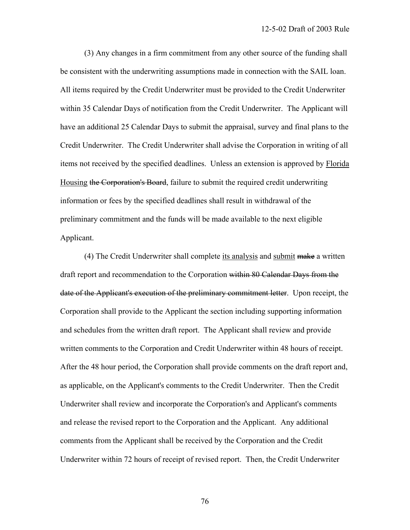(3) Any changes in a firm commitment from any other source of the funding shall be consistent with the underwriting assumptions made in connection with the SAIL loan. All items required by the Credit Underwriter must be provided to the Credit Underwriter within 35 Calendar Days of notification from the Credit Underwriter. The Applicant will have an additional 25 Calendar Days to submit the appraisal, survey and final plans to the Credit Underwriter. The Credit Underwriter shall advise the Corporation in writing of all items not received by the specified deadlines. Unless an extension is approved by Florida Housing the Corporation's Board, failure to submit the required credit underwriting information or fees by the specified deadlines shall result in withdrawal of the preliminary commitment and the funds will be made available to the next eligible Applicant.

 (4) The Credit Underwriter shall complete its analysis and submit make a written draft report and recommendation to the Corporation within 80 Calendar Days from the date of the Applicant's execution of the preliminary commitment letter. Upon receipt, the Corporation shall provide to the Applicant the section including supporting information and schedules from the written draft report. The Applicant shall review and provide written comments to the Corporation and Credit Underwriter within 48 hours of receipt. After the 48 hour period, the Corporation shall provide comments on the draft report and, as applicable, on the Applicant's comments to the Credit Underwriter. Then the Credit Underwriter shall review and incorporate the Corporation's and Applicant's comments and release the revised report to the Corporation and the Applicant. Any additional comments from the Applicant shall be received by the Corporation and the Credit Underwriter within 72 hours of receipt of revised report. Then, the Credit Underwriter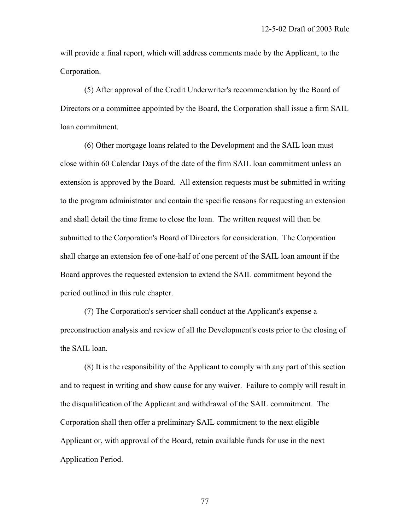will provide a final report, which will address comments made by the Applicant, to the Corporation.

 (5) After approval of the Credit Underwriter's recommendation by the Board of Directors or a committee appointed by the Board, the Corporation shall issue a firm SAIL loan commitment.

 (6) Other mortgage loans related to the Development and the SAIL loan must close within 60 Calendar Days of the date of the firm SAIL loan commitment unless an extension is approved by the Board. All extension requests must be submitted in writing to the program administrator and contain the specific reasons for requesting an extension and shall detail the time frame to close the loan. The written request will then be submitted to the Corporation's Board of Directors for consideration. The Corporation shall charge an extension fee of one-half of one percent of the SAIL loan amount if the Board approves the requested extension to extend the SAIL commitment beyond the period outlined in this rule chapter.

 (7) The Corporation's servicer shall conduct at the Applicant's expense a preconstruction analysis and review of all the Development's costs prior to the closing of the SAIL loan.

 (8) It is the responsibility of the Applicant to comply with any part of this section and to request in writing and show cause for any waiver. Failure to comply will result in the disqualification of the Applicant and withdrawal of the SAIL commitment. The Corporation shall then offer a preliminary SAIL commitment to the next eligible Applicant or, with approval of the Board, retain available funds for use in the next Application Period.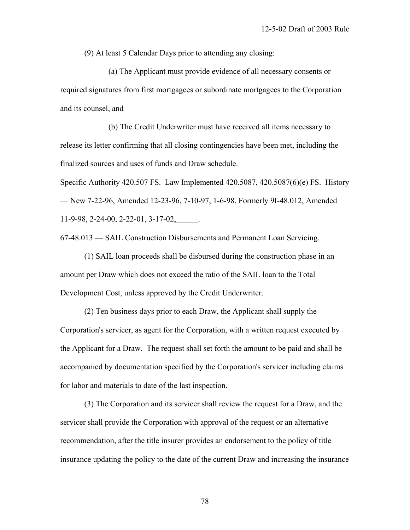(9) At least 5 Calendar Days prior to attending any closing:

 (a) The Applicant must provide evidence of all necessary consents or required signatures from first mortgagees or subordinate mortgagees to the Corporation and its counsel, and

 (b) The Credit Underwriter must have received all items necessary to release its letter confirming that all closing contingencies have been met, including the finalized sources and uses of funds and Draw schedule.

Specific Authority 420.507 FS. Law Implemented 420.5087, 420.5087(6)(e) FS. History — New 7-22-96, Amended 12-23-96, 7-10-97, 1-6-98, Formerly 9I-48.012, Amended 11-9-98, 2-24-00, 2-22-01, 3-17-02, \_\_\_\_\_.

67-48.013 — SAIL Construction Disbursements and Permanent Loan Servicing.

 (1) SAIL loan proceeds shall be disbursed during the construction phase in an amount per Draw which does not exceed the ratio of the SAIL loan to the Total Development Cost, unless approved by the Credit Underwriter.

 (2) Ten business days prior to each Draw, the Applicant shall supply the Corporation's servicer, as agent for the Corporation, with a written request executed by the Applicant for a Draw. The request shall set forth the amount to be paid and shall be accompanied by documentation specified by the Corporation's servicer including claims for labor and materials to date of the last inspection.

 (3) The Corporation and its servicer shall review the request for a Draw, and the servicer shall provide the Corporation with approval of the request or an alternative recommendation, after the title insurer provides an endorsement to the policy of title insurance updating the policy to the date of the current Draw and increasing the insurance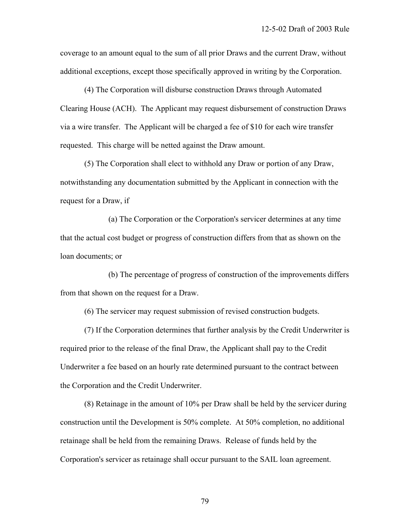coverage to an amount equal to the sum of all prior Draws and the current Draw, without additional exceptions, except those specifically approved in writing by the Corporation.

 (4) The Corporation will disburse construction Draws through Automated Clearing House (ACH). The Applicant may request disbursement of construction Draws via a wire transfer. The Applicant will be charged a fee of \$10 for each wire transfer requested. This charge will be netted against the Draw amount.

 (5) The Corporation shall elect to withhold any Draw or portion of any Draw, notwithstanding any documentation submitted by the Applicant in connection with the request for a Draw, if

 (a) The Corporation or the Corporation's servicer determines at any time that the actual cost budget or progress of construction differs from that as shown on the loan documents; or

 (b) The percentage of progress of construction of the improvements differs from that shown on the request for a Draw.

(6) The servicer may request submission of revised construction budgets.

 (7) If the Corporation determines that further analysis by the Credit Underwriter is required prior to the release of the final Draw, the Applicant shall pay to the Credit Underwriter a fee based on an hourly rate determined pursuant to the contract between the Corporation and the Credit Underwriter.

 (8) Retainage in the amount of 10% per Draw shall be held by the servicer during construction until the Development is 50% complete. At 50% completion, no additional retainage shall be held from the remaining Draws. Release of funds held by the Corporation's servicer as retainage shall occur pursuant to the SAIL loan agreement.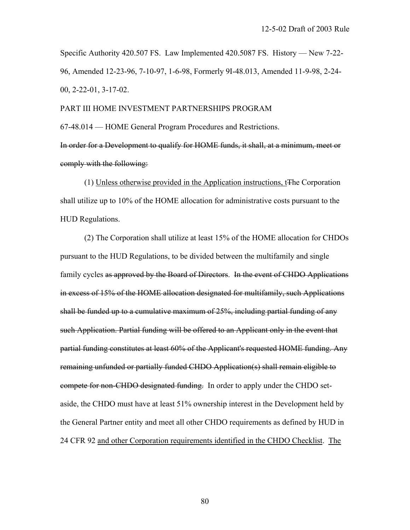Specific Authority 420.507 FS. Law Implemented 420.5087 FS. History — New 7-22- 96, Amended 12-23-96, 7-10-97, 1-6-98, Formerly 9I-48.013, Amended 11-9-98, 2-24- 00, 2-22-01, 3-17-02.

PART III HOME INVESTMENT PARTNERSHIPS PROGRAM 67-48.014 — HOME General Program Procedures and Restrictions.

In order for a Development to qualify for HOME funds, it shall, at a minimum, meet or comply with the following:

 (1) Unless otherwise provided in the Application instructions, tThe Corporation shall utilize up to 10% of the HOME allocation for administrative costs pursuant to the HUD Regulations.

 (2) The Corporation shall utilize at least 15% of the HOME allocation for CHDOs pursuant to the HUD Regulations, to be divided between the multifamily and single family cycles as approved by the Board of Directors. In the event of CHDO Applications in excess of 15% of the HOME allocation designated for multifamily, such Applications shall be funded up to a cumulative maximum of 25%, including partial funding of any such Application. Partial funding will be offered to an Applicant only in the event that partial funding constitutes at least 60% of the Applicant's requested HOME funding. Any remaining unfunded or partially funded CHDO Application(s) shall remain eligible to compete for non-CHDO designated funding. In order to apply under the CHDO setaside, the CHDO must have at least 51% ownership interest in the Development held by the General Partner entity and meet all other CHDO requirements as defined by HUD in 24 CFR 92 and other Corporation requirements identified in the CHDO Checklist. The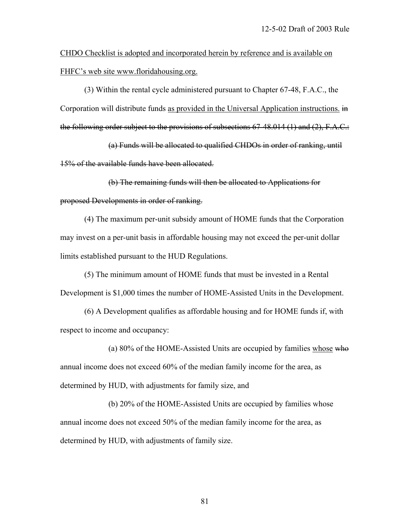CHDO Checklist is adopted and incorporated herein by reference and is available on FHFC's web site www.floridahousing.org.

 (3) Within the rental cycle administered pursuant to Chapter 67-48, F.A.C., the Corporation will distribute funds as provided in the Universal Application instructions. in the following order subject to the provisions of subsections 67-48.014 (1) and (2), F.A.C.:

 (a) Funds will be allocated to qualified CHDOs in order of ranking, until 15% of the available funds have been allocated.

 (b) The remaining funds will then be allocated to Applications for proposed Developments in order of ranking.

 (4) The maximum per-unit subsidy amount of HOME funds that the Corporation may invest on a per-unit basis in affordable housing may not exceed the per-unit dollar limits established pursuant to the HUD Regulations.

 (5) The minimum amount of HOME funds that must be invested in a Rental Development is \$1,000 times the number of HOME-Assisted Units in the Development.

 (6) A Development qualifies as affordable housing and for HOME funds if, with respect to income and occupancy:

 (a) 80% of the HOME-Assisted Units are occupied by families whose who annual income does not exceed 60% of the median family income for the area, as determined by HUD, with adjustments for family size, and

 (b) 20% of the HOME-Assisted Units are occupied by families whose annual income does not exceed 50% of the median family income for the area, as determined by HUD, with adjustments of family size.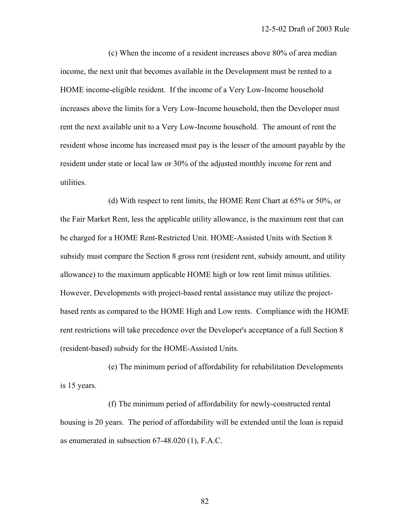(c) When the income of a resident increases above 80% of area median income, the next unit that becomes available in the Development must be rented to a HOME income-eligible resident. If the income of a Very Low-Income household increases above the limits for a Very Low-Income household, then the Developer must rent the next available unit to a Very Low-Income household. The amount of rent the resident whose income has increased must pay is the lesser of the amount payable by the resident under state or local law or 30% of the adjusted monthly income for rent and utilities.

 (d) With respect to rent limits, the HOME Rent Chart at 65% or 50%, or the Fair Market Rent, less the applicable utility allowance, is the maximum rent that can be charged for a HOME Rent-Restricted Unit. HOME-Assisted Units with Section 8 subsidy must compare the Section 8 gross rent (resident rent, subsidy amount, and utility allowance) to the maximum applicable HOME high or low rent limit minus utilities. However, Developments with project-based rental assistance may utilize the projectbased rents as compared to the HOME High and Low rents. Compliance with the HOME rent restrictions will take precedence over the Developer's acceptance of a full Section 8 (resident-based) subsidy for the HOME-Assisted Units.

 (e) The minimum period of affordability for rehabilitation Developments is 15 years.

 (f) The minimum period of affordability for newly-constructed rental housing is 20 years. The period of affordability will be extended until the loan is repaid as enumerated in subsection 67-48.020 (1), F.A.C.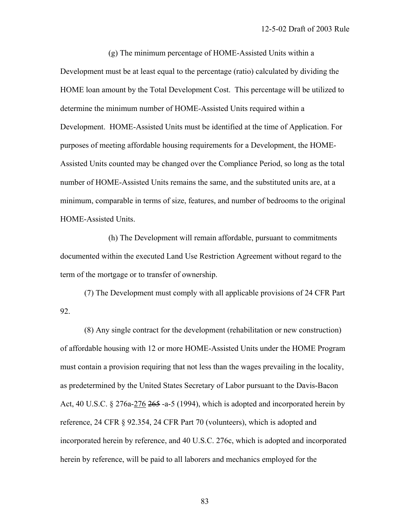(g) The minimum percentage of HOME-Assisted Units within a Development must be at least equal to the percentage (ratio) calculated by dividing the HOME loan amount by the Total Development Cost. This percentage will be utilized to determine the minimum number of HOME-Assisted Units required within a Development. HOME-Assisted Units must be identified at the time of Application. For purposes of meeting affordable housing requirements for a Development, the HOME-Assisted Units counted may be changed over the Compliance Period, so long as the total number of HOME-Assisted Units remains the same, and the substituted units are, at a minimum, comparable in terms of size, features, and number of bedrooms to the original HOME-Assisted Units.

 (h) The Development will remain affordable, pursuant to commitments documented within the executed Land Use Restriction Agreement without regard to the term of the mortgage or to transfer of ownership.

 (7) The Development must comply with all applicable provisions of 24 CFR Part 92.

 (8) Any single contract for the development (rehabilitation or new construction) of affordable housing with 12 or more HOME-Assisted Units under the HOME Program must contain a provision requiring that not less than the wages prevailing in the locality, as predetermined by the United States Secretary of Labor pursuant to the Davis-Bacon Act,  $40 \text{ U.S.C. }$  § 276a-276  $265$  -a-5 (1994), which is adopted and incorporated herein by reference, 24 CFR § 92.354, 24 CFR Part 70 (volunteers), which is adopted and incorporated herein by reference, and 40 U.S.C. 276c, which is adopted and incorporated herein by reference, will be paid to all laborers and mechanics employed for the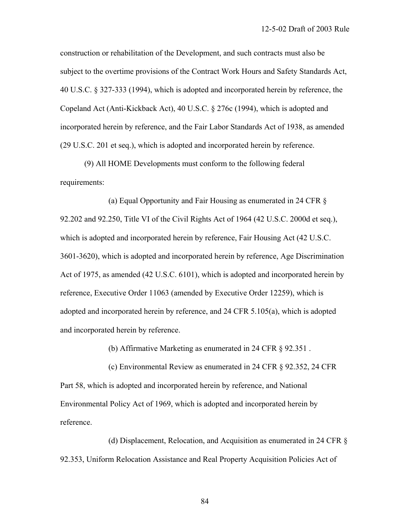construction or rehabilitation of the Development, and such contracts must also be subject to the overtime provisions of the Contract Work Hours and Safety Standards Act, 40 U.S.C. § 327-333 (1994), which is adopted and incorporated herein by reference, the Copeland Act (Anti-Kickback Act), 40 U.S.C. § 276c (1994), which is adopted and incorporated herein by reference, and the Fair Labor Standards Act of 1938, as amended (29 U.S.C. 201 et seq.), which is adopted and incorporated herein by reference.

 (9) All HOME Developments must conform to the following federal requirements:

 (a) Equal Opportunity and Fair Housing as enumerated in 24 CFR § 92.202 and 92.250, Title VI of the Civil Rights Act of 1964 (42 U.S.C. 2000d et seq.), which is adopted and incorporated herein by reference, Fair Housing Act (42 U.S.C. 3601-3620), which is adopted and incorporated herein by reference, Age Discrimination Act of 1975, as amended (42 U.S.C. 6101), which is adopted and incorporated herein by reference, Executive Order 11063 (amended by Executive Order 12259), which is adopted and incorporated herein by reference, and 24 CFR 5.105(a), which is adopted and incorporated herein by reference.

(b) Affirmative Marketing as enumerated in 24 CFR § 92.351 .

 (c) Environmental Review as enumerated in 24 CFR § 92.352, 24 CFR Part 58, which is adopted and incorporated herein by reference, and National Environmental Policy Act of 1969, which is adopted and incorporated herein by reference.

 (d) Displacement, Relocation, and Acquisition as enumerated in 24 CFR § 92.353, Uniform Relocation Assistance and Real Property Acquisition Policies Act of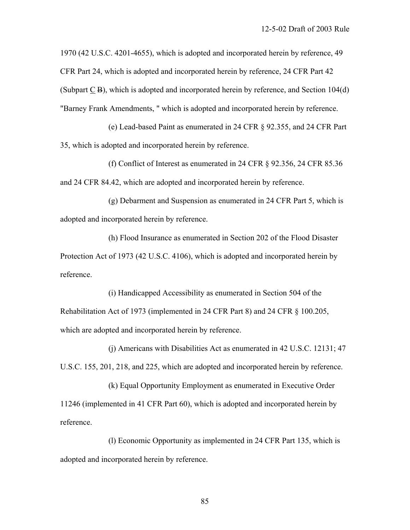1970 (42 U.S.C. 4201-4655), which is adopted and incorporated herein by reference, 49 CFR Part 24, which is adopted and incorporated herein by reference, 24 CFR Part 42 (Subpart C B), which is adopted and incorporated herein by reference, and Section 104(d) "Barney Frank Amendments, " which is adopted and incorporated herein by reference.

 (e) Lead-based Paint as enumerated in 24 CFR § 92.355, and 24 CFR Part 35, which is adopted and incorporated herein by reference.

 (f) Conflict of Interest as enumerated in 24 CFR § 92.356, 24 CFR 85.36 and 24 CFR 84.42, which are adopted and incorporated herein by reference.

 (g) Debarment and Suspension as enumerated in 24 CFR Part 5, which is adopted and incorporated herein by reference.

 (h) Flood Insurance as enumerated in Section 202 of the Flood Disaster Protection Act of 1973 (42 U.S.C. 4106), which is adopted and incorporated herein by reference.

 (i) Handicapped Accessibility as enumerated in Section 504 of the Rehabilitation Act of 1973 (implemented in 24 CFR Part 8) and 24 CFR § 100.205, which are adopted and incorporated herein by reference.

 (j) Americans with Disabilities Act as enumerated in 42 U.S.C. 12131; 47 U.S.C. 155, 201, 218, and 225, which are adopted and incorporated herein by reference.

 (k) Equal Opportunity Employment as enumerated in Executive Order 11246 (implemented in 41 CFR Part 60), which is adopted and incorporated herein by reference.

 (l) Economic Opportunity as implemented in 24 CFR Part 135, which is adopted and incorporated herein by reference.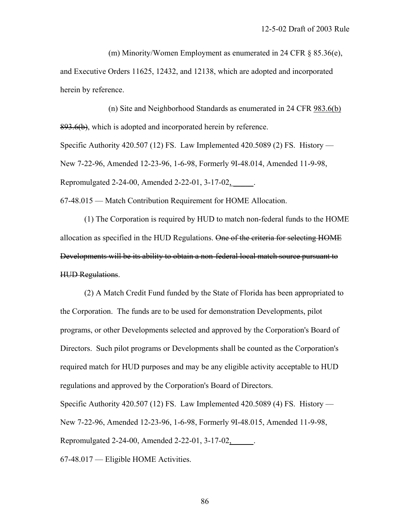(m) Minority/Women Employment as enumerated in 24 CFR § 85.36(e), and Executive Orders 11625, 12432, and 12138, which are adopted and incorporated herein by reference.

 (n) Site and Neighborhood Standards as enumerated in 24 CFR 983.6(b) 893.6(b), which is adopted and incorporated herein by reference.

Specific Authority 420.507 (12) FS. Law Implemented 420.5089 (2) FS. History — New 7-22-96, Amended 12-23-96, 1-6-98, Formerly 9I-48.014, Amended 11-9-98, Repromulgated 2-24-00, Amended 2-22-01, 3-17-02, \_\_\_\_\_.

67-48.015 — Match Contribution Requirement for HOME Allocation.

 (1) The Corporation is required by HUD to match non-federal funds to the HOME allocation as specified in the HUD Regulations. One of the criteria for selecting HOME Developments will be its ability to obtain a non-federal local match source pursuant to HUD Regulations.

 (2) A Match Credit Fund funded by the State of Florida has been appropriated to the Corporation. The funds are to be used for demonstration Developments, pilot programs, or other Developments selected and approved by the Corporation's Board of Directors. Such pilot programs or Developments shall be counted as the Corporation's required match for HUD purposes and may be any eligible activity acceptable to HUD regulations and approved by the Corporation's Board of Directors.

Specific Authority 420.507 (12) FS. Law Implemented 420.5089 (4) FS. History — New 7-22-96, Amended 12-23-96, 1-6-98, Formerly 9I-48.015, Amended 11-9-98, Repromulgated 2-24-00, Amended 2-22-01, 3-17-02, \_\_\_\_\_.

67-48.017 — Eligible HOME Activities.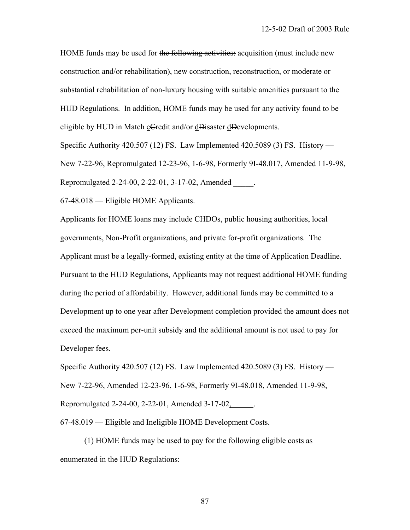HOME funds may be used for the following activities: acquisition (must include new construction and/or rehabilitation), new construction, reconstruction, or moderate or substantial rehabilitation of non-luxury housing with suitable amenities pursuant to the HUD Regulations. In addition, HOME funds may be used for any activity found to be eligible by HUD in Match cCredit and/or dDisaster dDevelopments.

Specific Authority 420.507 (12) FS. Law Implemented 420.5089 (3) FS. History — New 7-22-96, Repromulgated 12-23-96, 1-6-98, Formerly 9I-48.017, Amended 11-9-98, Repromulgated 2-24-00, 2-22-01, 3-17-02, Amended \_\_\_\_\_.

67-48.018 — Eligible HOME Applicants.

Applicants for HOME loans may include CHDOs, public housing authorities, local governments, Non-Profit organizations, and private for-profit organizations. The Applicant must be a legally-formed, existing entity at the time of Application Deadline. Pursuant to the HUD Regulations, Applicants may not request additional HOME funding during the period of affordability. However, additional funds may be committed to a Development up to one year after Development completion provided the amount does not exceed the maximum per-unit subsidy and the additional amount is not used to pay for Developer fees.

Specific Authority 420.507 (12) FS. Law Implemented 420.5089 (3) FS. History — New 7-22-96, Amended 12-23-96, 1-6-98, Formerly 9I-48.018, Amended 11-9-98, Repromulgated 2-24-00, 2-22-01, Amended 3-17-02, \_\_\_\_\_.

67-48.019 — Eligible and Ineligible HOME Development Costs.

 (1) HOME funds may be used to pay for the following eligible costs as enumerated in the HUD Regulations: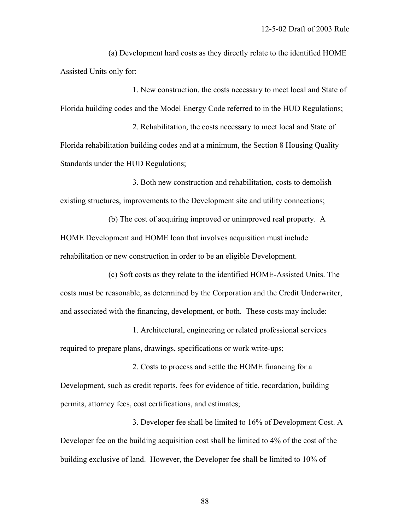(a) Development hard costs as they directly relate to the identified HOME Assisted Units only for:

 1. New construction, the costs necessary to meet local and State of Florida building codes and the Model Energy Code referred to in the HUD Regulations;

 2. Rehabilitation, the costs necessary to meet local and State of Florida rehabilitation building codes and at a minimum, the Section 8 Housing Quality Standards under the HUD Regulations;

 3. Both new construction and rehabilitation, costs to demolish existing structures, improvements to the Development site and utility connections;

 (b) The cost of acquiring improved or unimproved real property. A HOME Development and HOME loan that involves acquisition must include rehabilitation or new construction in order to be an eligible Development.

 (c) Soft costs as they relate to the identified HOME-Assisted Units. The costs must be reasonable, as determined by the Corporation and the Credit Underwriter, and associated with the financing, development, or both. These costs may include:

 1. Architectural, engineering or related professional services required to prepare plans, drawings, specifications or work write-ups;

 2. Costs to process and settle the HOME financing for a Development, such as credit reports, fees for evidence of title, recordation, building permits, attorney fees, cost certifications, and estimates;

 3. Developer fee shall be limited to 16% of Development Cost. A Developer fee on the building acquisition cost shall be limited to 4% of the cost of the building exclusive of land. However, the Developer fee shall be limited to 10% of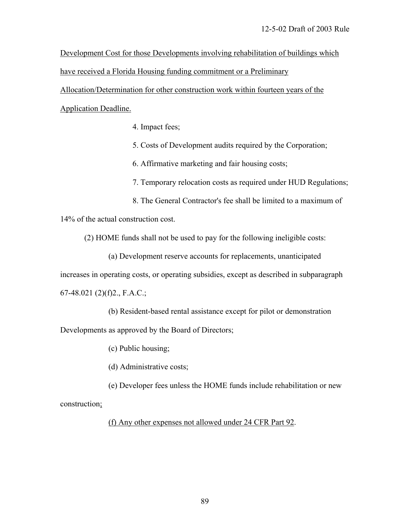Development Cost for those Developments involving rehabilitation of buildings which have received a Florida Housing funding commitment or a Preliminary

Allocation/Determination for other construction work within fourteen years of the Application Deadline.

4. Impact fees;

5. Costs of Development audits required by the Corporation;

6. Affirmative marketing and fair housing costs;

- 7. Temporary relocation costs as required under HUD Regulations;
- 8. The General Contractor's fee shall be limited to a maximum of

14% of the actual construction cost.

(2) HOME funds shall not be used to pay for the following ineligible costs:

(a) Development reserve accounts for replacements, unanticipated

increases in operating costs, or operating subsidies, except as described in subparagraph

 $67-48.021$  (2)(f)2., F.A.C.;

(b) Resident-based rental assistance except for pilot or demonstration

Developments as approved by the Board of Directors;

(c) Public housing;

(d) Administrative costs;

(e) Developer fees unless the HOME funds include rehabilitation or new

construction;

(f) Any other expenses not allowed under 24 CFR Part 92.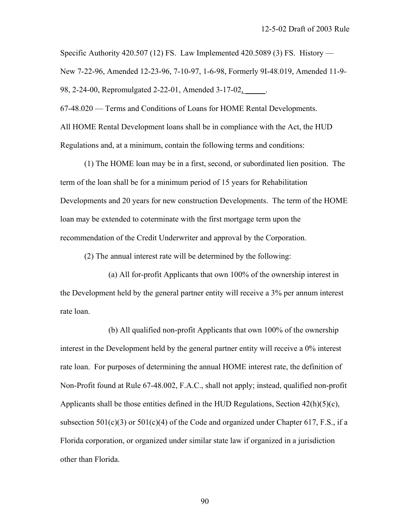Specific Authority 420.507 (12) FS. Law Implemented 420.5089 (3) FS. History — New 7-22-96, Amended 12-23-96, 7-10-97, 1-6-98, Formerly 9I-48.019, Amended 11-9- 98, 2-24-00, Repromulgated 2-22-01, Amended 3-17-02, \_\_\_\_\_.

67-48.020 — Terms and Conditions of Loans for HOME Rental Developments.

All HOME Rental Development loans shall be in compliance with the Act, the HUD Regulations and, at a minimum, contain the following terms and conditions:

 (1) The HOME loan may be in a first, second, or subordinated lien position. The term of the loan shall be for a minimum period of 15 years for Rehabilitation Developments and 20 years for new construction Developments. The term of the HOME loan may be extended to coterminate with the first mortgage term upon the recommendation of the Credit Underwriter and approval by the Corporation.

(2) The annual interest rate will be determined by the following:

 (a) All for-profit Applicants that own 100% of the ownership interest in the Development held by the general partner entity will receive a 3% per annum interest rate loan.

 (b) All qualified non-profit Applicants that own 100% of the ownership interest in the Development held by the general partner entity will receive a 0% interest rate loan. For purposes of determining the annual HOME interest rate, the definition of Non-Profit found at Rule 67-48.002, F.A.C., shall not apply; instead, qualified non-profit Applicants shall be those entities defined in the HUD Regulations, Section  $42(h)(5)(c)$ , subsection  $501(c)(3)$  or  $501(c)(4)$  of the Code and organized under Chapter 617, F.S., if a Florida corporation, or organized under similar state law if organized in a jurisdiction other than Florida.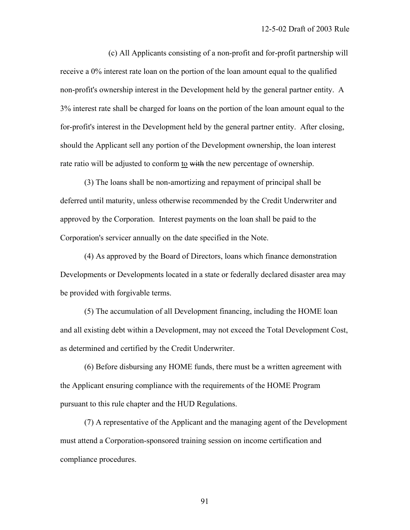(c) All Applicants consisting of a non-profit and for-profit partnership will receive a 0% interest rate loan on the portion of the loan amount equal to the qualified non-profit's ownership interest in the Development held by the general partner entity. A 3% interest rate shall be charged for loans on the portion of the loan amount equal to the for-profit's interest in the Development held by the general partner entity. After closing, should the Applicant sell any portion of the Development ownership, the loan interest rate ratio will be adjusted to conform to with the new percentage of ownership.

 (3) The loans shall be non-amortizing and repayment of principal shall be deferred until maturity, unless otherwise recommended by the Credit Underwriter and approved by the Corporation. Interest payments on the loan shall be paid to the Corporation's servicer annually on the date specified in the Note.

 (4) As approved by the Board of Directors, loans which finance demonstration Developments or Developments located in a state or federally declared disaster area may be provided with forgivable terms.

 (5) The accumulation of all Development financing, including the HOME loan and all existing debt within a Development, may not exceed the Total Development Cost, as determined and certified by the Credit Underwriter.

 (6) Before disbursing any HOME funds, there must be a written agreement with the Applicant ensuring compliance with the requirements of the HOME Program pursuant to this rule chapter and the HUD Regulations.

 (7) A representative of the Applicant and the managing agent of the Development must attend a Corporation-sponsored training session on income certification and compliance procedures.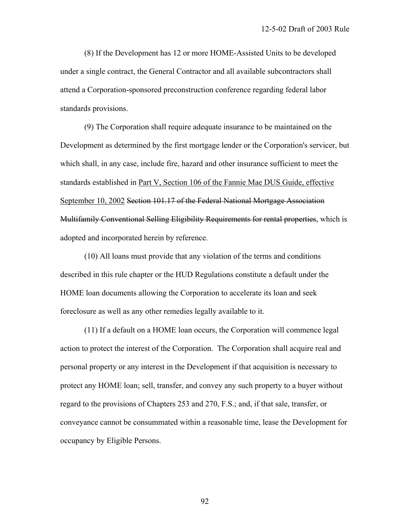(8) If the Development has 12 or more HOME-Assisted Units to be developed under a single contract, the General Contractor and all available subcontractors shall attend a Corporation-sponsored preconstruction conference regarding federal labor standards provisions.

 (9) The Corporation shall require adequate insurance to be maintained on the Development as determined by the first mortgage lender or the Corporation's servicer, but which shall, in any case, include fire, hazard and other insurance sufficient to meet the standards established in Part V, Section 106 of the Fannie Mae DUS Guide, effective September 10, 2002 Section 101.17 of the Federal National Mortgage Association Multifamily Conventional Selling Eligibility Requirements for rental properties, which is adopted and incorporated herein by reference.

 (10) All loans must provide that any violation of the terms and conditions described in this rule chapter or the HUD Regulations constitute a default under the HOME loan documents allowing the Corporation to accelerate its loan and seek foreclosure as well as any other remedies legally available to it.

 (11) If a default on a HOME loan occurs, the Corporation will commence legal action to protect the interest of the Corporation. The Corporation shall acquire real and personal property or any interest in the Development if that acquisition is necessary to protect any HOME loan; sell, transfer, and convey any such property to a buyer without regard to the provisions of Chapters 253 and 270, F.S.; and, if that sale, transfer, or conveyance cannot be consummated within a reasonable time, lease the Development for occupancy by Eligible Persons.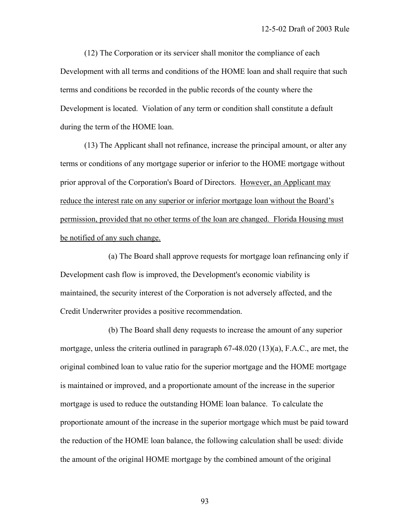(12) The Corporation or its servicer shall monitor the compliance of each Development with all terms and conditions of the HOME loan and shall require that such terms and conditions be recorded in the public records of the county where the Development is located. Violation of any term or condition shall constitute a default during the term of the HOME loan.

 (13) The Applicant shall not refinance, increase the principal amount, or alter any terms or conditions of any mortgage superior or inferior to the HOME mortgage without prior approval of the Corporation's Board of Directors. However, an Applicant may reduce the interest rate on any superior or inferior mortgage loan without the Board's permission, provided that no other terms of the loan are changed. Florida Housing must be notified of any such change.

 (a) The Board shall approve requests for mortgage loan refinancing only if Development cash flow is improved, the Development's economic viability is maintained, the security interest of the Corporation is not adversely affected, and the Credit Underwriter provides a positive recommendation.

 (b) The Board shall deny requests to increase the amount of any superior mortgage, unless the criteria outlined in paragraph 67-48.020 (13)(a), F.A.C., are met, the original combined loan to value ratio for the superior mortgage and the HOME mortgage is maintained or improved, and a proportionate amount of the increase in the superior mortgage is used to reduce the outstanding HOME loan balance. To calculate the proportionate amount of the increase in the superior mortgage which must be paid toward the reduction of the HOME loan balance, the following calculation shall be used: divide the amount of the original HOME mortgage by the combined amount of the original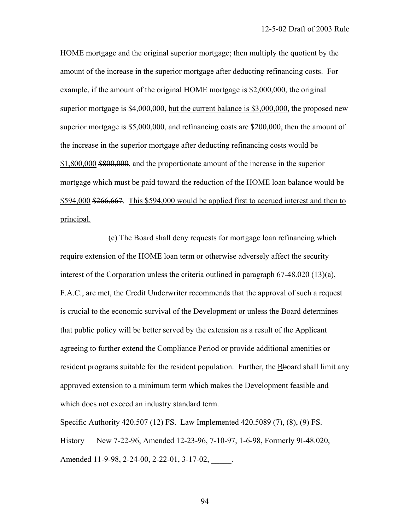HOME mortgage and the original superior mortgage; then multiply the quotient by the amount of the increase in the superior mortgage after deducting refinancing costs. For example, if the amount of the original HOME mortgage is \$2,000,000, the original superior mortgage is \$4,000,000, but the current balance is \$3,000,000, the proposed new superior mortgage is \$5,000,000, and refinancing costs are \$200,000, then the amount of the increase in the superior mortgage after deducting refinancing costs would be \$1,800,000 \$800,000, and the proportionate amount of the increase in the superior mortgage which must be paid toward the reduction of the HOME loan balance would be \$594,000 \$266,667. This \$594,000 would be applied first to accrued interest and then to principal.

 (c) The Board shall deny requests for mortgage loan refinancing which require extension of the HOME loan term or otherwise adversely affect the security interest of the Corporation unless the criteria outlined in paragraph 67-48.020 (13)(a), F.A.C., are met, the Credit Underwriter recommends that the approval of such a request is crucial to the economic survival of the Development or unless the Board determines that public policy will be better served by the extension as a result of the Applicant agreeing to further extend the Compliance Period or provide additional amenities or resident programs suitable for the resident population. Further, the Bboard shall limit any approved extension to a minimum term which makes the Development feasible and which does not exceed an industry standard term.

Specific Authority 420.507 (12) FS. Law Implemented 420.5089 (7), (8), (9) FS. History — New 7-22-96, Amended 12-23-96, 7-10-97, 1-6-98, Formerly 9I-48.020, Amended 11-9-98, 2-24-00, 2-22-01, 3-17-02,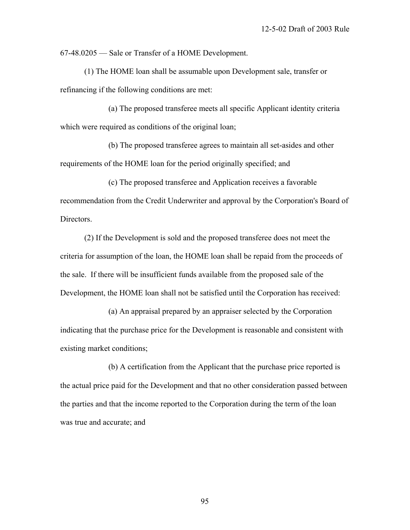67-48.0205 — Sale or Transfer of a HOME Development.

 (1) The HOME loan shall be assumable upon Development sale, transfer or refinancing if the following conditions are met:

 (a) The proposed transferee meets all specific Applicant identity criteria which were required as conditions of the original loan;

 (b) The proposed transferee agrees to maintain all set-asides and other requirements of the HOME loan for the period originally specified; and

 (c) The proposed transferee and Application receives a favorable recommendation from the Credit Underwriter and approval by the Corporation's Board of Directors.

 (2) If the Development is sold and the proposed transferee does not meet the criteria for assumption of the loan, the HOME loan shall be repaid from the proceeds of the sale. If there will be insufficient funds available from the proposed sale of the Development, the HOME loan shall not be satisfied until the Corporation has received:

 (a) An appraisal prepared by an appraiser selected by the Corporation indicating that the purchase price for the Development is reasonable and consistent with existing market conditions;

 (b) A certification from the Applicant that the purchase price reported is the actual price paid for the Development and that no other consideration passed between the parties and that the income reported to the Corporation during the term of the loan was true and accurate; and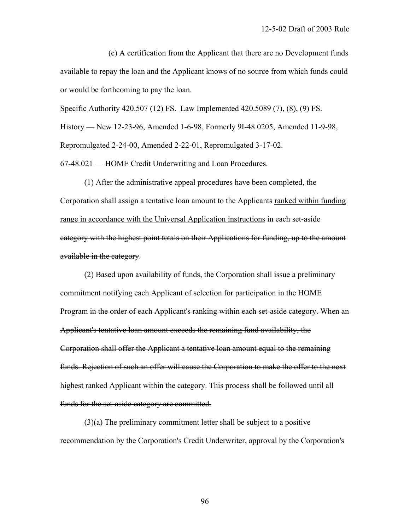(c) A certification from the Applicant that there are no Development funds available to repay the loan and the Applicant knows of no source from which funds could or would be forthcoming to pay the loan.

Specific Authority 420.507 (12) FS. Law Implemented 420.5089 (7), (8), (9) FS.

History — New 12-23-96, Amended 1-6-98, Formerly 9I-48.0205, Amended 11-9-98,

Repromulgated 2-24-00, Amended 2-22-01, Repromulgated 3-17-02.

67-48.021 — HOME Credit Underwriting and Loan Procedures.

 (1) After the administrative appeal procedures have been completed, the Corporation shall assign a tentative loan amount to the Applicants ranked within funding range in accordance with the Universal Application instructions in each set-aside category with the highest point totals on their Applications for funding, up to the amount available in the category.

 (2) Based upon availability of funds, the Corporation shall issue a preliminary commitment notifying each Applicant of selection for participation in the HOME Program in the order of each Applicant's ranking within each set-aside category. When an Applicant's tentative loan amount exceeds the remaining fund availability, the Corporation shall offer the Applicant a tentative loan amount equal to the remaining funds. Rejection of such an offer will cause the Corporation to make the offer to the next highest ranked Applicant within the category. This process shall be followed until all funds for the set-aside category are committed.

 $(3)(a)$  The preliminary commitment letter shall be subject to a positive recommendation by the Corporation's Credit Underwriter, approval by the Corporation's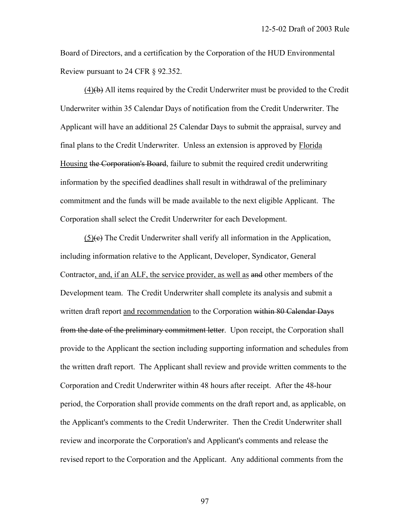Board of Directors, and a certification by the Corporation of the HUD Environmental Review pursuant to 24 CFR § 92.352.

 $(4)$ (b) All items required by the Credit Underwriter must be provided to the Credit Underwriter within 35 Calendar Days of notification from the Credit Underwriter. The Applicant will have an additional 25 Calendar Days to submit the appraisal, survey and final plans to the Credit Underwriter. Unless an extension is approved by Florida Housing the Corporation's Board, failure to submit the required credit underwriting information by the specified deadlines shall result in withdrawal of the preliminary commitment and the funds will be made available to the next eligible Applicant. The Corporation shall select the Credit Underwriter for each Development.

 (5)(c) The Credit Underwriter shall verify all information in the Application, including information relative to the Applicant, Developer, Syndicator, General Contractor, and, if an ALF, the service provider, as well as and other members of the Development team. The Credit Underwriter shall complete its analysis and submit a written draft report and recommendation to the Corporation within 80 Calendar Days from the date of the preliminary commitment letter. Upon receipt, the Corporation shall provide to the Applicant the section including supporting information and schedules from the written draft report. The Applicant shall review and provide written comments to the Corporation and Credit Underwriter within 48 hours after receipt. After the 48-hour period, the Corporation shall provide comments on the draft report and, as applicable, on the Applicant's comments to the Credit Underwriter. Then the Credit Underwriter shall review and incorporate the Corporation's and Applicant's comments and release the revised report to the Corporation and the Applicant. Any additional comments from the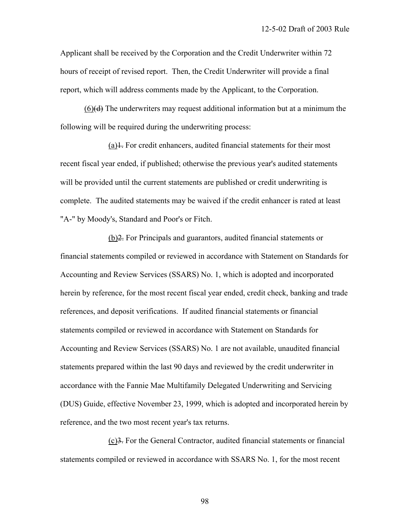Applicant shall be received by the Corporation and the Credit Underwriter within 72 hours of receipt of revised report. Then, the Credit Underwriter will provide a final report, which will address comments made by the Applicant, to the Corporation.

 (6)(d) The underwriters may request additional information but at a minimum the following will be required during the underwriting process:

 $(a)$ . For credit enhancers, audited financial statements for their most recent fiscal year ended, if published; otherwise the previous year's audited statements will be provided until the current statements are published or credit underwriting is complete. The audited statements may be waived if the credit enhancer is rated at least "A-" by Moody's, Standard and Poor's or Fitch.

 (b)2. For Principals and guarantors, audited financial statements or financial statements compiled or reviewed in accordance with Statement on Standards for Accounting and Review Services (SSARS) No. 1, which is adopted and incorporated herein by reference, for the most recent fiscal year ended, credit check, banking and trade references, and deposit verifications. If audited financial statements or financial statements compiled or reviewed in accordance with Statement on Standards for Accounting and Review Services (SSARS) No. 1 are not available, unaudited financial statements prepared within the last 90 days and reviewed by the credit underwriter in accordance with the Fannie Mae Multifamily Delegated Underwriting and Servicing (DUS) Guide, effective November 23, 1999, which is adopted and incorporated herein by reference, and the two most recent year's tax returns.

 (c)3. For the General Contractor, audited financial statements or financial statements compiled or reviewed in accordance with SSARS No. 1, for the most recent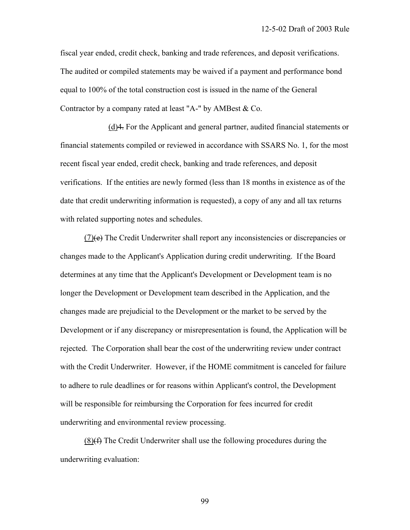fiscal year ended, credit check, banking and trade references, and deposit verifications. The audited or compiled statements may be waived if a payment and performance bond equal to 100% of the total construction cost is issued in the name of the General Contractor by a company rated at least "A-" by AMBest & Co.

 (d)4. For the Applicant and general partner, audited financial statements or financial statements compiled or reviewed in accordance with SSARS No. 1, for the most recent fiscal year ended, credit check, banking and trade references, and deposit verifications. If the entities are newly formed (less than 18 months in existence as of the date that credit underwriting information is requested), a copy of any and all tax returns with related supporting notes and schedules.

 $(7)(e)$  The Credit Underwriter shall report any inconsistencies or discrepancies or changes made to the Applicant's Application during credit underwriting. If the Board determines at any time that the Applicant's Development or Development team is no longer the Development or Development team described in the Application, and the changes made are prejudicial to the Development or the market to be served by the Development or if any discrepancy or misrepresentation is found, the Application will be rejected. The Corporation shall bear the cost of the underwriting review under contract with the Credit Underwriter. However, if the HOME commitment is canceled for failure to adhere to rule deadlines or for reasons within Applicant's control, the Development will be responsible for reimbursing the Corporation for fees incurred for credit underwriting and environmental review processing.

 $(8)$ ( $\leftrightarrow$ ) The Credit Underwriter shall use the following procedures during the underwriting evaluation: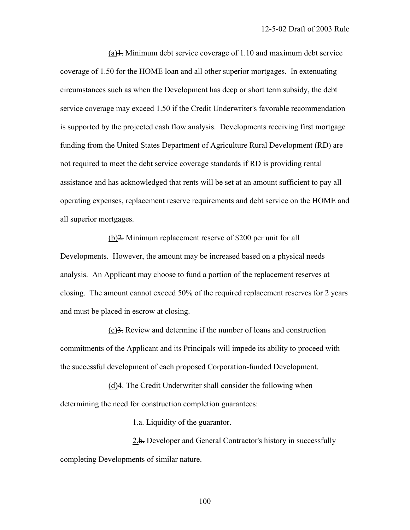$(a)$ 1. Minimum debt service coverage of 1.10 and maximum debt service coverage of 1.50 for the HOME loan and all other superior mortgages. In extenuating circumstances such as when the Development has deep or short term subsidy, the debt service coverage may exceed 1.50 if the Credit Underwriter's favorable recommendation is supported by the projected cash flow analysis. Developments receiving first mortgage funding from the United States Department of Agriculture Rural Development (RD) are not required to meet the debt service coverage standards if RD is providing rental assistance and has acknowledged that rents will be set at an amount sufficient to pay all operating expenses, replacement reserve requirements and debt service on the HOME and all superior mortgages.

 (b)2. Minimum replacement reserve of \$200 per unit for all Developments. However, the amount may be increased based on a physical needs analysis. An Applicant may choose to fund a portion of the replacement reserves at closing. The amount cannot exceed 50% of the required replacement reserves for 2 years and must be placed in escrow at closing.

 (c)3. Review and determine if the number of loans and construction commitments of the Applicant and its Principals will impede its ability to proceed with the successful development of each proposed Corporation-funded Development.

 (d)4. The Credit Underwriter shall consider the following when determining the need for construction completion guarantees:

1.a. Liquidity of the guarantor.

2.b. Developer and General Contractor's history in successfully completing Developments of similar nature.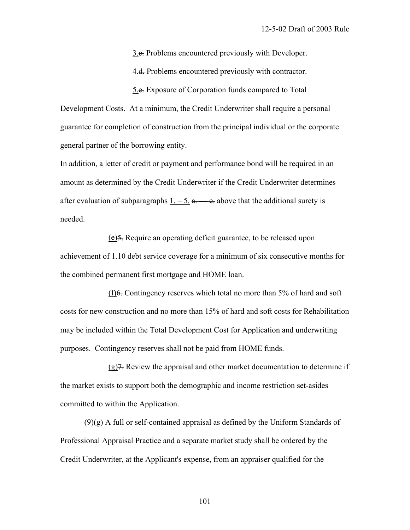3.e. Problems encountered previously with Developer.

4.<del>d.</del> Problems encountered previously with contractor.

5.e. Exposure of Corporation funds compared to Total

Development Costs. At a minimum, the Credit Underwriter shall require a personal guarantee for completion of construction from the principal individual or the corporate general partner of the borrowing entity.

In addition, a letter of credit or payment and performance bond will be required in an amount as determined by the Credit Underwriter if the Credit Underwriter determines after evaluation of subparagraphs  $1. - 5.$  a.  $\leftarrow$  e. above that the additional surety is needed.

 (e)5. Require an operating deficit guarantee, to be released upon achievement of 1.10 debt service coverage for a minimum of six consecutive months for the combined permanent first mortgage and HOME loan.

 $(f)6$ . Contingency reserves which total no more than 5% of hard and soft costs for new construction and no more than 15% of hard and soft costs for Rehabilitation may be included within the Total Development Cost for Application and underwriting purposes. Contingency reserves shall not be paid from HOME funds.

 $(g)$ 7. Review the appraisal and other market documentation to determine if the market exists to support both the demographic and income restriction set-asides committed to within the Application.

 $(9)$ ( $\leftrightarrow$ ) A full or self-contained appraisal as defined by the Uniform Standards of Professional Appraisal Practice and a separate market study shall be ordered by the Credit Underwriter, at the Applicant's expense, from an appraiser qualified for the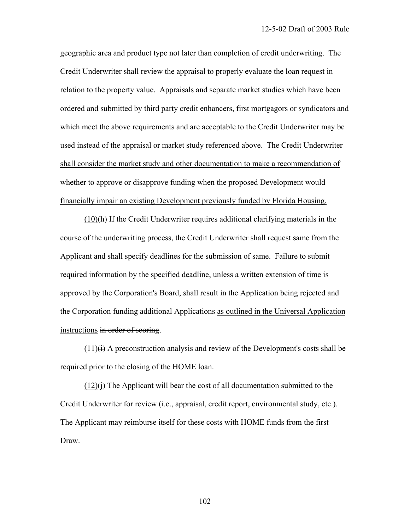geographic area and product type not later than completion of credit underwriting. The Credit Underwriter shall review the appraisal to properly evaluate the loan request in relation to the property value. Appraisals and separate market studies which have been ordered and submitted by third party credit enhancers, first mortgagors or syndicators and which meet the above requirements and are acceptable to the Credit Underwriter may be used instead of the appraisal or market study referenced above. The Credit Underwriter shall consider the market study and other documentation to make a recommendation of whether to approve or disapprove funding when the proposed Development would financially impair an existing Development previously funded by Florida Housing.

 $(10)$ (h) If the Credit Underwriter requires additional clarifying materials in the course of the underwriting process, the Credit Underwriter shall request same from the Applicant and shall specify deadlines for the submission of same. Failure to submit required information by the specified deadline, unless a written extension of time is approved by the Corporation's Board, shall result in the Application being rejected and the Corporation funding additional Applications as outlined in the Universal Application instructions in order of scoring.

 $(11)$ (i) A preconstruction analysis and review of the Development's costs shall be required prior to the closing of the HOME loan.

 $(12)(i)$  The Applicant will bear the cost of all documentation submitted to the Credit Underwriter for review (i.e., appraisal, credit report, environmental study, etc.). The Applicant may reimburse itself for these costs with HOME funds from the first Draw.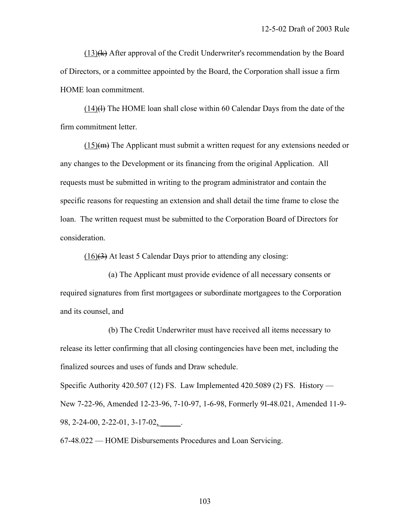$(13)$ <del>(k)</del> After approval of the Credit Underwriter's recommendation by the Board of Directors, or a committee appointed by the Board, the Corporation shall issue a firm HOME loan commitment.

 $(14)$ (H) The HOME loan shall close within 60 Calendar Days from the date of the firm commitment letter.

 $(15)(m)$  The Applicant must submit a written request for any extensions needed or any changes to the Development or its financing from the original Application. All requests must be submitted in writing to the program administrator and contain the specific reasons for requesting an extension and shall detail the time frame to close the loan. The written request must be submitted to the Corporation Board of Directors for consideration.

 $(16)(3)$  At least 5 Calendar Days prior to attending any closing:

 (a) The Applicant must provide evidence of all necessary consents or required signatures from first mortgagees or subordinate mortgagees to the Corporation and its counsel, and

 (b) The Credit Underwriter must have received all items necessary to release its letter confirming that all closing contingencies have been met, including the finalized sources and uses of funds and Draw schedule.

Specific Authority 420.507 (12) FS. Law Implemented 420.5089 (2) FS. History — New 7-22-96, Amended 12-23-96, 7-10-97, 1-6-98, Formerly 9I-48.021, Amended 11-9- 98, 2-24-00, 2-22-01, 3-17-02, \_\_\_\_\_.

67-48.022 — HOME Disbursements Procedures and Loan Servicing.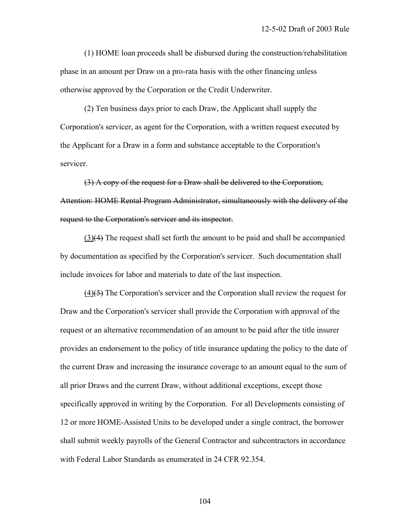(1) HOME loan proceeds shall be disbursed during the construction/rehabilitation phase in an amount per Draw on a pro-rata basis with the other financing unless otherwise approved by the Corporation or the Credit Underwriter.

 (2) Ten business days prior to each Draw, the Applicant shall supply the Corporation's servicer, as agent for the Corporation, with a written request executed by the Applicant for a Draw in a form and substance acceptable to the Corporation's servicer.

 (3) A copy of the request for a Draw shall be delivered to the Corporation, Attention: HOME Rental Program Administrator, simultaneously with the delivery of the request to the Corporation's servicer and its inspector.

 (3)(4) The request shall set forth the amount to be paid and shall be accompanied by documentation as specified by the Corporation's servicer. Such documentation shall include invoices for labor and materials to date of the last inspection.

 $(4)$ (5) The Corporation's servicer and the Corporation shall review the request for Draw and the Corporation's servicer shall provide the Corporation with approval of the request or an alternative recommendation of an amount to be paid after the title insurer provides an endorsement to the policy of title insurance updating the policy to the date of the current Draw and increasing the insurance coverage to an amount equal to the sum of all prior Draws and the current Draw, without additional exceptions, except those specifically approved in writing by the Corporation. For all Developments consisting of 12 or more HOME-Assisted Units to be developed under a single contract, the borrower shall submit weekly payrolls of the General Contractor and subcontractors in accordance with Federal Labor Standards as enumerated in 24 CFR 92.354.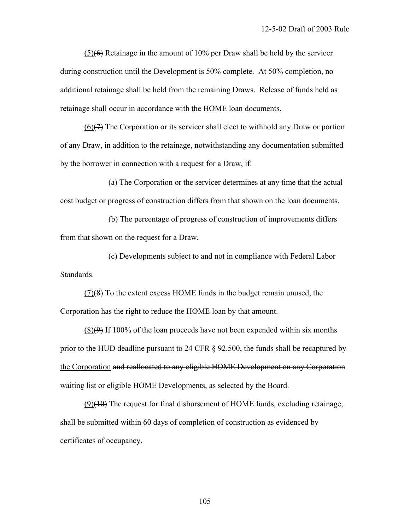(5)(6) Retainage in the amount of 10% per Draw shall be held by the servicer during construction until the Development is 50% complete. At 50% completion, no additional retainage shall be held from the remaining Draws. Release of funds held as retainage shall occur in accordance with the HOME loan documents.

 $(6)$ ( $\rightarrow$ ) The Corporation or its servicer shall elect to withhold any Draw or portion of any Draw, in addition to the retainage, notwithstanding any documentation submitted by the borrower in connection with a request for a Draw, if:

 (a) The Corporation or the servicer determines at any time that the actual cost budget or progress of construction differs from that shown on the loan documents.

 (b) The percentage of progress of construction of improvements differs from that shown on the request for a Draw.

 (c) Developments subject to and not in compliance with Federal Labor Standards.

 (7)(8) To the extent excess HOME funds in the budget remain unused, the Corporation has the right to reduce the HOME loan by that amount.

 $(8)(9)$  If 100% of the loan proceeds have not been expended within six months prior to the HUD deadline pursuant to 24 CFR § 92.500, the funds shall be recaptured by the Corporation and reallocated to any eligible HOME Development on any Corporation waiting list or eligible HOME Developments, as selected by the Board.

 $(9)(10)$  The request for final disbursement of HOME funds, excluding retainage, shall be submitted within 60 days of completion of construction as evidenced by certificates of occupancy.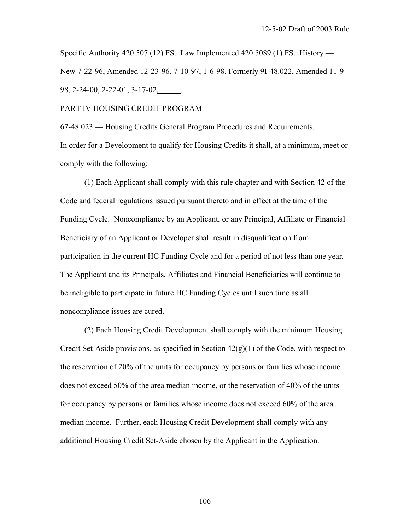Specific Authority 420.507 (12) FS. Law Implemented 420.5089 (1) FS. History — New 7-22-96, Amended 12-23-96, 7-10-97, 1-6-98, Formerly 9I-48.022, Amended 11-9- 98, 2-24-00, 2-22-01, 3-17-02, \_\_\_\_\_.

PART IV HOUSING CREDIT PROGRAM

67-48.023 — Housing Credits General Program Procedures and Requirements. In order for a Development to qualify for Housing Credits it shall, at a minimum, meet or comply with the following:

 (1) Each Applicant shall comply with this rule chapter and with Section 42 of the Code and federal regulations issued pursuant thereto and in effect at the time of the Funding Cycle. Noncompliance by an Applicant, or any Principal, Affiliate or Financial Beneficiary of an Applicant or Developer shall result in disqualification from participation in the current HC Funding Cycle and for a period of not less than one year. The Applicant and its Principals, Affiliates and Financial Beneficiaries will continue to be ineligible to participate in future HC Funding Cycles until such time as all noncompliance issues are cured.

 (2) Each Housing Credit Development shall comply with the minimum Housing Credit Set-Aside provisions, as specified in Section  $42(g)(1)$  of the Code, with respect to the reservation of 20% of the units for occupancy by persons or families whose income does not exceed 50% of the area median income, or the reservation of 40% of the units for occupancy by persons or families whose income does not exceed 60% of the area median income. Further, each Housing Credit Development shall comply with any additional Housing Credit Set-Aside chosen by the Applicant in the Application.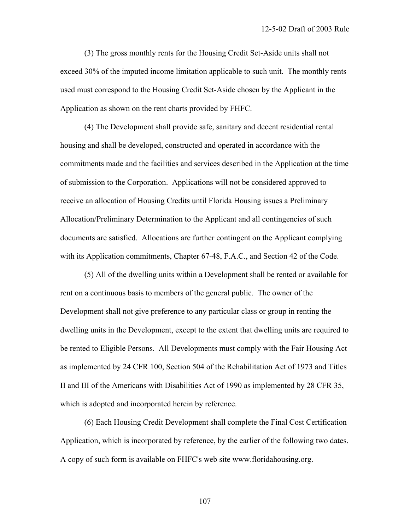(3) The gross monthly rents for the Housing Credit Set-Aside units shall not exceed 30% of the imputed income limitation applicable to such unit. The monthly rents used must correspond to the Housing Credit Set-Aside chosen by the Applicant in the Application as shown on the rent charts provided by FHFC.

 (4) The Development shall provide safe, sanitary and decent residential rental housing and shall be developed, constructed and operated in accordance with the commitments made and the facilities and services described in the Application at the time of submission to the Corporation. Applications will not be considered approved to receive an allocation of Housing Credits until Florida Housing issues a Preliminary Allocation/Preliminary Determination to the Applicant and all contingencies of such documents are satisfied. Allocations are further contingent on the Applicant complying with its Application commitments, Chapter 67-48, F.A.C., and Section 42 of the Code.

 (5) All of the dwelling units within a Development shall be rented or available for rent on a continuous basis to members of the general public. The owner of the Development shall not give preference to any particular class or group in renting the dwelling units in the Development, except to the extent that dwelling units are required to be rented to Eligible Persons. All Developments must comply with the Fair Housing Act as implemented by 24 CFR 100, Section 504 of the Rehabilitation Act of 1973 and Titles II and III of the Americans with Disabilities Act of 1990 as implemented by 28 CFR 35, which is adopted and incorporated herein by reference.

 (6) Each Housing Credit Development shall complete the Final Cost Certification Application, which is incorporated by reference, by the earlier of the following two dates. A copy of such form is available on FHFC's web site www.floridahousing.org.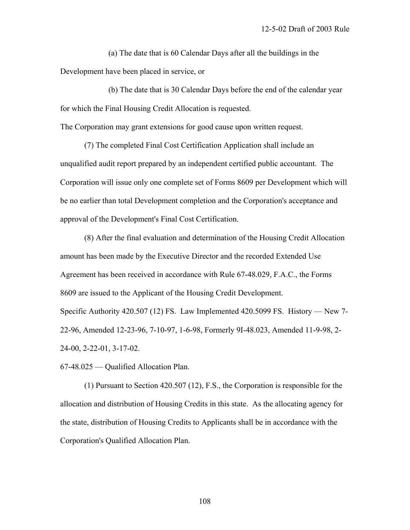(a) The date that is 60 Calendar Days after all the buildings in the Development have been placed in service, or

 (b) The date that is 30 Calendar Days before the end of the calendar year for which the Final Housing Credit Allocation is requested.

The Corporation may grant extensions for good cause upon written request.

 (7) The completed Final Cost Certification Application shall include an unqualified audit report prepared by an independent certified public accountant. The Corporation will issue only one complete set of Forms 8609 per Development which will be no earlier than total Development completion and the Corporation's acceptance and approval of the Development's Final Cost Certification.

 (8) After the final evaluation and determination of the Housing Credit Allocation amount has been made by the Executive Director and the recorded Extended Use Agreement has been received in accordance with Rule 67-48.029, F.A.C., the Forms 8609 are issued to the Applicant of the Housing Credit Development. Specific Authority 420.507 (12) FS. Law Implemented 420.5099 FS. History — New 7- 22-96, Amended 12-23-96, 7-10-97, 1-6-98, Formerly 9I-48.023, Amended 11-9-98, 2- 24-00, 2-22-01, 3-17-02.

67-48.025 — Qualified Allocation Plan.

 (1) Pursuant to Section 420.507 (12), F.S., the Corporation is responsible for the allocation and distribution of Housing Credits in this state. As the allocating agency for the state, distribution of Housing Credits to Applicants shall be in accordance with the Corporation's Qualified Allocation Plan.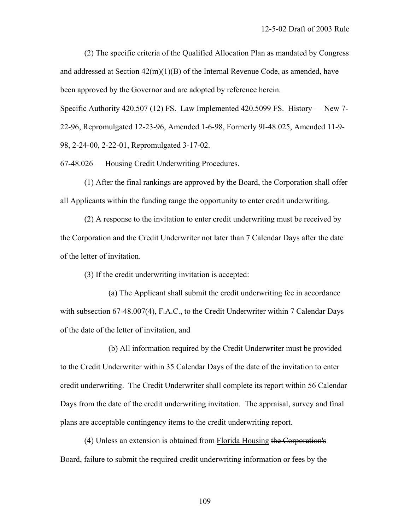(2) The specific criteria of the Qualified Allocation Plan as mandated by Congress and addressed at Section 42(m)(1)(B) of the Internal Revenue Code, as amended, have been approved by the Governor and are adopted by reference herein.

Specific Authority 420.507 (12) FS. Law Implemented 420.5099 FS. History — New 7-

22-96, Repromulgated 12-23-96, Amended 1-6-98, Formerly 9I-48.025, Amended 11-9-

98, 2-24-00, 2-22-01, Repromulgated 3-17-02.

67-48.026 — Housing Credit Underwriting Procedures.

 (1) After the final rankings are approved by the Board, the Corporation shall offer all Applicants within the funding range the opportunity to enter credit underwriting.

 (2) A response to the invitation to enter credit underwriting must be received by the Corporation and the Credit Underwriter not later than 7 Calendar Days after the date of the letter of invitation.

(3) If the credit underwriting invitation is accepted:

 (a) The Applicant shall submit the credit underwriting fee in accordance with subsection 67-48.007(4), F.A.C., to the Credit Underwriter within 7 Calendar Days of the date of the letter of invitation, and

 (b) All information required by the Credit Underwriter must be provided to the Credit Underwriter within 35 Calendar Days of the date of the invitation to enter credit underwriting. The Credit Underwriter shall complete its report within 56 Calendar Days from the date of the credit underwriting invitation. The appraisal, survey and final plans are acceptable contingency items to the credit underwriting report.

 (4) Unless an extension is obtained from Florida Housing the Corporation's Board, failure to submit the required credit underwriting information or fees by the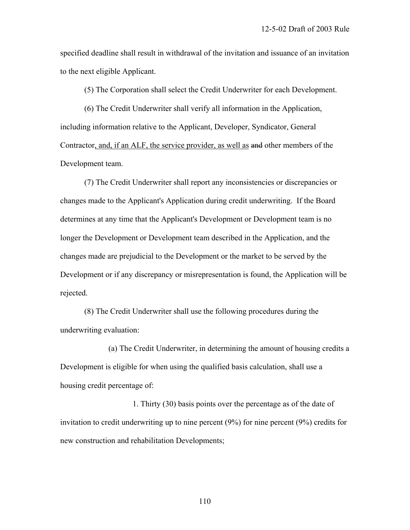specified deadline shall result in withdrawal of the invitation and issuance of an invitation to the next eligible Applicant.

(5) The Corporation shall select the Credit Underwriter for each Development.

 (6) The Credit Underwriter shall verify all information in the Application, including information relative to the Applicant, Developer, Syndicator, General Contractor, and, if an ALF, the service provider, as well as and other members of the Development team.

 (7) The Credit Underwriter shall report any inconsistencies or discrepancies or changes made to the Applicant's Application during credit underwriting. If the Board determines at any time that the Applicant's Development or Development team is no longer the Development or Development team described in the Application, and the changes made are prejudicial to the Development or the market to be served by the Development or if any discrepancy or misrepresentation is found, the Application will be rejected.

 (8) The Credit Underwriter shall use the following procedures during the underwriting evaluation:

 (a) The Credit Underwriter, in determining the amount of housing credits a Development is eligible for when using the qualified basis calculation, shall use a housing credit percentage of:

 1. Thirty (30) basis points over the percentage as of the date of invitation to credit underwriting up to nine percent (9%) for nine percent (9%) credits for new construction and rehabilitation Developments;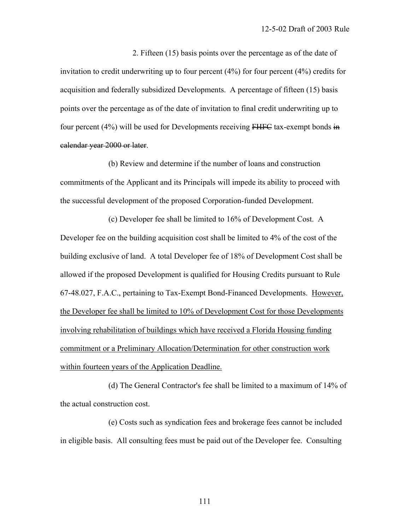2. Fifteen (15) basis points over the percentage as of the date of invitation to credit underwriting up to four percent (4%) for four percent (4%) credits for acquisition and federally subsidized Developments. A percentage of fifteen (15) basis points over the percentage as of the date of invitation to final credit underwriting up to four percent (4%) will be used for Developments receiving FHFC tax-exempt bonds in calendar year 2000 or later.

 (b) Review and determine if the number of loans and construction commitments of the Applicant and its Principals will impede its ability to proceed with the successful development of the proposed Corporation-funded Development.

 (c) Developer fee shall be limited to 16% of Development Cost. A Developer fee on the building acquisition cost shall be limited to 4% of the cost of the building exclusive of land. A total Developer fee of 18% of Development Cost shall be allowed if the proposed Development is qualified for Housing Credits pursuant to Rule 67-48.027, F.A.C., pertaining to Tax-Exempt Bond-Financed Developments. However, the Developer fee shall be limited to 10% of Development Cost for those Developments involving rehabilitation of buildings which have received a Florida Housing funding commitment or a Preliminary Allocation/Determination for other construction work within fourteen years of the Application Deadline.

 (d) The General Contractor's fee shall be limited to a maximum of 14% of the actual construction cost.

 (e) Costs such as syndication fees and brokerage fees cannot be included in eligible basis. All consulting fees must be paid out of the Developer fee. Consulting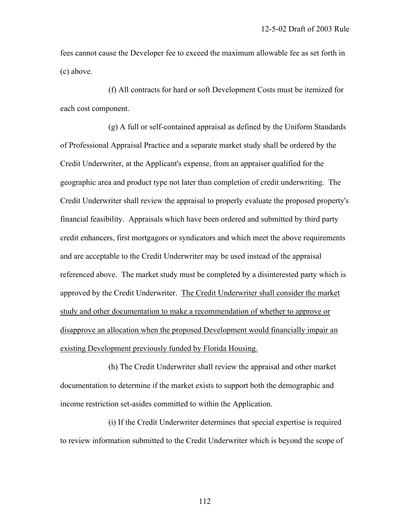fees cannot cause the Developer fee to exceed the maximum allowable fee as set forth in (c) above.

 (f) All contracts for hard or soft Development Costs must be itemized for each cost component.

 (g) A full or self-contained appraisal as defined by the Uniform Standards of Professional Appraisal Practice and a separate market study shall be ordered by the Credit Underwriter, at the Applicant's expense, from an appraiser qualified for the geographic area and product type not later than completion of credit underwriting. The Credit Underwriter shall review the appraisal to properly evaluate the proposed property's financial feasibility. Appraisals which have been ordered and submitted by third party credit enhancers, first mortgagors or syndicators and which meet the above requirements and are acceptable to the Credit Underwriter may be used instead of the appraisal referenced above. The market study must be completed by a disinterested party which is approved by the Credit Underwriter. The Credit Underwriter shall consider the market study and other documentation to make a recommendation of whether to approve or disapprove an allocation when the proposed Development would financially impair an existing Development previously funded by Florida Housing.

 (h) The Credit Underwriter shall review the appraisal and other market documentation to determine if the market exists to support both the demographic and income restriction set-asides committed to within the Application.

 (i) If the Credit Underwriter determines that special expertise is required to review information submitted to the Credit Underwriter which is beyond the scope of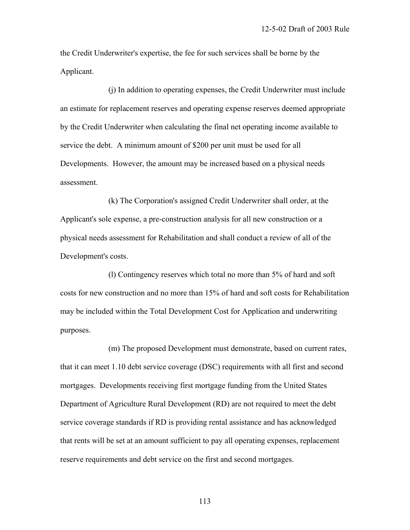the Credit Underwriter's expertise, the fee for such services shall be borne by the Applicant.

 (j) In addition to operating expenses, the Credit Underwriter must include an estimate for replacement reserves and operating expense reserves deemed appropriate by the Credit Underwriter when calculating the final net operating income available to service the debt. A minimum amount of \$200 per unit must be used for all Developments. However, the amount may be increased based on a physical needs assessment.

 (k) The Corporation's assigned Credit Underwriter shall order, at the Applicant's sole expense, a pre-construction analysis for all new construction or a physical needs assessment for Rehabilitation and shall conduct a review of all of the Development's costs.

 (l) Contingency reserves which total no more than 5% of hard and soft costs for new construction and no more than 15% of hard and soft costs for Rehabilitation may be included within the Total Development Cost for Application and underwriting purposes.

 (m) The proposed Development must demonstrate, based on current rates, that it can meet 1.10 debt service coverage (DSC) requirements with all first and second mortgages. Developments receiving first mortgage funding from the United States Department of Agriculture Rural Development (RD) are not required to meet the debt service coverage standards if RD is providing rental assistance and has acknowledged that rents will be set at an amount sufficient to pay all operating expenses, replacement reserve requirements and debt service on the first and second mortgages.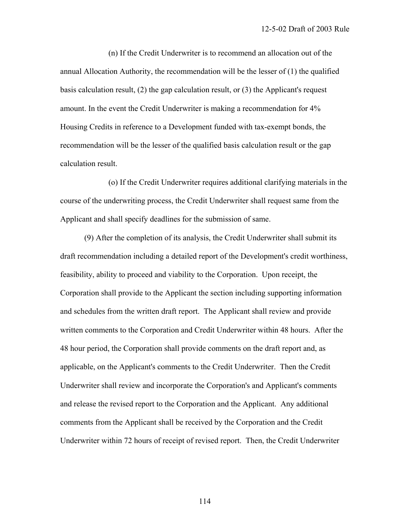(n) If the Credit Underwriter is to recommend an allocation out of the annual Allocation Authority, the recommendation will be the lesser of (1) the qualified basis calculation result, (2) the gap calculation result, or (3) the Applicant's request amount. In the event the Credit Underwriter is making a recommendation for 4% Housing Credits in reference to a Development funded with tax-exempt bonds, the recommendation will be the lesser of the qualified basis calculation result or the gap calculation result.

 (o) If the Credit Underwriter requires additional clarifying materials in the course of the underwriting process, the Credit Underwriter shall request same from the Applicant and shall specify deadlines for the submission of same.

 (9) After the completion of its analysis, the Credit Underwriter shall submit its draft recommendation including a detailed report of the Development's credit worthiness, feasibility, ability to proceed and viability to the Corporation. Upon receipt, the Corporation shall provide to the Applicant the section including supporting information and schedules from the written draft report. The Applicant shall review and provide written comments to the Corporation and Credit Underwriter within 48 hours. After the 48 hour period, the Corporation shall provide comments on the draft report and, as applicable, on the Applicant's comments to the Credit Underwriter. Then the Credit Underwriter shall review and incorporate the Corporation's and Applicant's comments and release the revised report to the Corporation and the Applicant. Any additional comments from the Applicant shall be received by the Corporation and the Credit Underwriter within 72 hours of receipt of revised report. Then, the Credit Underwriter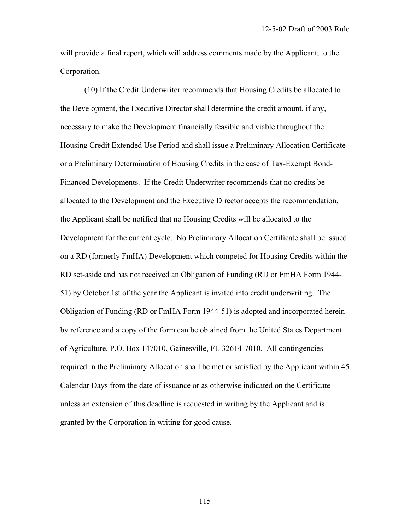will provide a final report, which will address comments made by the Applicant, to the Corporation.

 (10) If the Credit Underwriter recommends that Housing Credits be allocated to the Development, the Executive Director shall determine the credit amount, if any, necessary to make the Development financially feasible and viable throughout the Housing Credit Extended Use Period and shall issue a Preliminary Allocation Certificate or a Preliminary Determination of Housing Credits in the case of Tax-Exempt Bond-Financed Developments. If the Credit Underwriter recommends that no credits be allocated to the Development and the Executive Director accepts the recommendation, the Applicant shall be notified that no Housing Credits will be allocated to the Development for the current cycle. No Preliminary Allocation Certificate shall be issued on a RD (formerly FmHA) Development which competed for Housing Credits within the RD set-aside and has not received an Obligation of Funding (RD or FmHA Form 1944- 51) by October 1st of the year the Applicant is invited into credit underwriting. The Obligation of Funding (RD or FmHA Form 1944-51) is adopted and incorporated herein by reference and a copy of the form can be obtained from the United States Department of Agriculture, P.O. Box 147010, Gainesville, FL 32614-7010. All contingencies required in the Preliminary Allocation shall be met or satisfied by the Applicant within 45 Calendar Days from the date of issuance or as otherwise indicated on the Certificate unless an extension of this deadline is requested in writing by the Applicant and is granted by the Corporation in writing for good cause.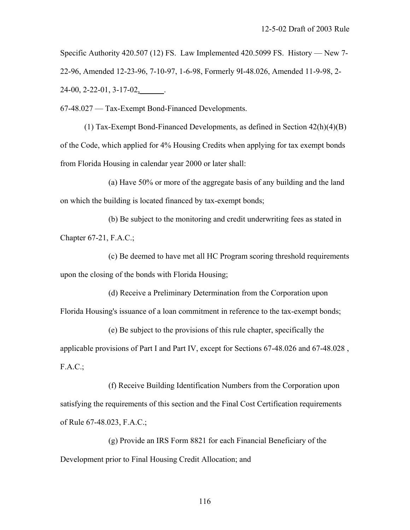Specific Authority 420.507 (12) FS. Law Implemented 420.5099 FS. History — New 7- 22-96, Amended 12-23-96, 7-10-97, 1-6-98, Formerly 9I-48.026, Amended 11-9-98, 2- 24-00, 2-22-01, 3-17-02,\_\_\_\_\_\_.

67-48.027 — Tax-Exempt Bond-Financed Developments.

 (1) Tax-Exempt Bond-Financed Developments, as defined in Section 42(h)(4)(B) of the Code, which applied for 4% Housing Credits when applying for tax exempt bonds from Florida Housing in calendar year 2000 or later shall:

 (a) Have 50% or more of the aggregate basis of any building and the land on which the building is located financed by tax-exempt bonds;

 (b) Be subject to the monitoring and credit underwriting fees as stated in Chapter 67-21, F.A.C.;

 (c) Be deemed to have met all HC Program scoring threshold requirements upon the closing of the bonds with Florida Housing;

 (d) Receive a Preliminary Determination from the Corporation upon Florida Housing's issuance of a loan commitment in reference to the tax-exempt bonds;

 (e) Be subject to the provisions of this rule chapter, specifically the applicable provisions of Part I and Part IV, except for Sections 67-48.026 and 67-48.028 ,  $F.A.C.:$ 

 (f) Receive Building Identification Numbers from the Corporation upon satisfying the requirements of this section and the Final Cost Certification requirements of Rule 67-48.023, F.A.C.;

 (g) Provide an IRS Form 8821 for each Financial Beneficiary of the Development prior to Final Housing Credit Allocation; and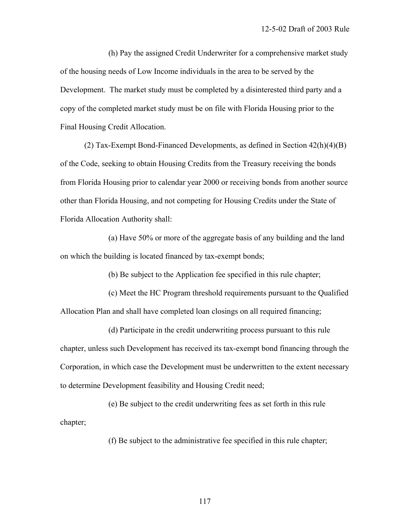(h) Pay the assigned Credit Underwriter for a comprehensive market study of the housing needs of Low Income individuals in the area to be served by the Development. The market study must be completed by a disinterested third party and a copy of the completed market study must be on file with Florida Housing prior to the Final Housing Credit Allocation.

 (2) Tax-Exempt Bond-Financed Developments, as defined in Section 42(h)(4)(B) of the Code, seeking to obtain Housing Credits from the Treasury receiving the bonds from Florida Housing prior to calendar year 2000 or receiving bonds from another source other than Florida Housing, and not competing for Housing Credits under the State of Florida Allocation Authority shall:

 (a) Have 50% or more of the aggregate basis of any building and the land on which the building is located financed by tax-exempt bonds;

(b) Be subject to the Application fee specified in this rule chapter;

 (c) Meet the HC Program threshold requirements pursuant to the Qualified Allocation Plan and shall have completed loan closings on all required financing;

 (d) Participate in the credit underwriting process pursuant to this rule chapter, unless such Development has received its tax-exempt bond financing through the Corporation, in which case the Development must be underwritten to the extent necessary to determine Development feasibility and Housing Credit need;

 (e) Be subject to the credit underwriting fees as set forth in this rule chapter;

(f) Be subject to the administrative fee specified in this rule chapter;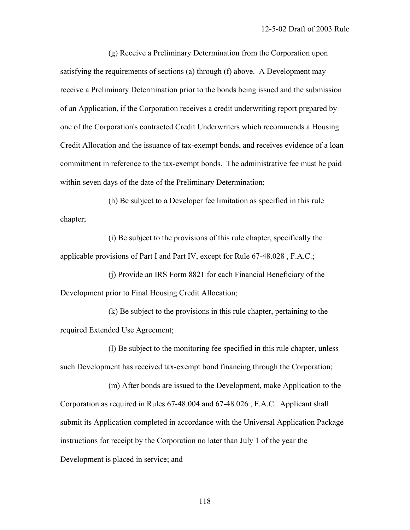(g) Receive a Preliminary Determination from the Corporation upon satisfying the requirements of sections (a) through (f) above. A Development may receive a Preliminary Determination prior to the bonds being issued and the submission of an Application, if the Corporation receives a credit underwriting report prepared by one of the Corporation's contracted Credit Underwriters which recommends a Housing Credit Allocation and the issuance of tax-exempt bonds, and receives evidence of a loan commitment in reference to the tax-exempt bonds. The administrative fee must be paid within seven days of the date of the Preliminary Determination;

 (h) Be subject to a Developer fee limitation as specified in this rule chapter;

 (i) Be subject to the provisions of this rule chapter, specifically the applicable provisions of Part I and Part IV, except for Rule 67-48.028 , F.A.C.;

 (j) Provide an IRS Form 8821 for each Financial Beneficiary of the Development prior to Final Housing Credit Allocation;

 (k) Be subject to the provisions in this rule chapter, pertaining to the required Extended Use Agreement;

 (l) Be subject to the monitoring fee specified in this rule chapter, unless such Development has received tax-exempt bond financing through the Corporation;

 (m) After bonds are issued to the Development, make Application to the Corporation as required in Rules 67-48.004 and 67-48.026 , F.A.C. Applicant shall submit its Application completed in accordance with the Universal Application Package instructions for receipt by the Corporation no later than July 1 of the year the Development is placed in service; and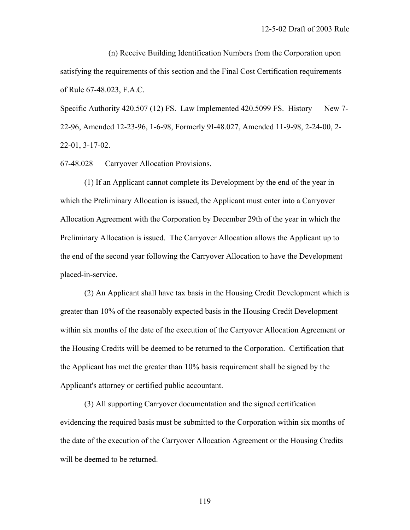(n) Receive Building Identification Numbers from the Corporation upon satisfying the requirements of this section and the Final Cost Certification requirements of Rule 67-48.023, F.A.C.

Specific Authority 420.507 (12) FS. Law Implemented 420.5099 FS. History — New 7- 22-96, Amended 12-23-96, 1-6-98, Formerly 9I-48.027, Amended 11-9-98, 2-24-00, 2- 22-01, 3-17-02.

67-48.028 — Carryover Allocation Provisions.

 (1) If an Applicant cannot complete its Development by the end of the year in which the Preliminary Allocation is issued, the Applicant must enter into a Carryover Allocation Agreement with the Corporation by December 29th of the year in which the Preliminary Allocation is issued. The Carryover Allocation allows the Applicant up to the end of the second year following the Carryover Allocation to have the Development placed-in-service.

 (2) An Applicant shall have tax basis in the Housing Credit Development which is greater than 10% of the reasonably expected basis in the Housing Credit Development within six months of the date of the execution of the Carryover Allocation Agreement or the Housing Credits will be deemed to be returned to the Corporation. Certification that the Applicant has met the greater than 10% basis requirement shall be signed by the Applicant's attorney or certified public accountant.

 (3) All supporting Carryover documentation and the signed certification evidencing the required basis must be submitted to the Corporation within six months of the date of the execution of the Carryover Allocation Agreement or the Housing Credits will be deemed to be returned.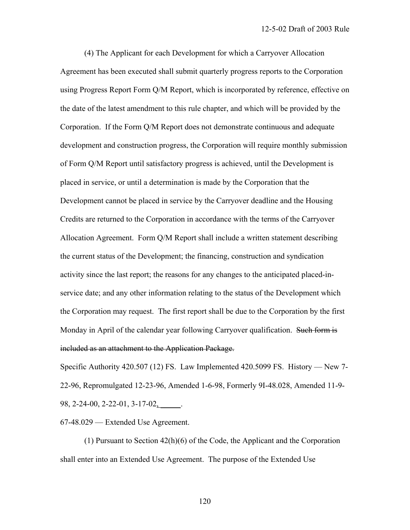(4) The Applicant for each Development for which a Carryover Allocation Agreement has been executed shall submit quarterly progress reports to the Corporation using Progress Report Form Q/M Report, which is incorporated by reference, effective on the date of the latest amendment to this rule chapter, and which will be provided by the Corporation. If the Form Q/M Report does not demonstrate continuous and adequate development and construction progress, the Corporation will require monthly submission of Form Q/M Report until satisfactory progress is achieved, until the Development is placed in service, or until a determination is made by the Corporation that the Development cannot be placed in service by the Carryover deadline and the Housing Credits are returned to the Corporation in accordance with the terms of the Carryover Allocation Agreement. Form Q/M Report shall include a written statement describing the current status of the Development; the financing, construction and syndication activity since the last report; the reasons for any changes to the anticipated placed-inservice date; and any other information relating to the status of the Development which the Corporation may request. The first report shall be due to the Corporation by the first Monday in April of the calendar year following Carryover qualification. Such form is included as an attachment to the Application Package.

Specific Authority 420.507 (12) FS. Law Implemented 420.5099 FS. History — New 7- 22-96, Repromulgated 12-23-96, Amended 1-6-98, Formerly 9I-48.028, Amended 11-9- 98, 2-24-00, 2-22-01, 3-17-02, \_\_\_\_.

67-48.029 — Extended Use Agreement.

 (1) Pursuant to Section 42(h)(6) of the Code, the Applicant and the Corporation shall enter into an Extended Use Agreement. The purpose of the Extended Use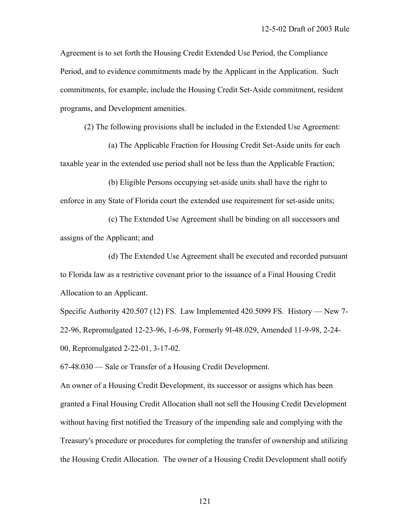Agreement is to set forth the Housing Credit Extended Use Period, the Compliance Period, and to evidence commitments made by the Applicant in the Application. Such commitments, for example, include the Housing Credit Set-Aside commitment, resident programs, and Development amenities.

(2) The following provisions shall be included in the Extended Use Agreement:

 (a) The Applicable Fraction for Housing Credit Set-Aside units for each taxable year in the extended use period shall not be less than the Applicable Fraction;

 (b) Eligible Persons occupying set-aside units shall have the right to enforce in any State of Florida court the extended use requirement for set-aside units;

 (c) The Extended Use Agreement shall be binding on all successors and assigns of the Applicant; and

 (d) The Extended Use Agreement shall be executed and recorded pursuant to Florida law as a restrictive covenant prior to the issuance of a Final Housing Credit Allocation to an Applicant.

Specific Authority 420.507 (12) FS. Law Implemented 420.5099 FS. History — New 7- 22-96, Repromulgated 12-23-96, 1-6-98, Formerly 9I-48.029, Amended 11-9-98, 2-24- 00, Repromulgated 2-22-01, 3-17-02.

67-48.030 — Sale or Transfer of a Housing Credit Development.

An owner of a Housing Credit Development, its successor or assigns which has been granted a Final Housing Credit Allocation shall not sell the Housing Credit Development without having first notified the Treasury of the impending sale and complying with the Treasury's procedure or procedures for completing the transfer of ownership and utilizing the Housing Credit Allocation. The owner of a Housing Credit Development shall notify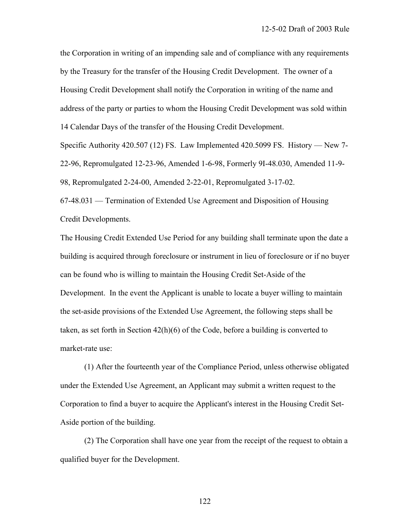the Corporation in writing of an impending sale and of compliance with any requirements by the Treasury for the transfer of the Housing Credit Development. The owner of a Housing Credit Development shall notify the Corporation in writing of the name and address of the party or parties to whom the Housing Credit Development was sold within 14 Calendar Days of the transfer of the Housing Credit Development.

Specific Authority 420.507 (12) FS. Law Implemented 420.5099 FS. History — New 7- 22-96, Repromulgated 12-23-96, Amended 1-6-98, Formerly 9I-48.030, Amended 11-9- 98, Repromulgated 2-24-00, Amended 2-22-01, Repromulgated 3-17-02.

67-48.031 — Termination of Extended Use Agreement and Disposition of Housing Credit Developments.

The Housing Credit Extended Use Period for any building shall terminate upon the date a building is acquired through foreclosure or instrument in lieu of foreclosure or if no buyer can be found who is willing to maintain the Housing Credit Set-Aside of the Development. In the event the Applicant is unable to locate a buyer willing to maintain the set-aside provisions of the Extended Use Agreement, the following steps shall be taken, as set forth in Section  $42(h)(6)$  of the Code, before a building is converted to market-rate use:

 (1) After the fourteenth year of the Compliance Period, unless otherwise obligated under the Extended Use Agreement, an Applicant may submit a written request to the Corporation to find a buyer to acquire the Applicant's interest in the Housing Credit Set-Aside portion of the building.

 (2) The Corporation shall have one year from the receipt of the request to obtain a qualified buyer for the Development.